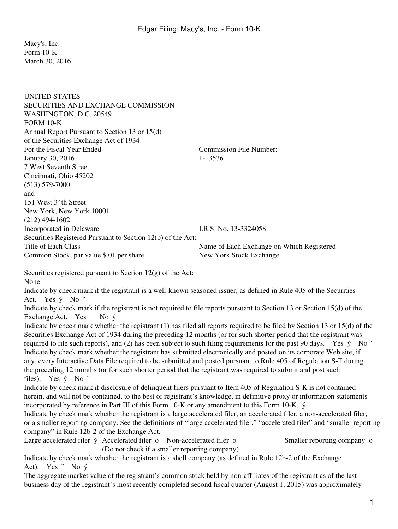Macy's, Inc. Form 10-K March 30, 2016

| <b>UNITED STATES</b>                                                                                                                                        |                                           |                             |
|-------------------------------------------------------------------------------------------------------------------------------------------------------------|-------------------------------------------|-----------------------------|
| SECURITIES AND EXCHANGE COMMISSION                                                                                                                          |                                           |                             |
| WASHINGTON, D.C. 20549<br>FORM 10-K                                                                                                                         |                                           |                             |
| Annual Report Pursuant to Section 13 or 15(d)                                                                                                               |                                           |                             |
| of the Securities Exchange Act of 1934                                                                                                                      |                                           |                             |
| For the Fiscal Year Ended                                                                                                                                   | <b>Commission File Number:</b>            |                             |
| January 30, 2016                                                                                                                                            | 1-13536                                   |                             |
| 7 West Seventh Street                                                                                                                                       |                                           |                             |
| Cincinnati, Ohio 45202                                                                                                                                      |                                           |                             |
| $(513) 579 - 7000$                                                                                                                                          |                                           |                             |
| and                                                                                                                                                         |                                           |                             |
| 151 West 34th Street                                                                                                                                        |                                           |                             |
| New York, New York 10001                                                                                                                                    |                                           |                             |
| $(212)$ 494-1602                                                                                                                                            |                                           |                             |
| Incorporated in Delaware                                                                                                                                    | I.R.S. No. 13-3324058                     |                             |
| Securities Registered Pursuant to Section 12(b) of the Act:                                                                                                 |                                           |                             |
| Title of Each Class                                                                                                                                         | Name of Each Exchange on Which Registered |                             |
| Common Stock, par value \$.01 per share                                                                                                                     | New York Stock Exchange                   |                             |
| Securities registered pursuant to Section $12(g)$ of the Act:                                                                                               |                                           |                             |
| None                                                                                                                                                        |                                           |                             |
| Indicate by check mark if the registrant is a well-known seasoned issuer, as defined in Rule 405 of the Securities                                          |                                           |                             |
| Act. Yes ý No "                                                                                                                                             |                                           |                             |
| Indicate by check mark if the registrant is not required to file reports pursuant to Section 13 or Section 15(d) of the<br>Exchange Act. Yes " No ý         |                                           |                             |
| Indicate by check mark whether the registrant (1) has filed all reports required to be filed by Section 13 or 15(d) of the                                  |                                           |                             |
| Securities Exchange Act of 1934 during the preceding 12 months (or for such shorter period that the registrant was                                          |                                           |                             |
| required to file such reports), and (2) has been subject to such filing requirements for the past 90 days. Yes $\circ$ No $\circ$                           |                                           |                             |
| Indicate by check mark whether the registrant has submitted electronically and posted on its corporate Web site, if                                         |                                           |                             |
| any, every Interactive Data File required to be submitted and posted pursuant to Rule 405 of Regulation S-T during                                          |                                           |                             |
| the preceding 12 months (or for such shorter period that the registrant was required to submit and post such                                                |                                           |                             |
| files). Yes $\circ$ No "                                                                                                                                    |                                           |                             |
| Indicate by check mark if disclosure of delinquent filers pursuant to Item 405 of Regulation S-K is not contained                                           |                                           |                             |
| herein, and will not be contained, to the best of registrant's knowledge, in definitive proxy or information statements                                     |                                           |                             |
| incorporated by reference in Part III of this Form 10-K or any amendment to this Form 10-K. $\circ$                                                         |                                           |                             |
| Indicate by check mark whether the registrant is a large accelerated filer, an accelerated filer, a non-accelerated filer,                                  |                                           |                             |
| or a smaller reporting company. See the definitions of "large accelerated filer," "accelerated filer" and "smaller reporting                                |                                           |                             |
| company" in Rule 12b-2 of the Exchange Act.                                                                                                                 |                                           |                             |
| Large accelerated filer ý Accelerated filer o Non-accelerated filer o                                                                                       |                                           | Smaller reporting company o |
| (Do not check if a smaller reporting company)<br>Indicate by check mark whether the registrant is a shell company (as defined in Rule 12b-2 of the Exchange |                                           |                             |
| Act). Yes $\degree$ No $\circ$                                                                                                                              |                                           |                             |
| The aggregate market value of the registrant's common stock held by non-affiliates of the registrant as of the last                                         |                                           |                             |
| business day of the registrant's most recently completed second fiscal quarter (August 1, 2015) was approximately                                           |                                           |                             |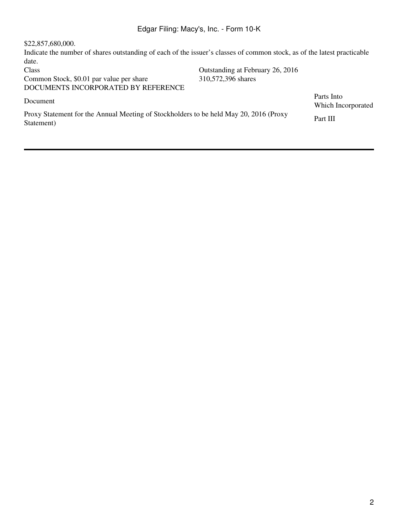\$22,857,680,000.

Indicate the number of shares outstanding of each of the issuer's classes of common stock, as of the latest practicable date.

| Class                         |  |  |
|-------------------------------|--|--|
| Common Stock, \$0.01 par valu |  |  |

DOCUMENTS INCORPORATED BY REFERENCE

Outstanding at February 26, 2016  $\epsilon$  per share  $310,572,396$  shares

Parts Into Parts Into Parts Into Parts Into Parts Into Parts Into Parts Into Parts Into Parts Into Parts Into Parts Into Parts Into Parts Into Parts Into Parts Into Parts Into Parts Into Parts Into Parts Into Parts Into Pa Which Incorporated Proxy Statement for the Annual Meeting of Stockholders to be held May 20, 2016 (Proxy Part III)<br>Statement)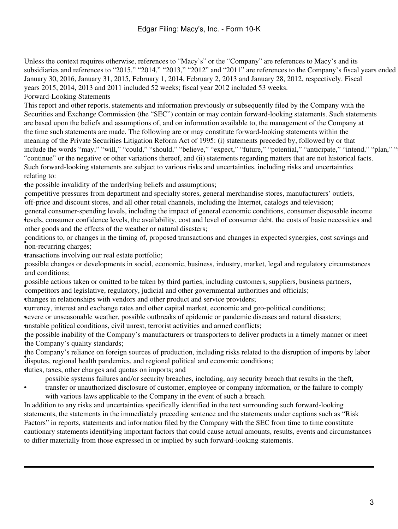Unless the context requires otherwise, references to "Macy's" or the "Company" are references to Macy's and its subsidiaries and references to "2015," "2014," "2013," "2012" and "2011" are references to the Company's fiscal years ended January 30, 2016, January 31, 2015, February 1, 2014, February 2, 2013 and January 28, 2012, respectively. Fiscal years 2015, 2014, 2013 and 2011 included 52 weeks; fiscal year 2012 included 53 weeks.

Forward-Looking Statements

This report and other reports, statements and information previously or subsequently filed by the Company with the Securities and Exchange Commission (the "SEC") contain or may contain forward-looking statements. Such statements are based upon the beliefs and assumptions of, and on information available to, the management of the Company at the time such statements are made. The following are or may constitute forward-looking statements within the meaning of the Private Securities Litigation Reform Act of 1995: (i) statements preceded by, followed by or that include the words "may," "will," "could," "should," "believe," "expect," "future," "potential," "anticipate," "intend," "plan," " "continue" or the negative or other variations thereof, and (ii) statements regarding matters that are not historical facts. Such forward-looking statements are subject to various risks and uncertainties, including risks and uncertainties relating to:

•the possible invalidity of the underlying beliefs and assumptions;

competitive pressures from department and specialty stores, general merchandise stores, manufacturers' outlets,

off-price and discount stores, and all other retail channels, including the Internet, catalogs and television;

• levels, consumer confidence levels, the availability, cost and level of consumer debt, the costs of basic necessities and general consumer-spending levels, including the impact of general economic conditions, consumer disposable income other goods and the effects of the weather or natural disasters;

• **non-recurring charges**; conditions to, or changes in the timing of, proposed transactions and changes in expected synergies, cost savings and

•transactions involving our real estate portfolio;

possible enange possible changes or developments in social, economic, business, industry, market, legal and regulatory circumstances

possible actions taken or omitted to be taken by third parties, including customers, suppliers, business partners,

• competitors and legislative, regulatory, judicial and other governmental authorities and officials;

•changes in relationships with vendors and other product and service providers;

•currency, interest and exchange rates and other capital market, economic and geo-political conditions;

•severe or unseasonable weather, possible outbreaks of epidemic or pandemic diseases and natural disasters; •unstable political conditions, civil unrest, terrorist activities and armed conflicts;

the Company's quality standards; the possible inability of the Company's manufacturers or transporters to deliver products in a timely manner or meet

disputes, regional health pandemics, and regional political and economic conditions; the Company's reliance on foreign sources of production, including risks related to the disruption of imports by labor

•duties, taxes, other charges and quotas on imports; and

•

possible systems failures and/or security breaches, including, any security breach that results in the theft,

transfer or unauthorized disclosure of customer, employee or company information, or the failure to comply with various laws applicable to the Company in the event of such a breach.

In addition to any risks and uncertainties specifically identified in the text surrounding such forward-looking statements, the statements in the immediately preceding sentence and the statements under captions such as "Risk Factors" in reports, statements and information filed by the Company with the SEC from time to time constitute cautionary statements identifying important factors that could cause actual amounts, results, events and circumstances to differ materially from those expressed in or implied by such forward-looking statements.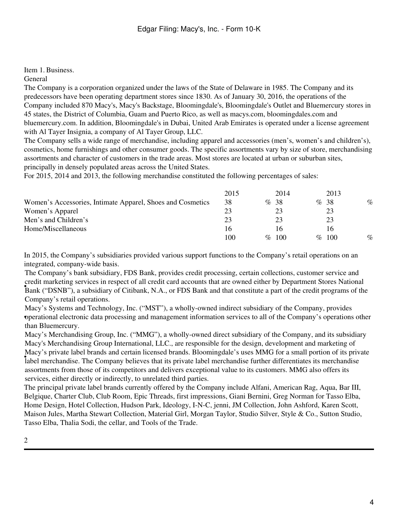Item 1. Business.

General

The Company is a corporation organized under the laws of the State of Delaware in 1985. The Company and its predecessors have been operating department stores since 1830. As of January 30, 2016, the operations of the Company included 870 Macy's, Macy's Backstage, Bloomingdale's, Bloomingdale's Outlet and Bluemercury stores in 45 states, the District of Columbia, Guam and Puerto Rico, as well as macys.com, bloomingdales.com and bluemercury.com. In addition, Bloomingdale's in Dubai, United Arab Emirates is operated under a license agreement with Al Tayer Insignia, a company of Al Tayer Group, LLC.

The Company sells a wide range of merchandise, including apparel and accessories (men's, women's and children's), cosmetics, home furnishings and other consumer goods. The specific assortments vary by size of store, merchandising assortments and character of customers in the trade areas. Most stores are located at urban or suburban sites, principally in densely populated areas across the United States.

For 2015, 2014 and 2013, the following merchandise constituted the following percentages of sales:

|                                                            | 2015 |      | 2014 | 2013     |      |
|------------------------------------------------------------|------|------|------|----------|------|
| Women's Accessories, Intimate Apparel, Shoes and Cosmetics | 38   |      | %38  | %38      | $\%$ |
| Women's Apparel                                            | 23   |      | 23   | 23       |      |
| Men's and Children's                                       | 23   |      | 23   | 23       |      |
| Home/Miscellaneous                                         | 16   |      |      | 16       |      |
|                                                            | 100  | $\%$ | 100  | $\%$ 100 | $\%$ |

In 2015, the Company's subsidiaries provided various support functions to the Company's retail operations on an integrated, company-wide basis.

From marketing services in respect of an erective and accounts that are owned entier by Department stores rational Bank ("DSNB"), a subsidiary of Citibank, N.A., or FDS Bank and that constitute a part of the credit program The Company's bank subsidiary, FDS Bank, provides credit processing, certain collections, customer service and credit marketing services in respect of all credit card accounts that are owned either by Department Stores National Company's retail operations.

• operational electronic data processing and management information services to all of the Company's operations other Macy's Systems and Technology, Inc. ("MST"), a wholly-owned indirect subsidiary of the Company, provides than Bluemercury.

what is private facer oralists and certain needsed oralists. Disconfigurate s assessments for a sinal portion of its private label merchandise. The Company believes that its private label merchandise further differentiates Macy's Merchandising Group, Inc. ("MMG"), a wholly-owned direct subsidiary of the Company, and its subsidiary Macy's Merchandising Group International, LLC., are responsible for the design, development and marketing of Macy's private label brands and certain licensed brands. Bloomingdale's uses MMG for a small portion of its private assortments from those of its competitors and delivers exceptional value to its customers. MMG also offers its services, either directly or indirectly, to unrelated third parties.

The principal private label brands currently offered by the Company include Alfani, American Rag, Aqua, Bar III, Belgique, Charter Club, Club Room, Epic Threads, first impressions, Giani Bernini, Greg Norman for Tasso Elba, Home Design, Hotel Collection, Hudson Park, Ideology, I-N-C, jenni, JM Collection, John Ashford, Karen Scott, Maison Jules, Martha Stewart Collection, Material Girl, Morgan Taylor, Studio Silver, Style & Co., Sutton Studio, Tasso Elba, Thalia Sodi, the cellar, and Tools of the Trade.

2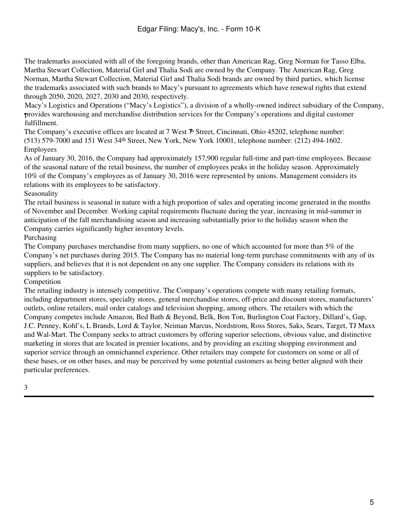The trademarks associated with all of the foregoing brands, other than American Rag, Greg Norman for Tasso Elba, Martha Stewart Collection, Material Girl and Thalia Sodi are owned by the Company. The American Rag, Greg Norman, Martha Stewart Collection, Material Girl and Thalia Sodi brands are owned by third parties, which license the trademarks associated with such brands to Macy's pursuant to agreements which have renewal rights that extend through 2050, 2020, 2027, 2030 and 2030, respectively.

provides warehousing and merchandise distribution services for the Company's operations and digital customer Macy's Logistics and Operations ("Macy's Logistics"), a division of a wholly-owned indirect subsidiary of the Company, fulfillment.

The Company's executive offices are located at 7 West  $\hat{\phi}$  Street, Cincinnati, Ohio 45202, telephone number: (513) 579-7000 and 151 West 34th Street, New York, New York 10001, telephone number: (212) 494-1602. Employees

As of January 30, 2016, the Company had approximately 157,900 regular full-time and part-time employees. Because of the seasonal nature of the retail business, the number of employees peaks in the holiday season. Approximately 10% of the Company's employees as of January 30, 2016 were represented by unions. Management considers its relations with its employees to be satisfactory.

Seasonality

The retail business is seasonal in nature with a high proportion of sales and operating income generated in the months of November and December. Working capital requirements fluctuate during the year, increasing in mid-summer in anticipation of the fall merchandising season and increasing substantially prior to the holiday season when the Company carries significantly higher inventory levels.

Purchasing

The Company purchases merchandise from many suppliers, no one of which accounted for more than 5% of the Company's net purchases during 2015. The Company has no material long-term purchase commitments with any of its suppliers, and believes that it is not dependent on any one supplier. The Company considers its relations with its suppliers to be satisfactory.

Competition

The retailing industry is intensely competitive. The Company's operations compete with many retailing formats, including department stores, specialty stores, general merchandise stores, off-price and discount stores, manufacturers' outlets, online retailers, mail order catalogs and television shopping, among others. The retailers with which the Company competes include Amazon, Bed Bath & Beyond, Belk, Bon Ton, Burlington Coat Factory, Dillard's, Gap, J.C. Penney, Kohl's, L Brands, Lord & Taylor, Neiman Marcus, Nordstrom, Ross Stores, Saks, Sears, Target, TJ Maxx and Wal-Mart. The Company seeks to attract customers by offering superior selections, obvious value, and distinctive marketing in stores that are located in premier locations, and by providing an exciting shopping environment and superior service through an omnichannel experience. Other retailers may compete for customers on some or all of these bases, or on other bases, and may be perceived by some potential customers as being better aligned with their particular preferences.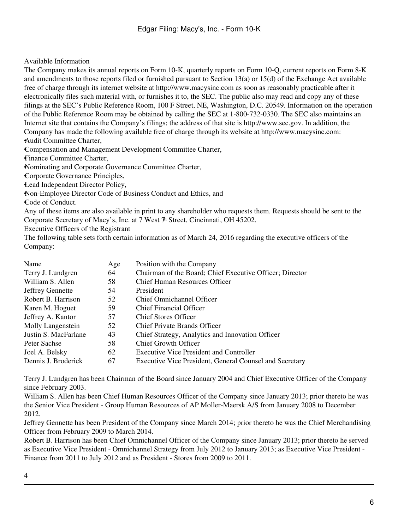## Available Information

The Company makes its annual reports on Form 10-K, quarterly reports on Form 10-Q, current reports on Form 8-K and amendments to those reports filed or furnished pursuant to Section 13(a) or 15(d) of the Exchange Act available free of charge through its internet website at http://www.macysinc.com as soon as reasonably practicable after it electronically files such material with, or furnishes it to, the SEC. The public also may read and copy any of these filings at the SEC's Public Reference Room, 100 F Street, NE, Washington, D.C. 20549. Information on the operation of the Public Reference Room may be obtained by calling the SEC at 1-800-732-0330. The SEC also maintains an Internet site that contains the Company's filings; the address of that site is http://www.sec.gov. In addition, the Company has made the following available free of charge through its website at http://www.macysinc.com: •Audit Committee Charter,

•Compensation and Management Development Committee Charter,

•Finance Committee Charter,

•Nominating and Corporate Governance Committee Charter,

•Corporate Governance Principles,

•Lead Independent Director Policy,

•Non-Employee Director Code of Business Conduct and Ethics, and

Code of Conduct.

Any of these items are also available in print to any shareholder who requests them. Requests should be sent to the Corporate Secretary of Macy's, Inc. at 7 West  $\mathbb{P}^h$  Street, Cincinnati, OH 45202.

Executive Officers of the Registrant

The following table sets forth certain information as of March 24, 2016 regarding the executive officers of the Company:

| Name                 | Age | Position with the Company                                |
|----------------------|-----|----------------------------------------------------------|
| Terry J. Lundgren    | 64  | Chairman of the Board; Chief Executive Officer; Director |
| William S. Allen     | 58  | <b>Chief Human Resources Officer</b>                     |
| Jeffrey Gennette     | 54  | President                                                |
| Robert B. Harrison   | 52  | Chief Omnichannel Officer                                |
| Karen M. Hoguet      | 59  | Chief Financial Officer                                  |
| Jeffrey A. Kantor    | 57  | Chief Stores Officer                                     |
| Molly Langenstein    | 52  | Chief Private Brands Officer                             |
| Justin S. MacFarlane | 43  | Chief Strategy, Analytics and Innovation Officer         |
| Peter Sachse         | 58  | <b>Chief Growth Officer</b>                              |
| Joel A. Belsky       | 62  | Executive Vice President and Controller                  |
| Dennis J. Broderick  | 67  | Executive Vice President, General Counsel and Secretary  |

Terry J. Lundgren has been Chairman of the Board since January 2004 and Chief Executive Officer of the Company since February 2003.

William S. Allen has been Chief Human Resources Officer of the Company since January 2013; prior thereto he was the Senior Vice President - Group Human Resources of AP Moller-Maersk A/S from January 2008 to December 2012.

Jeffrey Gennette has been President of the Company since March 2014; prior thereto he was the Chief Merchandising Officer from February 2009 to March 2014.

Robert B. Harrison has been Chief Omnichannel Officer of the Company since January 2013; prior thereto he served as Executive Vice President - Omnichannel Strategy from July 2012 to January 2013; as Executive Vice President - Finance from 2011 to July 2012 and as President - Stores from 2009 to 2011.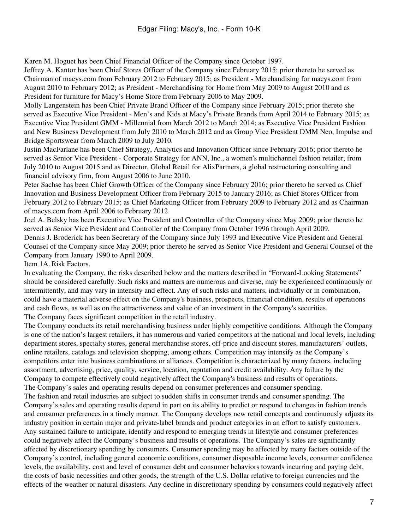Karen M. Hoguet has been Chief Financial Officer of the Company since October 1997.

Jeffrey A. Kantor has been Chief Stores Officer of the Company since February 2015; prior thereto he served as Chairman of macys.com from February 2012 to February 2015; as President - Merchandising for macys.com from August 2010 to February 2012; as President - Merchandising for Home from May 2009 to August 2010 and as President for furniture for Macy's Home Store from February 2006 to May 2009.

Molly Langenstein has been Chief Private Brand Officer of the Company since February 2015; prior thereto she served as Executive Vice President - Men's and Kids at Macy's Private Brands from April 2014 to February 2015; as Executive Vice President GMM - Millennial from March 2012 to March 2014; as Executive Vice President Fashion and New Business Development from July 2010 to March 2012 and as Group Vice President DMM Neo, Impulse and Bridge Sportswear from March 2009 to July 2010.

Justin MacFarlane has been Chief Strategy, Analytics and Innovation Officer since February 2016; prior thereto he served as Senior Vice President - Corporate Strategy for ANN, Inc., a women's multichannel fashion retailer, from July 2010 to August 2015 and as Director, Global Retail for AlixPartners, a global restructuring consulting and financial advisory firm, from August 2006 to June 2010.

Peter Sachse has been Chief Growth Officer of the Company since February 2016; prior thereto he served as Chief Innovation and Business Development Officer from February 2015 to January 2016; as Chief Stores Officer from February 2012 to February 2015; as Chief Marketing Officer from February 2009 to February 2012 and as Chairman of macys.com from April 2006 to February 2012.

Joel A. Belsky has been Executive Vice President and Controller of the Company since May 2009; prior thereto he served as Senior Vice President and Controller of the Company from October 1996 through April 2009. Dennis J. Broderick has been Secretary of the Company since July 1993 and Executive Vice President and General Counsel of the Company since May 2009; prior thereto he served as Senior Vice President and General Counsel of the Company from January 1990 to April 2009.

Item 1A. Risk Factors.

In evaluating the Company, the risks described below and the matters described in "Forward-Looking Statements" should be considered carefully. Such risks and matters are numerous and diverse, may be experienced continuously or intermittently, and may vary in intensity and effect. Any of such risks and matters, individually or in combination, could have a material adverse effect on the Company's business, prospects, financial condition, results of operations and cash flows, as well as on the attractiveness and value of an investment in the Company's securities. The Company faces significant competition in the retail industry.

The Company conducts its retail merchandising business under highly competitive conditions. Although the Company is one of the nation's largest retailers, it has numerous and varied competitors at the national and local levels, including department stores, specialty stores, general merchandise stores, off-price and discount stores, manufacturers' outlets, online retailers, catalogs and television shopping, among others. Competition may intensify as the Company's competitors enter into business combinations or alliances. Competition is characterized by many factors, including assortment, advertising, price, quality, service, location, reputation and credit availability. Any failure by the Company to compete effectively could negatively affect the Company's business and results of operations. The Company's sales and operating results depend on consumer preferences and consumer spending.

The fashion and retail industries are subject to sudden shifts in consumer trends and consumer spending. The Company's sales and operating results depend in part on its ability to predict or respond to changes in fashion trends and consumer preferences in a timely manner. The Company develops new retail concepts and continuously adjusts its industry position in certain major and private-label brands and product categories in an effort to satisfy customers. Any sustained failure to anticipate, identify and respond to emerging trends in lifestyle and consumer preferences could negatively affect the Company's business and results of operations. The Company's sales are significantly affected by discretionary spending by consumers. Consumer spending may be affected by many factors outside of the Company's control, including general economic conditions, consumer disposable income levels, consumer confidence levels, the availability, cost and level of consumer debt and consumer behaviors towards incurring and paying debt, the costs of basic necessities and other goods, the strength of the U.S. Dollar relative to foreign currencies and the effects of the weather or natural disasters. Any decline in discretionary spending by consumers could negatively affect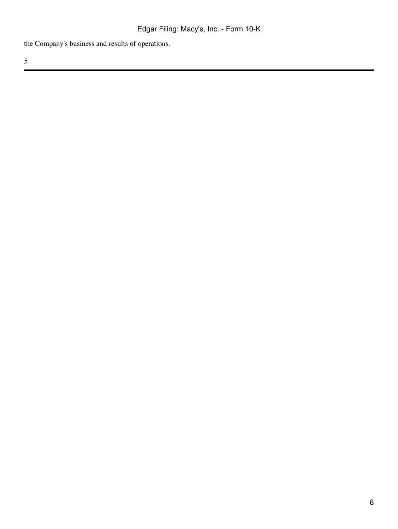the Company's business and results of operations.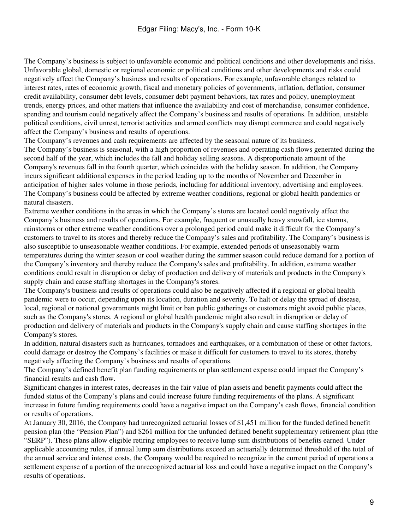The Company's business is subject to unfavorable economic and political conditions and other developments and risks. Unfavorable global, domestic or regional economic or political conditions and other developments and risks could negatively affect the Company's business and results of operations. For example, unfavorable changes related to interest rates, rates of economic growth, fiscal and monetary policies of governments, inflation, deflation, consumer credit availability, consumer debt levels, consumer debt payment behaviors, tax rates and policy, unemployment trends, energy prices, and other matters that influence the availability and cost of merchandise, consumer confidence, spending and tourism could negatively affect the Company's business and results of operations. In addition, unstable political conditions, civil unrest, terrorist activities and armed conflicts may disrupt commerce and could negatively affect the Company's business and results of operations.

The Company's revenues and cash requirements are affected by the seasonal nature of its business.

The Company's business is seasonal, with a high proportion of revenues and operating cash flows generated during the second half of the year, which includes the fall and holiday selling seasons. A disproportionate amount of the Company's revenues fall in the fourth quarter, which coincides with the holiday season. In addition, the Company incurs significant additional expenses in the period leading up to the months of November and December in anticipation of higher sales volume in those periods, including for additional inventory, advertising and employees. The Company's business could be affected by extreme weather conditions, regional or global health pandemics or natural disasters.

Extreme weather conditions in the areas in which the Company's stores are located could negatively affect the Company's business and results of operations. For example, frequent or unusually heavy snowfall, ice storms, rainstorms or other extreme weather conditions over a prolonged period could make it difficult for the Company's customers to travel to its stores and thereby reduce the Company's sales and profitability. The Company's business is also susceptible to unseasonable weather conditions. For example, extended periods of unseasonably warm temperatures during the winter season or cool weather during the summer season could reduce demand for a portion of the Company's inventory and thereby reduce the Company's sales and profitability. In addition, extreme weather conditions could result in disruption or delay of production and delivery of materials and products in the Company's supply chain and cause staffing shortages in the Company's stores.

The Company's business and results of operations could also be negatively affected if a regional or global health pandemic were to occur, depending upon its location, duration and severity. To halt or delay the spread of disease, local, regional or national governments might limit or ban public gatherings or customers might avoid public places, such as the Company's stores. A regional or global health pandemic might also result in disruption or delay of production and delivery of materials and products in the Company's supply chain and cause staffing shortages in the Company's stores.

In addition, natural disasters such as hurricanes, tornadoes and earthquakes, or a combination of these or other factors, could damage or destroy the Company's facilities or make it difficult for customers to travel to its stores, thereby negatively affecting the Company's business and results of operations.

The Company's defined benefit plan funding requirements or plan settlement expense could impact the Company's financial results and cash flow.

Significant changes in interest rates, decreases in the fair value of plan assets and benefit payments could affect the funded status of the Company's plans and could increase future funding requirements of the plans. A significant increase in future funding requirements could have a negative impact on the Company's cash flows, financial condition or results of operations.

At January 30, 2016, the Company had unrecognized actuarial losses of \$1,451 million for the funded defined benefit pension plan (the "Pension Plan") and \$261 million for the unfunded defined benefit supplementary retirement plan (the "SERP"). These plans allow eligible retiring employees to receive lump sum distributions of benefits earned. Under applicable accounting rules, if annual lump sum distributions exceed an actuarially determined threshold of the total of the annual service and interest costs, the Company would be required to recognize in the current period of operations a settlement expense of a portion of the unrecognized actuarial loss and could have a negative impact on the Company's results of operations.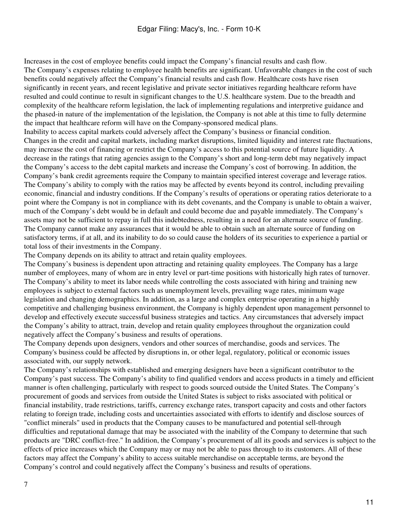Increases in the cost of employee benefits could impact the Company's financial results and cash flow. The Company's expenses relating to employee health benefits are significant. Unfavorable changes in the cost of such benefits could negatively affect the Company's financial results and cash flow. Healthcare costs have risen significantly in recent years, and recent legislative and private sector initiatives regarding healthcare reform have resulted and could continue to result in significant changes to the U.S. healthcare system. Due to the breadth and complexity of the healthcare reform legislation, the lack of implementing regulations and interpretive guidance and the phased-in nature of the implementation of the legislation, the Company is not able at this time to fully determine the impact that healthcare reform will have on the Company-sponsored medical plans.

Inability to access capital markets could adversely affect the Company's business or financial condition. Changes in the credit and capital markets, including market disruptions, limited liquidity and interest rate fluctuations, may increase the cost of financing or restrict the Company's access to this potential source of future liquidity. A decrease in the ratings that rating agencies assign to the Company's short and long-term debt may negatively impact the Company's access to the debt capital markets and increase the Company's cost of borrowing. In addition, the Company's bank credit agreements require the Company to maintain specified interest coverage and leverage ratios. The Company's ability to comply with the ratios may be affected by events beyond its control, including prevailing economic, financial and industry conditions. If the Company's results of operations or operating ratios deteriorate to a point where the Company is not in compliance with its debt covenants, and the Company is unable to obtain a waiver, much of the Company's debt would be in default and could become due and payable immediately. The Company's assets may not be sufficient to repay in full this indebtedness, resulting in a need for an alternate source of funding. The Company cannot make any assurances that it would be able to obtain such an alternate source of funding on satisfactory terms, if at all, and its inability to do so could cause the holders of its securities to experience a partial or total loss of their investments in the Company.

The Company depends on its ability to attract and retain quality employees.

The Company's business is dependent upon attracting and retaining quality employees. The Company has a large number of employees, many of whom are in entry level or part-time positions with historically high rates of turnover. The Company's ability to meet its labor needs while controlling the costs associated with hiring and training new employees is subject to external factors such as unemployment levels, prevailing wage rates, minimum wage legislation and changing demographics. In addition, as a large and complex enterprise operating in a highly competitive and challenging business environment, the Company is highly dependent upon management personnel to develop and effectively execute successful business strategies and tactics. Any circumstances that adversely impact the Company's ability to attract, train, develop and retain quality employees throughout the organization could negatively affect the Company's business and results of operations.

The Company depends upon designers, vendors and other sources of merchandise, goods and services. The Company's business could be affected by disruptions in, or other legal, regulatory, political or economic issues associated with, our supply network.

The Company's relationships with established and emerging designers have been a significant contributor to the Company's past success. The Company's ability to find qualified vendors and access products in a timely and efficient manner is often challenging, particularly with respect to goods sourced outside the United States. The Company's procurement of goods and services from outside the United States is subject to risks associated with political or financial instability, trade restrictions, tariffs, currency exchange rates, transport capacity and costs and other factors relating to foreign trade, including costs and uncertainties associated with efforts to identify and disclose sources of "conflict minerals" used in products that the Company causes to be manufactured and potential sell-through difficulties and reputational damage that may be associated with the inability of the Company to determine that such products are "DRC conflict-free." In addition, the Company's procurement of all its goods and services is subject to the effects of price increases which the Company may or may not be able to pass through to its customers. All of these factors may affect the Company's ability to access suitable merchandise on acceptable terms, are beyond the Company's control and could negatively affect the Company's business and results of operations.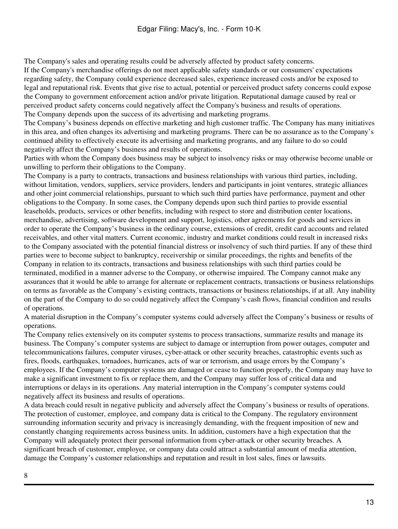The Company's sales and operating results could be adversely affected by product safety concerns. If the Company's merchandise offerings do not meet applicable safety standards or our consumers' expectations regarding safety, the Company could experience decreased sales, experience increased costs and/or be exposed to legal and reputational risk. Events that give rise to actual, potential or perceived product safety concerns could expose the Company to government enforcement action and/or private litigation. Reputational damage caused by real or perceived product safety concerns could negatively affect the Company's business and results of operations. The Company depends upon the success of its advertising and marketing programs.

The Company's business depends on effective marketing and high customer traffic. The Company has many initiatives in this area, and often changes its advertising and marketing programs. There can be no assurance as to the Company's continued ability to effectively execute its advertising and marketing programs, and any failure to do so could negatively affect the Company's business and results of operations.

Parties with whom the Company does business may be subject to insolvency risks or may otherwise become unable or unwilling to perform their obligations to the Company.

The Company is a party to contracts, transactions and business relationships with various third parties, including, without limitation, vendors, suppliers, service providers, lenders and participants in joint ventures, strategic alliances and other joint commercial relationships, pursuant to which such third parties have performance, payment and other obligations to the Company. In some cases, the Company depends upon such third parties to provide essential leaseholds, products, services or other benefits, including with respect to store and distribution center locations, merchandise, advertising, software development and support, logistics, other agreements for goods and services in order to operate the Company's business in the ordinary course, extensions of credit, credit card accounts and related receivables, and other vital matters. Current economic, industry and market conditions could result in increased risks to the Company associated with the potential financial distress or insolvency of such third parties. If any of these third parties were to become subject to bankruptcy, receivership or similar proceedings, the rights and benefits of the Company in relation to its contracts, transactions and business relationships with such third parties could be terminated, modified in a manner adverse to the Company, or otherwise impaired. The Company cannot make any assurances that it would be able to arrange for alternate or replacement contracts, transactions or business relationships on terms as favorable as the Company's existing contracts, transactions or business relationships, if at all. Any inability on the part of the Company to do so could negatively affect the Company's cash flows, financial condition and results of operations.

A material disruption in the Company's computer systems could adversely affect the Company's business or results of operations.

The Company relies extensively on its computer systems to process transactions, summarize results and manage its business. The Company's computer systems are subject to damage or interruption from power outages, computer and telecommunications failures, computer viruses, cyber-attack or other security breaches, catastrophic events such as fires, floods, earthquakes, tornadoes, hurricanes, acts of war or terrorism, and usage errors by the Company's employees. If the Company's computer systems are damaged or cease to function properly, the Company may have to make a significant investment to fix or replace them, and the Company may suffer loss of critical data and interruptions or delays in its operations. Any material interruption in the Company's computer systems could negatively affect its business and results of operations.

A data breach could result in negative publicity and adversely affect the Company's business or results of operations. The protection of customer, employee, and company data is critical to the Company. The regulatory environment surrounding information security and privacy is increasingly demanding, with the frequent imposition of new and constantly changing requirements across business units. In addition, customers have a high expectation that the Company will adequately protect their personal information from cyber-attack or other security breaches. A significant breach of customer, employee, or company data could attract a substantial amount of media attention, damage the Company's customer relationships and reputation and result in lost sales, fines or lawsuits.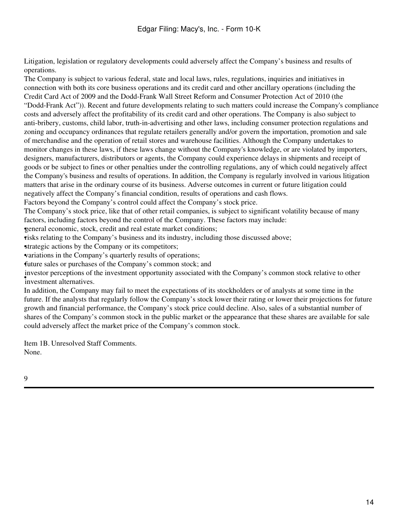Litigation, legislation or regulatory developments could adversely affect the Company's business and results of operations.

The Company is subject to various federal, state and local laws, rules, regulations, inquiries and initiatives in connection with both its core business operations and its credit card and other ancillary operations (including the Credit Card Act of 2009 and the Dodd-Frank Wall Street Reform and Consumer Protection Act of 2010 (the "Dodd-Frank Act")). Recent and future developments relating to such matters could increase the Company's compliance costs and adversely affect the profitability of its credit card and other operations. The Company is also subject to anti-bribery, customs, child labor, truth-in-advertising and other laws, including consumer protection regulations and zoning and occupancy ordinances that regulate retailers generally and/or govern the importation, promotion and sale of merchandise and the operation of retail stores and warehouse facilities. Although the Company undertakes to monitor changes in these laws, if these laws change without the Company's knowledge, or are violated by importers, designers, manufacturers, distributors or agents, the Company could experience delays in shipments and receipt of goods or be subject to fines or other penalties under the controlling regulations, any of which could negatively affect the Company's business and results of operations. In addition, the Company is regularly involved in various litigation matters that arise in the ordinary course of its business. Adverse outcomes in current or future litigation could negatively affect the Company's financial condition, results of operations and cash flows.

Factors beyond the Company's control could affect the Company's stock price.

The Company's stock price, like that of other retail companies, is subject to significant volatility because of many factors, including factors beyond the control of the Company. These factors may include:

•general economic, stock, credit and real estate market conditions;

•risks relating to the Company's business and its industry, including those discussed above;

strategic actions by the Company or its competitors;

•variations in the Company's quarterly results of operations;

•future sales or purchases of the Company's common stock; and

**•**<br>investment alternatives. investor perceptions of the investment opportunity associated with the Company's common stock relative to other

In addition, the Company may fail to meet the expectations of its stockholders or of analysts at some time in the future. If the analysts that regularly follow the Company's stock lower their rating or lower their projections for future growth and financial performance, the Company's stock price could decline. Also, sales of a substantial number of shares of the Company's common stock in the public market or the appearance that these shares are available for sale could adversely affect the market price of the Company's common stock.

Item 1B. Unresolved Staff Comments. None.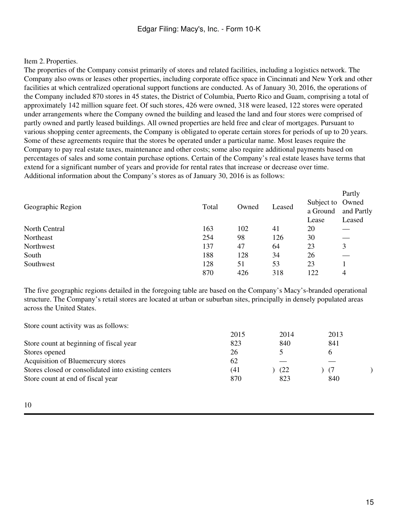## Item 2. Properties.

The properties of the Company consist primarily of stores and related facilities, including a logistics network. The Company also owns or leases other properties, including corporate office space in Cincinnati and New York and other facilities at which centralized operational support functions are conducted. As of January 30, 2016, the operations of the Company included 870 stores in 45 states, the District of Columbia, Puerto Rico and Guam, comprising a total of approximately 142 million square feet. Of such stores, 426 were owned, 318 were leased, 122 stores were operated under arrangements where the Company owned the building and leased the land and four stores were comprised of partly owned and partly leased buildings. All owned properties are held free and clear of mortgages. Pursuant to various shopping center agreements, the Company is obligated to operate certain stores for periods of up to 20 years. Some of these agreements require that the stores be operated under a particular name. Most leases require the Company to pay real estate taxes, maintenance and other costs; some also require additional payments based on percentages of sales and some contain purchase options. Certain of the Company's real estate leases have terms that extend for a significant number of years and provide for rental rates that increase or decrease over time. Additional information about the Company's stores as of January 30, 2016 is as follows:

|                   |       |       |        |                              | Partly     |
|-------------------|-------|-------|--------|------------------------------|------------|
| Geographic Region | Total | Owned | Leased | Subject to Owned<br>a Ground | and Partly |
|                   |       |       |        | Lease                        | Leased     |
| North Central     | 163   | 102   | 41     | 20                           |            |
| Northeast         | 254   | 98    | 126    | 30                           |            |
| Northwest         | 137   | 47    | 64     | 23                           | 3          |
| South             | 188   | 128   | 34     | 26                           |            |
| Southwest         | 128   | 51    | 53     | 23                           |            |
|                   | 870   | 426   | 318    | 122                          | 4          |
|                   |       |       |        |                              |            |

The five geographic regions detailed in the foregoing table are based on the Company's Macy's-branded operational structure. The Company's retail stores are located at urban or suburban sites, principally in densely populated areas across the United States.

Store count activity was as follows:

|                                                     | 2015 | 2014 | 2013 |  |
|-----------------------------------------------------|------|------|------|--|
| Store count at beginning of fiscal year             | 823  | 840  | 841  |  |
| Stores opened                                       | 26   |      |      |  |
| Acquisition of Bluemercury stores                   | 62   |      |      |  |
| Stores closed or consolidated into existing centers | (41  | (22) |      |  |
| Store count at end of fiscal year                   | 870  | 823  | 840  |  |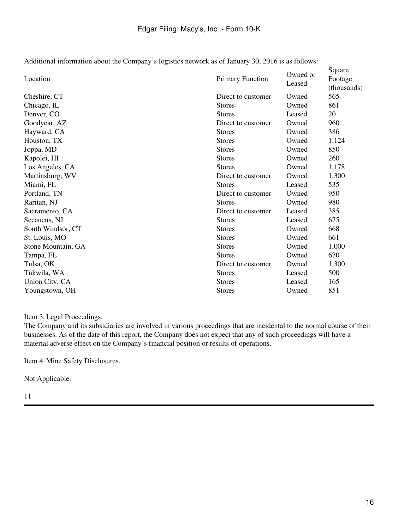Additional information about the Company's logistics network as of January 30, 2016 is as follows:

| Location           | <b>Primary Function</b> |        | Square<br>Footage<br>(thousands) |
|--------------------|-------------------------|--------|----------------------------------|
| Cheshire, CT       | Direct to customer      | Owned  | 565                              |
| Chicago, IL        | <b>Stores</b>           | Owned  | 861                              |
| Denver, CO         | <b>Stores</b>           | Leased | 20                               |
| Goodyear, AZ       | Direct to customer      | Owned  | 960                              |
| Hayward, CA        | <b>Stores</b>           | Owned  | 386                              |
| Houston, TX        | <b>Stores</b>           | Owned  | 1,124                            |
| Joppa, MD          | <b>Stores</b>           | Owned  | 850                              |
| Kapolei, HI        | <b>Stores</b>           | Owned  | 260                              |
| Los Angeles, CA    | <b>Stores</b>           | Owned  | 1,178                            |
| Martinsburg, WV    | Direct to customer      | Owned  | 1,300                            |
| Miami, FL          | <b>Stores</b>           | Leased | 535                              |
| Portland, TN       | Direct to customer      | Owned  | 950                              |
| Raritan, NJ        | <b>Stores</b>           | Owned  | 980                              |
| Sacramento, CA     | Direct to customer      | Leased | 385                              |
| Secaucus, NJ       | <b>Stores</b>           | Leased | 675                              |
| South Windsor, CT  | <b>Stores</b>           | Owned  | 668                              |
| St. Louis, MO      | <b>Stores</b>           | Owned  | 661                              |
| Stone Mountain, GA | <b>Stores</b>           | Owned  | 1,000                            |
| Tampa, FL          | <b>Stores</b>           | Owned  | 670                              |
| Tulsa, OK          | Direct to customer      | Owned  | 1,300                            |
| Tukwila, WA        | <b>Stores</b>           | Leased | 500                              |
| Union City, CA     | <b>Stores</b>           | Leased | 165                              |
| Youngstown, OH     | <b>Stores</b>           | Owned  | 851                              |

Item 3. Legal Proceedings.

The Company and its subsidiaries are involved in various proceedings that are incidental to the normal course of their businesses. As of the date of this report, the Company does not expect that any of such proceedings will have a material adverse effect on the Company's financial position or results of operations.

Item 4. Mine Safety Disclosures.

Not Applicable.

11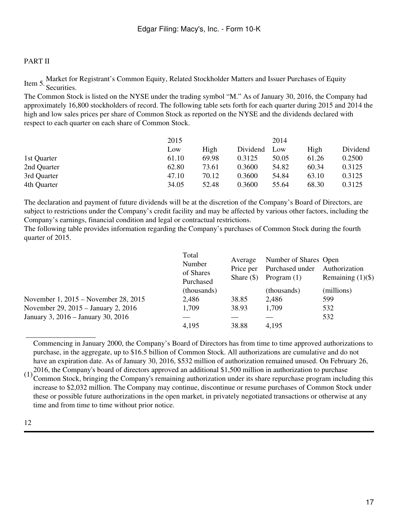# PART II

Item 5. Market for Registrant's Common Equity, Related Stockholder Matters and Issuer Purchases of Equity<br>Securities.

The Common Stock is listed on the NYSE under the trading symbol "M." As of January 30, 2016, the Company had approximately 16,800 stockholders of record. The following table sets forth for each quarter during 2015 and 2014 the high and low sales prices per share of Common Stock as reported on the NYSE and the dividends declared with respect to each quarter on each share of Common Stock.

|             | 2015  |       |          | 2014  |       |          |
|-------------|-------|-------|----------|-------|-------|----------|
|             | Low   | High  | Dividend | Low   | High  | Dividend |
| 1st Quarter | 61.10 | 69.98 | 0.3125   | 50.05 | 61.26 | 0.2500   |
| 2nd Quarter | 62.80 | 73.61 | 0.3600   | 54.82 | 60.34 | 0.3125   |
| 3rd Quarter | 47.10 | 70.12 | 0.3600   | 54.84 | 63.10 | 0.3125   |
| 4th Quarter | 34.05 | 52.48 | 0.3600   | 55.64 | 68.30 | 0.3125   |

The declaration and payment of future dividends will be at the discretion of the Company's Board of Directors, are subject to restrictions under the Company's credit facility and may be affected by various other factors, including the Company's earnings, financial condition and legal or contractual restrictions.

The following table provides information regarding the Company's purchases of Common Stock during the fourth quarter of 2015.

|                                      | Total<br>Number<br>of Shares<br>Purchased | Average<br>Price per<br>Share $(S)$ | Number of Shares Open<br>Purchased under<br>Program $(1)$ | Authorization<br>Remaining $(1)(\$)$ |
|--------------------------------------|-------------------------------------------|-------------------------------------|-----------------------------------------------------------|--------------------------------------|
|                                      | (thousands)                               |                                     | (thousands)                                               | (millions)                           |
| November 1, 2015 – November 28, 2015 | 2,486                                     | 38.85                               | 2,486                                                     | 599                                  |
| November 29, 2015 – January 2, 2016  | 1,709                                     | 38.93                               | 1,709                                                     | 532                                  |
| January 3, 2016 – January 30, 2016   |                                           |                                     |                                                           | 532                                  |
|                                      | 4,195                                     | 38.88                               | 4,195                                                     |                                      |

 \_\_\_\_\_\_\_\_\_\_\_\_\_\_\_\_\_\_\_ Commencing in January 2000, the Company's Board of Directors has from time to time approved authorizations to purchase, in the aggregate, up to \$16.5 billion of Common Stock. All authorizations are cumulative and do not have an expiration date. As of January 30, 2016, \$532 million of authorization remained unused. On February 26,

 $(1)$  2016, the Company's board of directors approved an additional \$1,500 million in authorization to purchase  $(1)$  Company Steels, bringing the Company's genericing subgripping induction under its characteristics appro Common Stock, bringing the Company's remaining authorization under its share repurchase program including this increase to \$2,032 million. The Company may continue, discontinue or resume purchases of Common Stock under these or possible future authorizations in the open market, in privately negotiated transactions or otherwise at any time and from time to time without prior notice.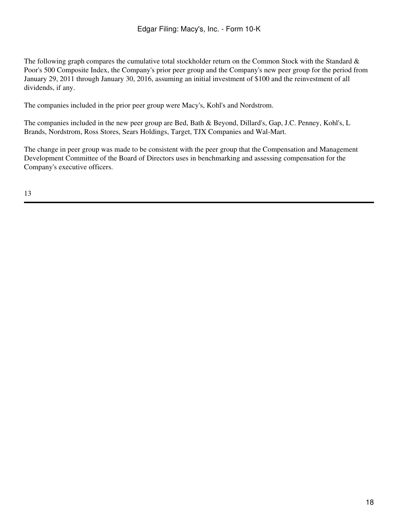The following graph compares the cumulative total stockholder return on the Common Stock with the Standard  $\&$ Poor's 500 Composite Index, the Company's prior peer group and the Company's new peer group for the period from January 29, 2011 through January 30, 2016, assuming an initial investment of \$100 and the reinvestment of all dividends, if any.

The companies included in the prior peer group were Macy's, Kohl's and Nordstrom.

The companies included in the new peer group are Bed, Bath & Beyond, Dillard's, Gap, J.C. Penney, Kohl's, L Brands, Nordstrom, Ross Stores, Sears Holdings, Target, TJX Companies and Wal-Mart.

The change in peer group was made to be consistent with the peer group that the Compensation and Management Development Committee of the Board of Directors uses in benchmarking and assessing compensation for the Company's executive officers.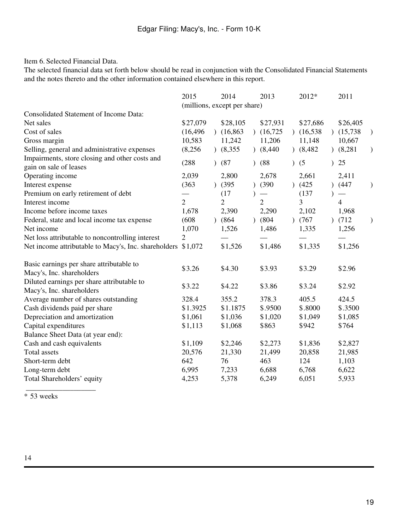### Item 6. Selected Financial Data.

The selected financial data set forth below should be read in conjunction with the Consolidated Financial Statements and the notes thereto and the other information contained elsewhere in this report.

|                                                                          | 2015           |                              | 2014           |               | 2013     | 2012*     |               | 2011     |               |
|--------------------------------------------------------------------------|----------------|------------------------------|----------------|---------------|----------|-----------|---------------|----------|---------------|
|                                                                          |                | (millions, except per share) |                |               |          |           |               |          |               |
| <b>Consolidated Statement of Income Data:</b>                            |                |                              |                |               |          |           |               |          |               |
| Net sales                                                                | \$27,079       |                              | \$28,105       |               | \$27,931 | \$27,686  |               | \$26,405 |               |
| Cost of sales                                                            | (16, 496)      |                              | (16,863)       |               | (16,725) | (16, 538) |               | (15,738) | )             |
| Gross margin                                                             | 10,583         |                              | 11,242         |               | 11,206   | 11,148    |               | 10,667   |               |
| Selling, general and administrative expenses                             | (8,256)        |                              | (8,355)        |               | (8,440)  | (8,482)   |               | (8,281)  | )             |
| Impairments, store closing and other costs and<br>gain on sale of leases | (288)          |                              | )(87)          | $\mathcal{L}$ | (88)     | (5)       | $\mathcal{L}$ | 25       |               |
| Operating income                                                         | 2,039          |                              | 2,800          |               | 2,678    | 2,661     |               | 2,411    |               |
| Interest expense                                                         | (363)          |                              | $)$ (395)      | $\mathcal{L}$ | (390)    | (425)     |               | (447)    |               |
| Premium on early retirement of debt                                      |                |                              | (17)           |               |          | (137)     |               |          |               |
| Interest income                                                          | $\overline{2}$ |                              | $\overline{2}$ |               | 2        | 3         |               | 4        |               |
| Income before income taxes                                               | 1,678          |                              | 2,390          |               | 2,290    | 2,102     |               | 1,968    |               |
| Federal, state and local income tax expense                              | (608)          |                              | $)$ (864)      | $\mathcal{L}$ | (804)    | (767)     |               | (712)    | $\mathcal{E}$ |
| Net income                                                               | 1,070          |                              | 1,526          |               | 1,486    | 1,335     |               | 1,256    |               |
| Net loss attributable to noncontrolling interest                         | $\overline{2}$ |                              |                |               |          |           |               |          |               |
| Net income attributable to Macy's, Inc. shareholders                     | \$1,072        |                              | \$1,526        |               | \$1,486  | \$1,335   |               | \$1,256  |               |
| Basic earnings per share attributable to<br>Macy's, Inc. shareholders    | \$3.26         |                              | \$4.30         |               | \$3.93   | \$3.29    |               | \$2.96   |               |
| Diluted earnings per share attributable to<br>Macy's, Inc. shareholders  | \$3.22         |                              | \$4.22         |               | \$3.86   | \$3.24    |               | \$2.92   |               |
| Average number of shares outstanding                                     | 328.4          |                              | 355.2          |               | 378.3    | 405.5     |               | 424.5    |               |
| Cash dividends paid per share                                            | \$1.3925       |                              | \$1.1875       |               | \$.9500  | \$.8000   |               | \$.3500  |               |
| Depreciation and amortization                                            | \$1,061        |                              | \$1,036        |               | \$1,020  | \$1,049   |               | \$1,085  |               |
| Capital expenditures                                                     | \$1,113        |                              | \$1,068        |               | \$863    | \$942     |               | \$764    |               |
| Balance Sheet Data (at year end):                                        |                |                              |                |               |          |           |               |          |               |
| Cash and cash equivalents                                                | \$1,109        |                              | \$2,246        |               | \$2,273  | \$1,836   |               | \$2,827  |               |
| <b>Total assets</b>                                                      | 20,576         |                              | 21,330         |               | 21,499   | 20,858    |               | 21,985   |               |
| Short-term debt                                                          | 642            |                              | 76             |               | 463      | 124       |               | 1,103    |               |
| Long-term debt                                                           | 6,995          |                              | 7,233          |               | 6,688    | 6,768     |               | 6,622    |               |
| Total Shareholders' equity                                               | 4,253          |                              | 5,378          |               | 6,249    | 6,051     |               | 5,933    |               |

\* 53 weeks

\_\_\_\_\_\_\_\_\_\_\_\_\_\_\_\_\_\_\_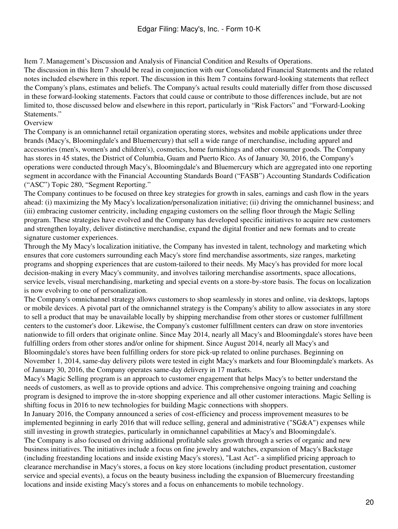Item 7. Management's Discussion and Analysis of Financial Condition and Results of Operations.

The discussion in this Item 7 should be read in conjunction with our Consolidated Financial Statements and the related notes included elsewhere in this report. The discussion in this Item 7 contains forward-looking statements that reflect the Company's plans, estimates and beliefs. The Company's actual results could materially differ from those discussed in these forward-looking statements. Factors that could cause or contribute to those differences include, but are not limited to, those discussed below and elsewhere in this report, particularly in "Risk Factors" and "Forward-Looking Statements."

### Overview

The Company is an omnichannel retail organization operating stores, websites and mobile applications under three brands (Macy's, Bloomingdale's and Bluemercury) that sell a wide range of merchandise, including apparel and accessories (men's, women's and children's), cosmetics, home furnishings and other consumer goods. The Company has stores in 45 states, the District of Columbia, Guam and Puerto Rico. As of January 30, 2016, the Company's operations were conducted through Macy's, Bloomingdale's and Bluemercury which are aggregated into one reporting segment in accordance with the Financial Accounting Standards Board ("FASB") Accounting Standards Codification ("ASC") Topic 280, "Segment Reporting."

The Company continues to be focused on three key strategies for growth in sales, earnings and cash flow in the years ahead: (i) maximizing the My Macy's localization/personalization initiative; (ii) driving the omnichannel business; and (iii) embracing customer centricity, including engaging customers on the selling floor through the Magic Selling program. These strategies have evolved and the Company has developed specific initiatives to acquire new customers and strengthen loyalty, deliver distinctive merchandise, expand the digital frontier and new formats and to create signature customer experiences.

Through the My Macy's localization initiative, the Company has invested in talent, technology and marketing which ensures that core customers surrounding each Macy's store find merchandise assortments, size ranges, marketing programs and shopping experiences that are custom-tailored to their needs. My Macy's has provided for more local decision-making in every Macy's community, and involves tailoring merchandise assortments, space allocations, service levels, visual merchandising, marketing and special events on a store-by-store basis. The focus on localization is now evolving to one of personalization.

The Company's omnichannel strategy allows customers to shop seamlessly in stores and online, via desktops, laptops or mobile devices. A pivotal part of the omnichannel strategy is the Company's ability to allow associates in any store to sell a product that may be unavailable locally by shipping merchandise from other stores or customer fulfillment centers to the customer's door. Likewise, the Company's customer fulfillment centers can draw on store inventories nationwide to fill orders that originate online. Since May 2014, nearly all Macy's and Bloomingdale's stores have been fulfilling orders from other stores and/or online for shipment. Since August 2014, nearly all Macy's and Bloomingdale's stores have been fulfilling orders for store pick-up related to online purchases. Beginning on November 1, 2014, same-day delivery pilots were tested in eight Macy's markets and four Bloomingdale's markets. As of January 30, 2016, the Company operates same-day delivery in 17 markets.

Macy's Magic Selling program is an approach to customer engagement that helps Macy's to better understand the needs of customers, as well as to provide options and advice. This comprehensive ongoing training and coaching program is designed to improve the in-store shopping experience and all other customer interactions. Magic Selling is shifting focus in 2016 to new technologies for building Magic connections with shoppers.

In January 2016, the Company announced a series of cost-efficiency and process improvement measures to be implemented beginning in early 2016 that will reduce selling, general and administrative ("SG&A") expenses while still investing in growth strategies, particularly in omnichannel capabilities at Macy's and Bloomingdale's. The Company is also focused on driving additional profitable sales growth through a series of organic and new business initiatives. The initiatives include a focus on fine jewelry and watches, expansion of Macy's Backstage (including freestanding locations and inside existing Macy's stores), "Last Act"- a simplified pricing approach to clearance merchandise in Macy's stores, a focus on key store locations (including product presentation, customer service and special events), a focus on the beauty business including the expansion of Bluemercury freestanding locations and inside existing Macy's stores and a focus on enhancements to mobile technology.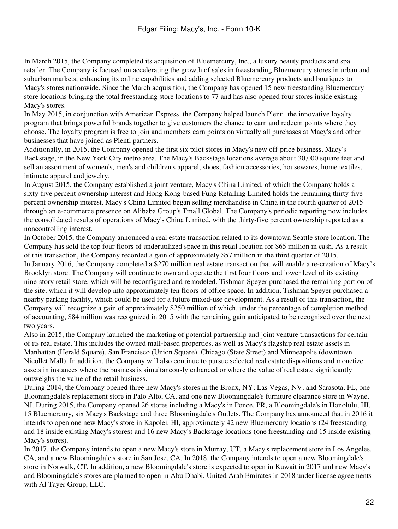In March 2015, the Company completed its acquisition of Bluemercury, Inc., a luxury beauty products and spa retailer. The Company is focused on accelerating the growth of sales in freestanding Bluemercury stores in urban and suburban markets, enhancing its online capabilities and adding selected Bluemercury products and boutiques to Macy's stores nationwide. Since the March acquisition, the Company has opened 15 new freestanding Bluemercury store locations bringing the total freestanding store locations to 77 and has also opened four stores inside existing Macy's stores.

In May 2015, in conjunction with American Express, the Company helped launch Plenti, the innovative loyalty program that brings powerful brands together to give customers the chance to earn and redeem points where they choose. The loyalty program is free to join and members earn points on virtually all purchases at Macy's and other businesses that have joined as Plenti partners.

Additionally, in 2015, the Company opened the first six pilot stores in Macy's new off-price business, Macy's Backstage, in the New York City metro area. The Macy's Backstage locations average about 30,000 square feet and sell an assortment of women's, men's and children's apparel, shoes, fashion accessories, housewares, home textiles, intimate apparel and jewelry.

In August 2015, the Company established a joint venture, Macy's China Limited, of which the Company holds a sixty-five percent ownership interest and Hong Kong-based Fung Retailing Limited holds the remaining thirty-five percent ownership interest. Macy's China Limited began selling merchandise in China in the fourth quarter of 2015 through an e-commerce presence on Alibaba Group's Tmall Global. The Company's periodic reporting now includes the consolidated results of operations of Macy's China Limited, with the thirty-five percent ownership reported as a noncontrolling interest.

In October 2015, the Company announced a real estate transaction related to its downtown Seattle store location. The Company has sold the top four floors of underutilized space in this retail location for \$65 million in cash. As a result of this transaction, the Company recorded a gain of approximately \$57 million in the third quarter of 2015. In January 2016, the Company completed a \$270 million real estate transaction that will enable a re-creation of Macy's Brooklyn store. The Company will continue to own and operate the first four floors and lower level of its existing nine-story retail store, which will be reconfigured and remodeled. Tishman Speyer purchased the remaining portion of the site, which it will develop into approximately ten floors of office space. In addition, Tishman Speyer purchased a nearby parking facility, which could be used for a future mixed-use development. As a result of this transaction, the Company will recognize a gain of approximately \$250 million of which, under the percentage of completion method of accounting, \$84 million was recognized in 2015 with the remaining gain anticipated to be recognized over the next two years.

Also in 2015, the Company launched the marketing of potential partnership and joint venture transactions for certain of its real estate. This includes the owned mall-based properties, as well as Macy's flagship real estate assets in Manhattan (Herald Square), San Francisco (Union Square), Chicago (State Street) and Minneapolis (downtown Nicollet Mall). In addition, the Company will also continue to pursue selected real estate dispositions and monetize assets in instances where the business is simultaneously enhanced or where the value of real estate significantly outweighs the value of the retail business.

During 2014, the Company opened three new Macy's stores in the Bronx, NY; Las Vegas, NV; and Sarasota, FL, one Bloomingdale's replacement store in Palo Alto, CA, and one new Bloomingdale's furniture clearance store in Wayne, NJ. During 2015, the Company opened 26 stores including a Macy's in Ponce, PR, a Bloomingdale's in Honolulu, HI, 15 Bluemercury, six Macy's Backstage and three Bloomingdale's Outlets. The Company has announced that in 2016 it intends to open one new Macy's store in Kapolei, HI, approximately 42 new Bluemercury locations (24 freestanding and 18 inside existing Macy's stores) and 16 new Macy's Backstage locations (one freestanding and 15 inside existing Macy's stores).

In 2017, the Company intends to open a new Macy's store in Murray, UT, a Macy's replacement store in Los Angeles, CA, and a new Bloomingdale's store in San Jose, CA. In 2018, the Company intends to open a new Bloomingdale's store in Norwalk, CT. In addition, a new Bloomingdale's store is expected to open in Kuwait in 2017 and new Macy's and Bloomingdale's stores are planned to open in Abu Dhabi, United Arab Emirates in 2018 under license agreements with Al Tayer Group, LLC.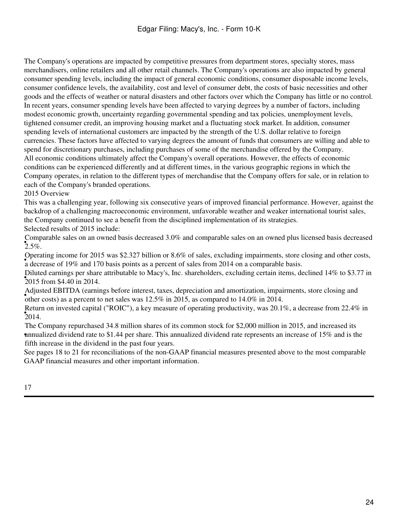The Company's operations are impacted by competitive pressures from department stores, specialty stores, mass merchandisers, online retailers and all other retail channels. The Company's operations are also impacted by general consumer spending levels, including the impact of general economic conditions, consumer disposable income levels, consumer confidence levels, the availability, cost and level of consumer debt, the costs of basic necessities and other goods and the effects of weather or natural disasters and other factors over which the Company has little or no control. In recent years, consumer spending levels have been affected to varying degrees by a number of factors, including modest economic growth, uncertainty regarding governmental spending and tax policies, unemployment levels, tightened consumer credit, an improving housing market and a fluctuating stock market. In addition, consumer spending levels of international customers are impacted by the strength of the U.S. dollar relative to foreign currencies. These factors have affected to varying degrees the amount of funds that consumers are willing and able to spend for discretionary purchases, including purchases of some of the merchandise offered by the Company. All economic conditions ultimately affect the Company's overall operations. However, the effects of economic conditions can be experienced differently and at different times, in the various geographic regions in which the Company operates, in relation to the different types of merchandise that the Company offers for sale, or in relation to each of the Company's branded operations.

## 2015 Overview

This was a challenging year, following six consecutive years of improved financial performance. However, against the backdrop of a challenging macroeconomic environment, unfavorable weather and weaker international tourist sales, the Company continued to see a benefit from the disciplined implementation of its strategies.

Selected results of 2015 include:

 $2.5\%$ . Comparable sales on an owned basis decreased 3.0% and comparable sales on an owned plus licensed basis decreased

a decrease of 19% and 170 basis points as a percent of sales from 2014 on a comparable basis. Operating income for 2015 was \$2.327 billion or 8.6% of sales, excluding impairments, store closing and other costs,

**2015** from \$4.40 in 2014. Diluted earnings per share attributable to Macy's, Inc. shareholders, excluding certain items, declined 14% to \$3.77 in

Fujusted EBT1DIV (cannings before interest, takes, depredation and amortization, impair<br>other costs) as a percent to net sales was 12.5% in 2015, as compared to 14.0% in 2014. Adjusted EBITDA (earnings before interest, taxes, depreciation and amortization, impairments, store closing and

 $2014.$ Return on invested capital ("ROIC"), a key measure of operating productivity, was 20.1%, a decrease from 22.4% in

• annualized dividend rate to \$1.44 per share. This annualized dividend rate represents an increase of 15% and is the The Company repurchased 34.8 million shares of its common stock for \$2,000 million in 2015, and increased its fifth increase in the dividend in the past four years.

See pages 18 to 21 for reconciliations of the non-GAAP financial measures presented above to the most comparable GAAP financial measures and other important information.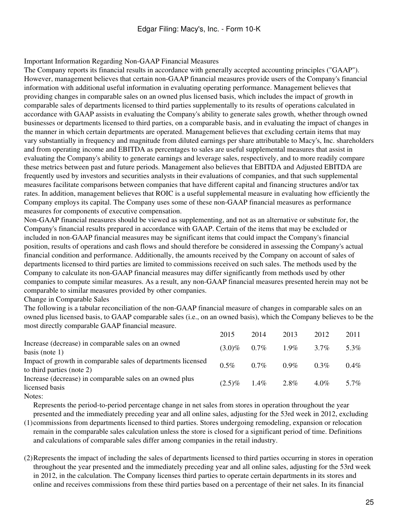### Important Information Regarding Non-GAAP Financial Measures

The Company reports its financial results in accordance with generally accepted accounting principles ("GAAP"). However, management believes that certain non-GAAP financial measures provide users of the Company's financial information with additional useful information in evaluating operating performance. Management believes that providing changes in comparable sales on an owned plus licensed basis, which includes the impact of growth in comparable sales of departments licensed to third parties supplementally to its results of operations calculated in accordance with GAAP assists in evaluating the Company's ability to generate sales growth, whether through owned businesses or departments licensed to third parties, on a comparable basis, and in evaluating the impact of changes in the manner in which certain departments are operated. Management believes that excluding certain items that may vary substantially in frequency and magnitude from diluted earnings per share attributable to Macy's, Inc. shareholders and from operating income and EBITDA as percentages to sales are useful supplemental measures that assist in evaluating the Company's ability to generate earnings and leverage sales, respectively, and to more readily compare these metrics between past and future periods. Management also believes that EBITDA and Adjusted EBITDA are frequently used by investors and securities analysts in their evaluations of companies, and that such supplemental measures facilitate comparisons between companies that have different capital and financing structures and/or tax rates. In addition, management believes that ROIC is a useful supplemental measure in evaluating how efficiently the Company employs its capital. The Company uses some of these non-GAAP financial measures as performance measures for components of executive compensation.

Non-GAAP financial measures should be viewed as supplementing, and not as an alternative or substitute for, the Company's financial results prepared in accordance with GAAP. Certain of the items that may be excluded or included in non-GAAP financial measures may be significant items that could impact the Company's financial position, results of operations and cash flows and should therefore be considered in assessing the Company's actual financial condition and performance. Additionally, the amounts received by the Company on account of sales of departments licensed to third parties are limited to commissions received on such sales. The methods used by the Company to calculate its non-GAAP financial measures may differ significantly from methods used by other companies to compute similar measures. As a result, any non-GAAP financial measures presented herein may not be comparable to similar measures provided by other companies.

Change in Comparable Sales

The following is a tabular reconciliation of the non-GAAP financial measure of changes in comparable sales on an owned plus licensed basis, to GAAP comparable sales (i.e., on an owned basis), which the Company believes to be the most directly comparable GAAP financial measure.

| 2015      | 2014    | 2013    | 2012    | 2011    |
|-----------|---------|---------|---------|---------|
| $(3.0)\%$ | $0.7\%$ | $1.9\%$ | $3.7\%$ | 5.3%    |
| $0.5\%$   | $0.7\%$ | $0.9\%$ | $0.3\%$ | $0.4\%$ |
| $(2.5)\%$ |         | $2.8\%$ | $4.0\%$ | 5.7%    |
|           |         | $1.4\%$ |         |         |

Notes:

Represents the period-to-period percentage change in net sales from stores in operation throughout the year presented and the immediately preceding year and all online sales, adjusting for the 53rd week in 2012, excluding

- (1) commissions from departments licensed to third parties. Stores undergoing remodeling, expansion or relocation remain in the comparable sales calculation unless the store is closed for a significant period of time. Definitions and calculations of comparable sales differ among companies in the retail industry.
- (2)Represents the impact of including the sales of departments licensed to third parties occurring in stores in operation throughout the year presented and the immediately preceding year and all online sales, adjusting for the 53rd week in 2012, in the calculation. The Company licenses third parties to operate certain departments in its stores and online and receives commissions from these third parties based on a percentage of their net sales. In its financial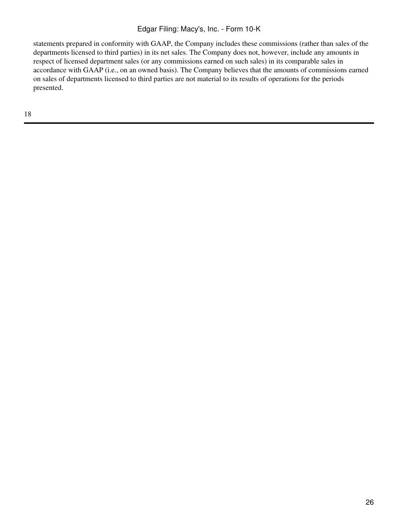# Edgar Filing: Macy's, Inc. - Form 10-K

statements prepared in conformity with GAAP, the Company includes these commissions (rather than sales of the departments licensed to third parties) in its net sales. The Company does not, however, include any amounts in respect of licensed department sales (or any commissions earned on such sales) in its comparable sales in accordance with GAAP (i.e., on an owned basis). The Company believes that the amounts of commissions earned on sales of departments licensed to third parties are not material to its results of operations for the periods presented.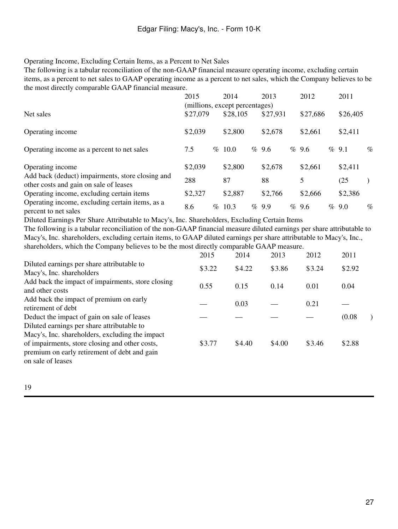#### Operating Income, Excluding Certain Items, as a Percent to Net Sales

The following is a tabular reconciliation of the non-GAAP financial measure operating income, excluding certain items, as a percent to net sales to GAAP operating income as a percent to net sales, which the Company believes to be the most directly comparable GAAP financial measure.

|                                                                                            | 2015     |      | 2014                           | 2013     | 2012     | 2011     |      |
|--------------------------------------------------------------------------------------------|----------|------|--------------------------------|----------|----------|----------|------|
|                                                                                            |          |      | (millions, except percentages) |          |          |          |      |
| Net sales                                                                                  | \$27,079 |      | \$28,105                       | \$27,931 | \$27,686 | \$26,405 |      |
| Operating income                                                                           | \$2,039  |      | \$2,800                        | \$2,678  | \$2,661  | \$2,411  |      |
| Operating income as a percent to net sales                                                 | 7.5      | $\%$ | 10.0                           | %9.6     | %9.6     | %9.1     | $\%$ |
| Operating income                                                                           | \$2,039  |      | \$2,800                        | \$2,678  | \$2,661  | \$2,411  |      |
| Add back (deduct) impairments, store closing and<br>other costs and gain on sale of leases | 288      |      | 87                             | 88       | 5        | (25)     |      |
| Operating income, excluding certain items                                                  | \$2,327  |      | \$2,887                        | \$2,766  | \$2,666  | \$2,386  |      |
| Operating income, excluding certain items, as a<br>percent to net sales                    | 8.6      | $\%$ | 10.3                           | %9.9     | %9.6     | %9.0     | $\%$ |

Diluted Earnings Per Share Attributable to Macy's, Inc. Shareholders, Excluding Certain Items

The following is a tabular reconciliation of the non-GAAP financial measure diluted earnings per share attributable to Macy's, Inc. shareholders, excluding certain items, to GAAP diluted earnings per share attributable to Macy's, Inc., shareholders, which the Company believes to be the most directly comparable GAAP measure.

|                                                                                                                                                                        | 2015   | 2014   | 2013   | 2012   | 2011   |  |
|------------------------------------------------------------------------------------------------------------------------------------------------------------------------|--------|--------|--------|--------|--------|--|
| Diluted earnings per share attributable to<br>Macy's, Inc. shareholders                                                                                                | \$3.22 | \$4.22 | \$3.86 | \$3.24 | \$2.92 |  |
| Add back the impact of impairments, store closing<br>and other costs                                                                                                   | 0.55   | 0.15   | 0.14   | 0.01   | 0.04   |  |
| Add back the impact of premium on early<br>retirement of debt                                                                                                          |        | 0.03   |        | 0.21   |        |  |
| Deduct the impact of gain on sale of leases<br>Diluted earnings per share attributable to                                                                              |        |        |        |        | (0.08) |  |
| Macy's, Inc. shareholders, excluding the impact<br>of impairments, store closing and other costs,<br>premium on early retirement of debt and gain<br>on sale of leases | \$3.77 | \$4.40 | \$4.00 | \$3.46 | \$2.88 |  |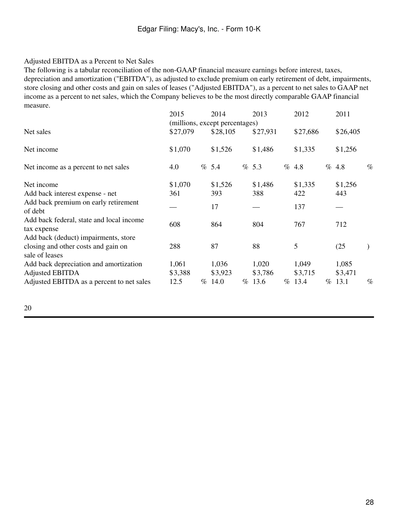## Adjusted EBITDA as a Percent to Net Sales

The following is a tabular reconciliation of the non-GAAP financial measure earnings before interest, taxes, depreciation and amortization ("EBITDA"), as adjusted to exclude premium on early retirement of debt, impairments, store closing and other costs and gain on sales of leases ("Adjusted EBITDA"), as a percent to net sales to GAAP net income as a percent to net sales, which the Company believes to be the most directly comparable GAAP financial measure.

|                                                                                                        | 2015                     |      | 2014                           |      | 2013                     |      | 2012                     |      | 2011                     |      |
|--------------------------------------------------------------------------------------------------------|--------------------------|------|--------------------------------|------|--------------------------|------|--------------------------|------|--------------------------|------|
|                                                                                                        |                          |      | (millions, except percentages) |      |                          |      |                          |      |                          |      |
| Net sales                                                                                              | \$27,079                 |      | \$28,105                       |      | \$27,931                 |      | \$27,686                 |      | \$26,405                 |      |
| Net income                                                                                             | \$1,070                  |      | \$1,526                        |      | \$1,486                  |      | \$1,335                  |      | \$1,256                  |      |
| Net income as a percent to net sales                                                                   | 4.0                      |      | % 5.4                          |      | % 5.3                    |      | % 4.8                    |      | % 4.8                    | $\%$ |
| Net income                                                                                             | \$1,070                  |      | \$1,526                        |      | \$1,486                  |      | \$1,335                  |      | \$1,256                  |      |
| Add back interest expense - net                                                                        | 361                      |      | 393                            |      | 388                      |      | 422                      |      | 443                      |      |
| Add back premium on early retirement<br>of debt                                                        |                          |      | 17                             |      |                          |      | 137                      |      |                          |      |
| Add back federal, state and local income<br>tax expense                                                | 608                      |      | 864                            |      | 804                      |      | 767                      |      | 712                      |      |
| Add back (deduct) impairments, store<br>closing and other costs and gain on<br>sale of leases          | 288                      |      | 87                             |      | 88                       |      | 5                        |      | (25)                     |      |
| Add back depreciation and amortization<br>Adjusted EBITDA<br>Adjusted EBITDA as a percent to net sales | 1,061<br>\$3,388<br>12.5 | $\%$ | 1,036<br>\$3,923<br>14.0       | $\%$ | 1,020<br>\$3,786<br>13.6 | $\%$ | 1,049<br>\$3,715<br>13.4 | $\%$ | 1,085<br>\$3,471<br>13.1 | $\%$ |
|                                                                                                        |                          |      |                                |      |                          |      |                          |      |                          |      |

20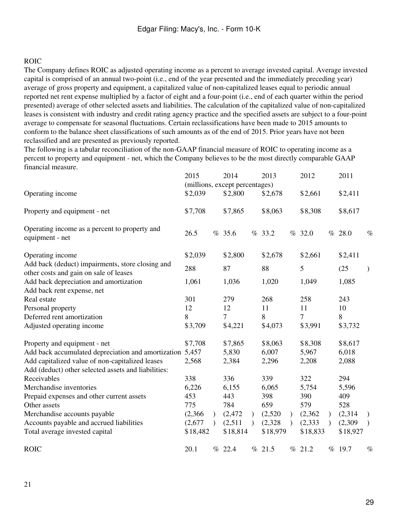## ROIC

The Company defines ROIC as adjusted operating income as a percent to average invested capital. Average invested capital is comprised of an annual two-point (i.e., end of the year presented and the immediately preceding year) average of gross property and equipment, a capitalized value of non-capitalized leases equal to periodic annual reported net rent expense multiplied by a factor of eight and a four-point (i.e., end of each quarter within the period presented) average of other selected assets and liabilities. The calculation of the capitalized value of non-capitalized leases is consistent with industry and credit rating agency practice and the specified assets are subject to a four-point average to compensate for seasonal fluctuations. Certain reclassifications have been made to 2015 amounts to conform to the balance sheet classifications of such amounts as of the end of 2015. Prior years have not been reclassified and are presented as previously reported.

The following is a tabular reconciliation of the non-GAAP financial measure of ROIC to operating income as a percent to property and equipment - net, which the Company believes to be the most directly comparable GAAP financial measure.

|                                                                                                        | 2015     |               | 2014                                      |           | 2013     |           | 2012           | 2011     |               |
|--------------------------------------------------------------------------------------------------------|----------|---------------|-------------------------------------------|-----------|----------|-----------|----------------|----------|---------------|
| Operating income                                                                                       | \$2,039  |               | (millions, except percentages)<br>\$2,800 |           | \$2,678  |           | \$2,661        | \$2,411  |               |
| Property and equipment - net                                                                           | \$7,708  |               | \$7,865                                   |           | \$8,063  |           | \$8,308        | \$8,617  |               |
| Operating income as a percent to property and<br>equipment - net                                       | 26.5     |               | % 35.6                                    |           | %33.2    |           | % 32.0         | % 28.0   | $\%$          |
| Operating income                                                                                       | \$2,039  |               | \$2,800                                   |           | \$2,678  |           | \$2,661        | \$2,411  |               |
| Add back (deduct) impairments, store closing and<br>other costs and gain on sale of leases             | 288      |               | 87                                        |           | 88       |           | 5              | (25)     | $\mathcal{L}$ |
| Add back depreciation and amortization<br>Add back rent expense, net                                   | 1,061    |               | 1,036                                     |           | 1,020    |           | 1,049          | 1,085    |               |
| Real estate                                                                                            | 301      |               | 279                                       |           | 268      |           | 258            | 243      |               |
| Personal property                                                                                      | 12       |               | 12                                        |           | 11       |           | 11             | 10       |               |
| Deferred rent amortization                                                                             | 8        |               | 7                                         |           | 8        |           | $\overline{7}$ | 8        |               |
| Adjusted operating income                                                                              | \$3,709  |               | \$4,221                                   |           | \$4,073  |           | \$3,991        | \$3,732  |               |
| Property and equipment - net                                                                           | \$7,708  |               | \$7,865                                   |           | \$8,063  |           | \$8,308        | \$8,617  |               |
| Add back accumulated depreciation and amortization                                                     | 5,457    |               | 5,830                                     |           | 6,007    |           | 5,967          | 6,018    |               |
| Add capitalized value of non-capitalized leases<br>Add (deduct) other selected assets and liabilities: | 2,568    |               | 2,384                                     |           | 2,296    |           | 2,208          | 2,088    |               |
| Receivables                                                                                            | 338      |               | 336                                       |           | 339      |           | 322            | 294      |               |
| Merchandise inventories                                                                                | 6,226    |               | 6,155                                     |           | 6,065    |           | 5,754          | 5,596    |               |
| Prepaid expenses and other current assets                                                              | 453      |               | 443                                       |           | 398      |           | 390            | 409      |               |
| Other assets                                                                                           | 775      |               | 784                                       |           | 659      |           | 579            | 528      |               |
| Merchandise accounts payable                                                                           | (2,366)  | $\lambda$     | (2, 472)                                  | $\lambda$ | (2,520)  | $\lambda$ | (2,362)        | (2,314)  | $\mathcal{L}$ |
| Accounts payable and accrued liabilities                                                               | (2,677)  | $\mathcal{L}$ | (2,511)                                   | $\lambda$ | (2,328)  | $\lambda$ | (2, 333)       | (2,309)  | $\mathcal{L}$ |
| Total average invested capital                                                                         | \$18,482 |               | \$18,814                                  |           | \$18,979 |           | \$18,833       | \$18,927 |               |
| <b>ROIC</b>                                                                                            | 20.1     |               | % 22.4                                    |           | % 21.5   |           | % 21.2         | % 19.7   | $\%$          |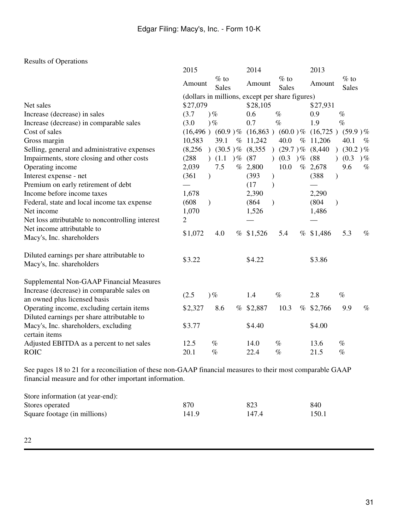# Results of Operations

|                                                                            | 2015           |               |                        | 2014       |                                                 |               | 2013                   |            |           |               |                        |            |
|----------------------------------------------------------------------------|----------------|---------------|------------------------|------------|-------------------------------------------------|---------------|------------------------|------------|-----------|---------------|------------------------|------------|
|                                                                            | Amount         |               | $%$ to<br><b>Sales</b> |            | Amount                                          |               | $%$ to<br><b>Sales</b> |            | Amount    |               | $%$ to<br><b>Sales</b> |            |
|                                                                            |                |               |                        |            | (dollars in millions, except per share figures) |               |                        |            |           |               |                        |            |
| Net sales                                                                  | \$27,079       |               |                        |            | \$28,105                                        |               |                        |            | \$27,931  |               |                        |            |
| Increase (decrease) in sales                                               | (3.7)          |               | $\partial$             |            | 0.6                                             |               | $\%$                   |            | 0.9       |               | $\%$                   |            |
| Increase (decrease) in comparable sales                                    | (3.0)          |               | $\partial$             |            | 0.7                                             |               | $\%$                   |            | 1.9       |               | $\%$                   |            |
| Cost of sales                                                              | (16, 496)      |               |                        |            | $(60.9)$ % $(16,863)$                           |               | $(60.0) \%$            |            | (16,725)  |               | $(59.9)$ %             |            |
| Gross margin                                                               | 10,583         |               | 39.1                   |            | % 11,242                                        |               | 40.0                   |            | % 11,206  |               | 40.1                   | $\%$       |
| Selling, general and administrative expenses                               | (8,256)        |               |                        |            | $(30.5)$ % $(8,355)$                            |               | $(29.7)$ %             |            | (8,440)   |               | (30.2) %               |            |
| Impairments, store closing and other costs                                 | (288)          |               | (1.1)                  | $\partial$ | (87)                                            |               | (0.3)                  | $\partial$ | (88)      |               | (0.3)                  | $\partial$ |
| Operating income                                                           | 2,039          |               | 7.5                    |            | % 2,800                                         |               | 10.0                   |            | % 2,678   |               | 9.6                    | $\%$       |
| Interest expense - net                                                     | (361)          | $\lambda$     |                        |            | (393)                                           | $\mathcal{E}$ |                        |            | (388)     | $\mathcal{E}$ |                        |            |
| Premium on early retirement of debt                                        |                |               |                        |            | (17)                                            | $\mathcal{E}$ |                        |            |           |               |                        |            |
| Income before income taxes                                                 | 1,678          |               |                        |            | 2,390                                           |               |                        |            | 2,290     |               |                        |            |
| Federal, state and local income tax expense                                | (608)          | $\mathcal{E}$ |                        |            | (864)                                           | $\lambda$     |                        |            | (804)     | $\mathcal{E}$ |                        |            |
| Net income                                                                 | 1,070          |               |                        |            | 1,526                                           |               |                        |            | 1,486     |               |                        |            |
| Net loss attributable to noncontrolling interest                           | $\overline{2}$ |               |                        |            |                                                 |               |                        |            |           |               |                        |            |
| Net income attributable to                                                 |                |               |                        |            |                                                 |               |                        |            |           |               |                        |            |
| Macy's, Inc. shareholders                                                  | \$1,072        |               | 4.0                    |            | % 1,526                                         |               | 5.4                    |            | % \$1,486 |               | 5.3                    | $\%$       |
| Diluted earnings per share attributable to<br>Macy's, Inc. shareholders    | \$3.22         |               |                        |            | \$4.22                                          |               |                        |            | \$3.86    |               |                        |            |
| Supplemental Non-GAAP Financial Measures                                   |                |               |                        |            |                                                 |               |                        |            |           |               |                        |            |
| Increase (decrease) in comparable sales on<br>an owned plus licensed basis | (2.5)          |               | $\partial$             |            | 1.4                                             |               | $\%$                   |            | 2.8       |               | $\%$                   |            |
| Operating income, excluding certain items                                  | \$2,327        |               | 8.6                    | $\%$       | \$2,887                                         |               | 10.3                   | $\%$       | \$2,766   |               | 9.9                    | $\%$       |
| Diluted earnings per share attributable to                                 |                |               |                        |            |                                                 |               |                        |            |           |               |                        |            |
| Macy's, Inc. shareholders, excluding                                       | \$3.77         |               |                        |            | \$4.40                                          |               |                        |            | \$4.00    |               |                        |            |
| certain items                                                              |                |               |                        |            |                                                 |               |                        |            |           |               |                        |            |
| Adjusted EBITDA as a percent to net sales                                  | 12.5           |               | $\%$                   |            | 14.0                                            |               | $\%$                   |            | 13.6      |               | $\%$                   |            |
| <b>ROIC</b>                                                                | 20.1           |               | $\%$                   |            | 22.4                                            |               | $\%$                   |            | 21.5      |               | $\%$                   |            |

See pages 18 to 21 for a reconciliation of these non-GAAP financial measures to their most comparable GAAP financial measure and for other important information.

| Store information (at year-end): |       |       |       |
|----------------------------------|-------|-------|-------|
| Stores operated                  | 870   | 823   | 840   |
| Square footage (in millions)     | 141.9 | 147.4 | 150.1 |

22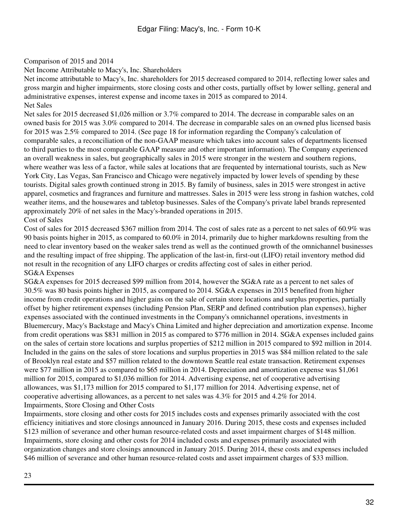Comparison of 2015 and 2014

Net Income Attributable to Macy's, Inc. Shareholders

Net income attributable to Macy's, Inc. shareholders for 2015 decreased compared to 2014, reflecting lower sales and gross margin and higher impairments, store closing costs and other costs, partially offset by lower selling, general and administrative expenses, interest expense and income taxes in 2015 as compared to 2014. Net Sales

Net sales for 2015 decreased \$1,026 million or 3.7% compared to 2014. The decrease in comparable sales on an owned basis for 2015 was 3.0% compared to 2014. The decrease in comparable sales on an owned plus licensed basis for 2015 was 2.5% compared to 2014. (See page 18 for information regarding the Company's calculation of comparable sales, a reconciliation of the non-GAAP measure which takes into account sales of departments licensed to third parties to the most comparable GAAP measure and other important information). The Company experienced an overall weakness in sales, but geographically sales in 2015 were stronger in the western and southern regions, where weather was less of a factor, while sales at locations that are frequented by international tourists, such as New York City, Las Vegas, San Francisco and Chicago were negatively impacted by lower levels of spending by these tourists. Digital sales growth continued strong in 2015. By family of business, sales in 2015 were strongest in active apparel, cosmetics and fragrances and furniture and mattresses. Sales in 2015 were less strong in fashion watches, cold weather items, and the housewares and tabletop businesses. Sales of the Company's private label brands represented approximately 20% of net sales in the Macy's-branded operations in 2015. Cost of Sales

Cost of sales for 2015 decreased \$367 million from 2014. The cost of sales rate as a percent to net sales of 60.9% was 90 basis points higher in 2015, as compared to 60.0% in 2014, primarily due to higher markdowns resulting from the need to clear inventory based on the weaker sales trend as well as the continued growth of the omnichannel businesses and the resulting impact of free shipping. The application of the last-in, first-out (LIFO) retail inventory method did not result in the recognition of any LIFO charges or credits affecting cost of sales in either period. SG&A Expenses

SG&A expenses for 2015 decreased \$99 million from 2014, however the SG&A rate as a percent to net sales of 30.5% was 80 basis points higher in 2015, as compared to 2014. SG&A expenses in 2015 benefited from higher income from credit operations and higher gains on the sale of certain store locations and surplus properties, partially offset by higher retirement expenses (including Pension Plan, SERP and defined contribution plan expenses), higher expenses associated with the continued investments in the Company's omnichannel operations, investments in Bluemercury, Macy's Backstage and Macy's China Limited and higher depreciation and amortization expense. Income from credit operations was \$831 million in 2015 as compared to \$776 million in 2014. SG&A expenses included gains on the sales of certain store locations and surplus properties of \$212 million in 2015 compared to \$92 million in 2014. Included in the gains on the sales of store locations and surplus properties in 2015 was \$84 million related to the sale of Brooklyn real estate and \$57 million related to the downtown Seattle real estate transaction. Retirement expenses were \$77 million in 2015 as compared to \$65 million in 2014. Depreciation and amortization expense was \$1,061 million for 2015, compared to \$1,036 million for 2014. Advertising expense, net of cooperative advertising allowances, was \$1,173 million for 2015 compared to \$1,177 million for 2014. Advertising expense, net of cooperative advertising allowances, as a percent to net sales was 4.3% for 2015 and 4.2% for 2014. Impairments, Store Closing and Other Costs

Impairments, store closing and other costs for 2015 includes costs and expenses primarily associated with the cost efficiency initiatives and store closings announced in January 2016. During 2015, these costs and expenses included \$123 million of severance and other human resource-related costs and asset impairment charges of \$148 million. Impairments, store closing and other costs for 2014 included costs and expenses primarily associated with organization changes and store closings announced in January 2015. During 2014, these costs and expenses included \$46 million of severance and other human resource-related costs and asset impairment charges of \$33 million.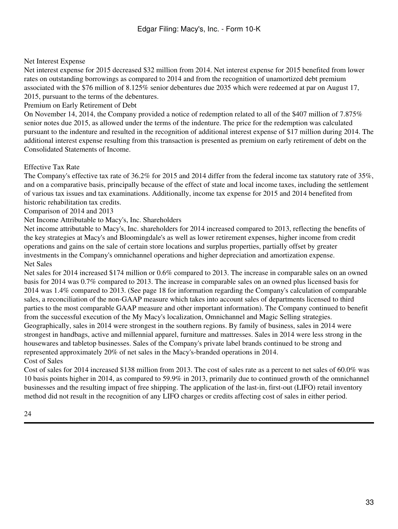## Net Interest Expense

Net interest expense for 2015 decreased \$32 million from 2014. Net interest expense for 2015 benefited from lower rates on outstanding borrowings as compared to 2014 and from the recognition of unamortized debt premium associated with the \$76 million of 8.125% senior debentures due 2035 which were redeemed at par on August 17, 2015, pursuant to the terms of the debentures.

### Premium on Early Retirement of Debt

On November 14, 2014, the Company provided a notice of redemption related to all of the \$407 million of 7.875% senior notes due 2015, as allowed under the terms of the indenture. The price for the redemption was calculated pursuant to the indenture and resulted in the recognition of additional interest expense of \$17 million during 2014. The additional interest expense resulting from this transaction is presented as premium on early retirement of debt on the Consolidated Statements of Income.

## Effective Tax Rate

The Company's effective tax rate of 36.2% for 2015 and 2014 differ from the federal income tax statutory rate of 35%, and on a comparative basis, principally because of the effect of state and local income taxes, including the settlement of various tax issues and tax examinations. Additionally, income tax expense for 2015 and 2014 benefited from historic rehabilitation tax credits.

Comparison of 2014 and 2013

Net Income Attributable to Macy's, Inc. Shareholders

Net income attributable to Macy's, Inc. shareholders for 2014 increased compared to 2013, reflecting the benefits of the key strategies at Macy's and Bloomingdale's as well as lower retirement expenses, higher income from credit operations and gains on the sale of certain store locations and surplus properties, partially offset by greater investments in the Company's omnichannel operations and higher depreciation and amortization expense. Net Sales

Net sales for 2014 increased \$174 million or 0.6% compared to 2013. The increase in comparable sales on an owned basis for 2014 was 0.7% compared to 2013. The increase in comparable sales on an owned plus licensed basis for 2014 was 1.4% compared to 2013. (See page 18 for information regarding the Company's calculation of comparable sales, a reconciliation of the non-GAAP measure which takes into account sales of departments licensed to third parties to the most comparable GAAP measure and other important information). The Company continued to benefit from the successful execution of the My Macy's localization, Omnichannel and Magic Selling strategies. Geographically, sales in 2014 were strongest in the southern regions. By family of business, sales in 2014 were strongest in handbags, active and millennial apparel, furniture and mattresses. Sales in 2014 were less strong in the housewares and tabletop businesses. Sales of the Company's private label brands continued to be strong and represented approximately 20% of net sales in the Macy's-branded operations in 2014. Cost of Sales

Cost of sales for 2014 increased \$138 million from 2013. The cost of sales rate as a percent to net sales of 60.0% was 10 basis points higher in 2014, as compared to 59.9% in 2013, primarily due to continued growth of the omnichannel businesses and the resulting impact of free shipping. The application of the last-in, first-out (LIFO) retail inventory method did not result in the recognition of any LIFO charges or credits affecting cost of sales in either period.

24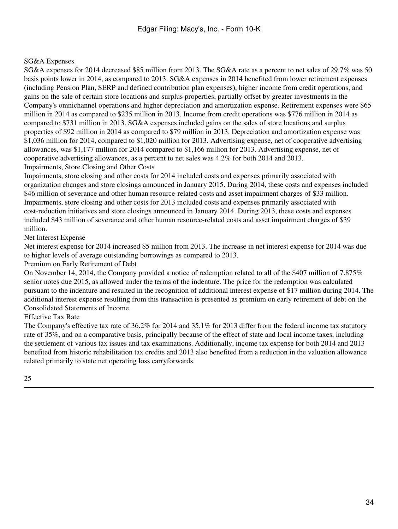# SG&A Expenses

SG&A expenses for 2014 decreased \$85 million from 2013. The SG&A rate as a percent to net sales of 29.7% was 50 basis points lower in 2014, as compared to 2013. SG&A expenses in 2014 benefited from lower retirement expenses (including Pension Plan, SERP and defined contribution plan expenses), higher income from credit operations, and gains on the sale of certain store locations and surplus properties, partially offset by greater investments in the Company's omnichannel operations and higher depreciation and amortization expense. Retirement expenses were \$65 million in 2014 as compared to \$235 million in 2013. Income from credit operations was \$776 million in 2014 as compared to \$731 million in 2013. SG&A expenses included gains on the sales of store locations and surplus properties of \$92 million in 2014 as compared to \$79 million in 2013. Depreciation and amortization expense was \$1,036 million for 2014, compared to \$1,020 million for 2013. Advertising expense, net of cooperative advertising allowances, was \$1,177 million for 2014 compared to \$1,166 million for 2013. Advertising expense, net of cooperative advertising allowances, as a percent to net sales was 4.2% for both 2014 and 2013. Impairments, Store Closing and Other Costs

Impairments, store closing and other costs for 2014 included costs and expenses primarily associated with organization changes and store closings announced in January 2015. During 2014, these costs and expenses included \$46 million of severance and other human resource-related costs and asset impairment charges of \$33 million. Impairments, store closing and other costs for 2013 included costs and expenses primarily associated with cost-reduction initiatives and store closings announced in January 2014. During 2013, these costs and expenses included \$43 million of severance and other human resource-related costs and asset impairment charges of \$39 million.

Net Interest Expense

Net interest expense for 2014 increased \$5 million from 2013. The increase in net interest expense for 2014 was due to higher levels of average outstanding borrowings as compared to 2013.

Premium on Early Retirement of Debt

On November 14, 2014, the Company provided a notice of redemption related to all of the \$407 million of 7.875% senior notes due 2015, as allowed under the terms of the indenture. The price for the redemption was calculated pursuant to the indenture and resulted in the recognition of additional interest expense of \$17 million during 2014. The additional interest expense resulting from this transaction is presented as premium on early retirement of debt on the Consolidated Statements of Income.

## Effective Tax Rate

The Company's effective tax rate of 36.2% for 2014 and 35.1% for 2013 differ from the federal income tax statutory rate of 35%, and on a comparative basis, principally because of the effect of state and local income taxes, including the settlement of various tax issues and tax examinations. Additionally, income tax expense for both 2014 and 2013 benefited from historic rehabilitation tax credits and 2013 also benefited from a reduction in the valuation allowance related primarily to state net operating loss carryforwards.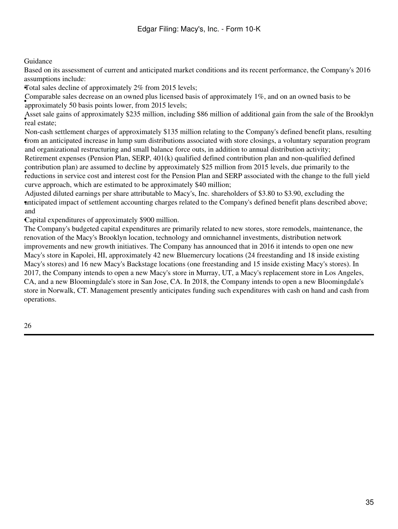Guidance

Based on its assessment of current and anticipated market conditions and its recent performance, the Company's 2016 assumptions include:

•Total sales decline of approximately 2% from 2015 levels;

• approximately 50 basis points lower, from 2015 levels; Comparable sales decrease on an owned plus licensed basis of approximately 1%, and on an owned basis to be

the state; Asset sale gains of approximately \$235 million, including \$86 million of additional gain from the sale of the Brooklyn

from an anticipated increase in lump sum distributions associated with store closings, a voluntary separation program Non-cash settlement charges of approximately \$135 million relating to the Company's defined benefit plans, resulting and organizational restructuring and small balance force outs, in addition to annual distribution activity;

reductions in service cost and interest cost for the Pension Plan and SERP associated with the change to the full yield Retirement expenses (Pension Plan, SERP, 401(k) qualified defined contribution plan and non-qualified defined contribution plan) are assumed to decline by approximately \$25 million from 2015 levels, due primarily to the curve approach, which are estimated to be approximately \$40 million;

• anticipated impact of settlement accounting charges related to the Company's defined benefit plans described above; Adjusted diluted earnings per share attributable to Macy's, Inc. shareholders of \$3.80 to \$3.90, excluding the and

•Capital expenditures of approximately \$900 million.

The Company's budgeted capital expenditures are primarily related to new stores, store remodels, maintenance, the renovation of the Macy's Brooklyn location, technology and omnichannel investments, distribution network improvements and new growth initiatives. The Company has announced that in 2016 it intends to open one new Macy's store in Kapolei, HI, approximately 42 new Bluemercury locations (24 freestanding and 18 inside existing Macy's stores) and 16 new Macy's Backstage locations (one freestanding and 15 inside existing Macy's stores). In 2017, the Company intends to open a new Macy's store in Murray, UT, a Macy's replacement store in Los Angeles, CA, and a new Bloomingdale's store in San Jose, CA. In 2018, the Company intends to open a new Bloomingdale's store in Norwalk, CT. Management presently anticipates funding such expenditures with cash on hand and cash from operations.

26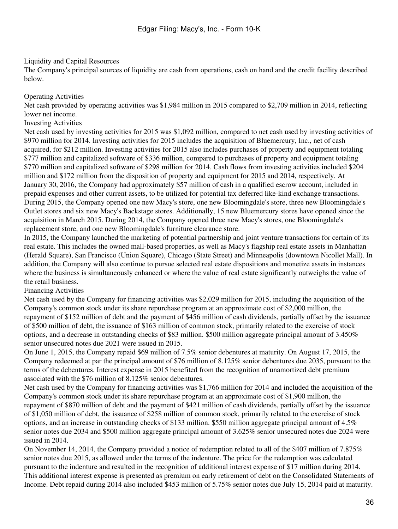# Liquidity and Capital Resources

The Company's principal sources of liquidity are cash from operations, cash on hand and the credit facility described below.

## Operating Activities

Net cash provided by operating activities was \$1,984 million in 2015 compared to \$2,709 million in 2014, reflecting lower net income.

### Investing Activities

Net cash used by investing activities for 2015 was \$1,092 million, compared to net cash used by investing activities of \$970 million for 2014. Investing activities for 2015 includes the acquisition of Bluemercury, Inc., net of cash acquired, for \$212 million. Investing activities for 2015 also includes purchases of property and equipment totaling \$777 million and capitalized software of \$336 million, compared to purchases of property and equipment totaling \$770 million and capitalized software of \$298 million for 2014. Cash flows from investing activities included \$204 million and \$172 million from the disposition of property and equipment for 2015 and 2014, respectively. At January 30, 2016, the Company had approximately \$57 million of cash in a qualified escrow account, included in prepaid expenses and other current assets, to be utilized for potential tax deferred like-kind exchange transactions. During 2015, the Company opened one new Macy's store, one new Bloomingdale's store, three new Bloomingdale's Outlet stores and six new Macy's Backstage stores. Additionally, 15 new Bluemercury stores have opened since the acquisition in March 2015. During 2014, the Company opened three new Macy's stores, one Bloomingdale's replacement store, and one new Bloomingdale's furniture clearance store.

In 2015, the Company launched the marketing of potential partnership and joint venture transactions for certain of its real estate. This includes the owned mall-based properties, as well as Macy's flagship real estate assets in Manhattan (Herald Square), San Francisco (Union Square), Chicago (State Street) and Minneapolis (downtown Nicollet Mall). In addition, the Company will also continue to pursue selected real estate dispositions and monetize assets in instances where the business is simultaneously enhanced or where the value of real estate significantly outweighs the value of the retail business.

## Financing Activities

Net cash used by the Company for financing activities was \$2,029 million for 2015, including the acquisition of the Company's common stock under its share repurchase program at an approximate cost of \$2,000 million, the repayment of \$152 million of debt and the payment of \$456 million of cash dividends, partially offset by the issuance of \$500 million of debt, the issuance of \$163 million of common stock, primarily related to the exercise of stock options, and a decrease in outstanding checks of \$83 million. \$500 million aggregate principal amount of 3.450% senior unsecured notes due 2021 were issued in 2015.

On June 1, 2015, the Company repaid \$69 million of 7.5% senior debentures at maturity. On August 17, 2015, the Company redeemed at par the principal amount of \$76 million of 8.125% senior debentures due 2035, pursuant to the terms of the debentures. Interest expense in 2015 benefited from the recognition of unamortized debt premium associated with the \$76 million of 8.125% senior debentures.

Net cash used by the Company for financing activities was \$1,766 million for 2014 and included the acquisition of the Company's common stock under its share repurchase program at an approximate cost of \$1,900 million, the repayment of \$870 million of debt and the payment of \$421 million of cash dividends, partially offset by the issuance of \$1,050 million of debt, the issuance of \$258 million of common stock, primarily related to the exercise of stock options, and an increase in outstanding checks of \$133 million. \$550 million aggregate principal amount of 4.5% senior notes due 2034 and \$500 million aggregate principal amount of 3.625% senior unsecured notes due 2024 were issued in 2014.

On November 14, 2014, the Company provided a notice of redemption related to all of the \$407 million of 7.875% senior notes due 2015, as allowed under the terms of the indenture. The price for the redemption was calculated pursuant to the indenture and resulted in the recognition of additional interest expense of \$17 million during 2014. This additional interest expense is presented as premium on early retirement of debt on the Consolidated Statements of Income. Debt repaid during 2014 also included \$453 million of 5.75% senior notes due July 15, 2014 paid at maturity.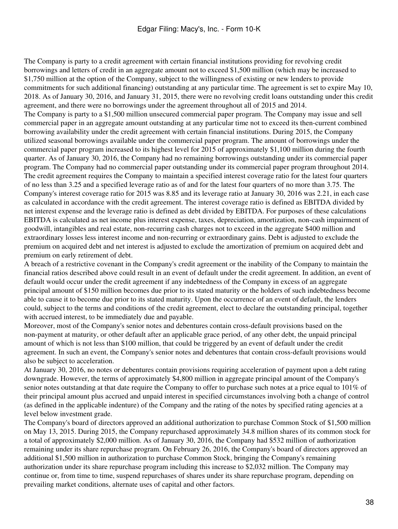The Company is party to a credit agreement with certain financial institutions providing for revolving credit borrowings and letters of credit in an aggregate amount not to exceed \$1,500 million (which may be increased to \$1,750 million at the option of the Company, subject to the willingness of existing or new lenders to provide commitments for such additional financing) outstanding at any particular time. The agreement is set to expire May 10, 2018. As of January 30, 2016, and January 31, 2015, there were no revolving credit loans outstanding under this credit agreement, and there were no borrowings under the agreement throughout all of 2015 and 2014. The Company is party to a \$1,500 million unsecured commercial paper program. The Company may issue and sell commercial paper in an aggregate amount outstanding at any particular time not to exceed its then-current combined borrowing availability under the credit agreement with certain financial institutions. During 2015, the Company utilized seasonal borrowings available under the commercial paper program. The amount of borrowings under the commercial paper program increased to its highest level for 2015 of approximately \$1,100 million during the fourth quarter. As of January 30, 2016, the Company had no remaining borrowings outstanding under its commercial paper program. The Company had no commercial paper outstanding under its commercial paper program throughout 2014. The credit agreement requires the Company to maintain a specified interest coverage ratio for the latest four quarters of no less than 3.25 and a specified leverage ratio as of and for the latest four quarters of no more than 3.75. The Company's interest coverage ratio for 2015 was 8.85 and its leverage ratio at January 30, 2016 was 2.21, in each case as calculated in accordance with the credit agreement. The interest coverage ratio is defined as EBITDA divided by net interest expense and the leverage ratio is defined as debt divided by EBITDA. For purposes of these calculations EBITDA is calculated as net income plus interest expense, taxes, depreciation, amortization, non-cash impairment of goodwill, intangibles and real estate, non-recurring cash charges not to exceed in the aggregate \$400 million and extraordinary losses less interest income and non-recurring or extraordinary gains. Debt is adjusted to exclude the premium on acquired debt and net interest is adjusted to exclude the amortization of premium on acquired debt and premium on early retirement of debt.

A breach of a restrictive covenant in the Company's credit agreement or the inability of the Company to maintain the financial ratios described above could result in an event of default under the credit agreement. In addition, an event of default would occur under the credit agreement if any indebtedness of the Company in excess of an aggregate principal amount of \$150 million becomes due prior to its stated maturity or the holders of such indebtedness become able to cause it to become due prior to its stated maturity. Upon the occurrence of an event of default, the lenders could, subject to the terms and conditions of the credit agreement, elect to declare the outstanding principal, together with accrued interest, to be immediately due and payable.

Moreover, most of the Company's senior notes and debentures contain cross-default provisions based on the non-payment at maturity, or other default after an applicable grace period, of any other debt, the unpaid principal amount of which is not less than \$100 million, that could be triggered by an event of default under the credit agreement. In such an event, the Company's senior notes and debentures that contain cross-default provisions would also be subject to acceleration.

At January 30, 2016, no notes or debentures contain provisions requiring acceleration of payment upon a debt rating downgrade. However, the terms of approximately \$4,800 million in aggregate principal amount of the Company's senior notes outstanding at that date require the Company to offer to purchase such notes at a price equal to 101% of their principal amount plus accrued and unpaid interest in specified circumstances involving both a change of control (as defined in the applicable indenture) of the Company and the rating of the notes by specified rating agencies at a level below investment grade.

The Company's board of directors approved an additional authorization to purchase Common Stock of \$1,500 million on May 13, 2015. During 2015, the Company repurchased approximately 34.8 million shares of its common stock for a total of approximately \$2,000 million. As of January 30, 2016, the Company had \$532 million of authorization remaining under its share repurchase program. On February 26, 2016, the Company's board of directors approved an additional \$1,500 million in authorization to purchase Common Stock, bringing the Company's remaining authorization under its share repurchase program including this increase to \$2,032 million. The Company may continue or, from time to time, suspend repurchases of shares under its share repurchase program, depending on prevailing market conditions, alternate uses of capital and other factors.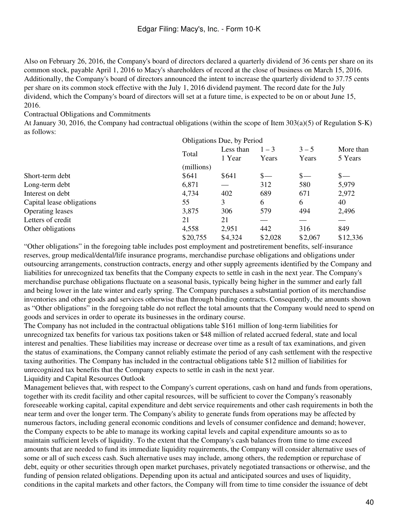Also on February 26, 2016, the Company's board of directors declared a quarterly dividend of 36 cents per share on its common stock, payable April 1, 2016 to Macy's shareholders of record at the close of business on March 15, 2016. Additionally, the Company's board of directors announced the intent to increase the quarterly dividend to 37.75 cents per share on its common stock effective with the July 1, 2016 dividend payment. The record date for the July dividend, which the Company's board of directors will set at a future time, is expected to be on or about June 15, 2016.

### Contractual Obligations and Commitments

At January 30, 2016, the Company had contractual obligations (within the scope of Item 303(a)(5) of Regulation S-K) as follows:

|                           | Obligations Due, by Period |           |                |         |           |
|---------------------------|----------------------------|-----------|----------------|---------|-----------|
|                           | Total                      | Less than | $1 - 3$        | $3 - 5$ | More than |
|                           |                            | 1 Year    | Years          | Years   | 5 Years   |
|                           | (millions)                 |           |                |         |           |
| Short-term debt           | \$641                      | \$641     | $\mathcal{S}-$ | $S-$    | $s-$      |
| Long-term debt            | 6,871                      |           | 312            | 580     | 5,979     |
| Interest on debt          | 4,734                      | 402       | 689            | 671     | 2,972     |
| Capital lease obligations | 55                         | 3         | 6              | 6       | 40        |
| <b>Operating leases</b>   | 3,875                      | 306       | 579            | 494     | 2,496     |
| Letters of credit         | 21                         | 21        |                |         |           |
| Other obligations         | 4,558                      | 2,951     | 442            | 316     | 849       |
|                           | \$20,755                   | \$4,324   | \$2,028        | \$2,067 | \$12,336  |

"Other obligations" in the foregoing table includes post employment and postretirement benefits, self-insurance reserves, group medical/dental/life insurance programs, merchandise purchase obligations and obligations under outsourcing arrangements, construction contracts, energy and other supply agreements identified by the Company and liabilities for unrecognized tax benefits that the Company expects to settle in cash in the next year. The Company's merchandise purchase obligations fluctuate on a seasonal basis, typically being higher in the summer and early fall and being lower in the late winter and early spring. The Company purchases a substantial portion of its merchandise inventories and other goods and services otherwise than through binding contracts. Consequently, the amounts shown as "Other obligations" in the foregoing table do not reflect the total amounts that the Company would need to spend on goods and services in order to operate its businesses in the ordinary course.

The Company has not included in the contractual obligations table \$161 million of long-term liabilities for unrecognized tax benefits for various tax positions taken or \$48 million of related accrued federal, state and local interest and penalties. These liabilities may increase or decrease over time as a result of tax examinations, and given the status of examinations, the Company cannot reliably estimate the period of any cash settlement with the respective taxing authorities. The Company has included in the contractual obligations table \$12 million of liabilities for unrecognized tax benefits that the Company expects to settle in cash in the next year.

Liquidity and Capital Resources Outlook

Management believes that, with respect to the Company's current operations, cash on hand and funds from operations, together with its credit facility and other capital resources, will be sufficient to cover the Company's reasonably foreseeable working capital, capital expenditure and debt service requirements and other cash requirements in both the near term and over the longer term. The Company's ability to generate funds from operations may be affected by numerous factors, including general economic conditions and levels of consumer confidence and demand; however, the Company expects to be able to manage its working capital levels and capital expenditure amounts so as to maintain sufficient levels of liquidity. To the extent that the Company's cash balances from time to time exceed amounts that are needed to fund its immediate liquidity requirements, the Company will consider alternative uses of some or all of such excess cash. Such alternative uses may include, among others, the redemption or repurchase of debt, equity or other securities through open market purchases, privately negotiated transactions or otherwise, and the funding of pension related obligations. Depending upon its actual and anticipated sources and uses of liquidity, conditions in the capital markets and other factors, the Company will from time to time consider the issuance of debt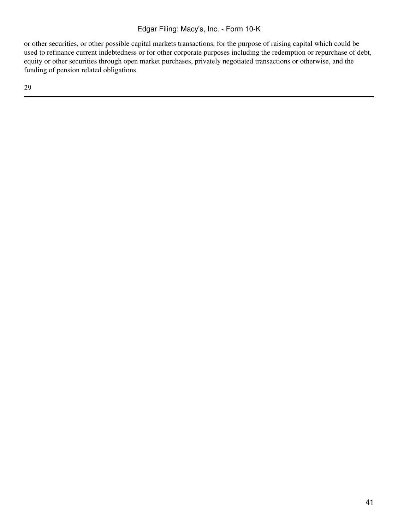# Edgar Filing: Macy's, Inc. - Form 10-K

or other securities, or other possible capital markets transactions, for the purpose of raising capital which could be used to refinance current indebtedness or for other corporate purposes including the redemption or repurchase of debt, equity or other securities through open market purchases, privately negotiated transactions or otherwise, and the funding of pension related obligations.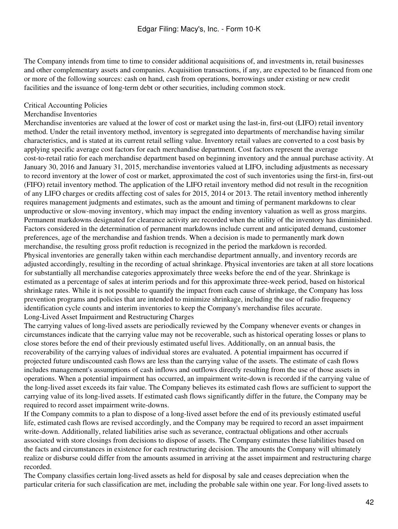The Company intends from time to time to consider additional acquisitions of, and investments in, retail businesses and other complementary assets and companies. Acquisition transactions, if any, are expected to be financed from one or more of the following sources: cash on hand, cash from operations, borrowings under existing or new credit facilities and the issuance of long-term debt or other securities, including common stock.

#### Critical Accounting Policies

#### Merchandise Inventories

Merchandise inventories are valued at the lower of cost or market using the last-in, first-out (LIFO) retail inventory method. Under the retail inventory method, inventory is segregated into departments of merchandise having similar characteristics, and is stated at its current retail selling value. Inventory retail values are converted to a cost basis by applying specific average cost factors for each merchandise department. Cost factors represent the average cost-to-retail ratio for each merchandise department based on beginning inventory and the annual purchase activity. At January 30, 2016 and January 31, 2015, merchandise inventories valued at LIFO, including adjustments as necessary to record inventory at the lower of cost or market, approximated the cost of such inventories using the first-in, first-out (FIFO) retail inventory method. The application of the LIFO retail inventory method did not result in the recognition of any LIFO charges or credits affecting cost of sales for 2015, 2014 or 2013. The retail inventory method inherently requires management judgments and estimates, such as the amount and timing of permanent markdowns to clear unproductive or slow-moving inventory, which may impact the ending inventory valuation as well as gross margins. Permanent markdowns designated for clearance activity are recorded when the utility of the inventory has diminished. Factors considered in the determination of permanent markdowns include current and anticipated demand, customer preferences, age of the merchandise and fashion trends. When a decision is made to permanently mark down merchandise, the resulting gross profit reduction is recognized in the period the markdown is recorded. Physical inventories are generally taken within each merchandise department annually, and inventory records are adjusted accordingly, resulting in the recording of actual shrinkage. Physical inventories are taken at all store locations for substantially all merchandise categories approximately three weeks before the end of the year. Shrinkage is estimated as a percentage of sales at interim periods and for this approximate three-week period, based on historical shrinkage rates. While it is not possible to quantify the impact from each cause of shrinkage, the Company has loss prevention programs and policies that are intended to minimize shrinkage, including the use of radio frequency identification cycle counts and interim inventories to keep the Company's merchandise files accurate. Long-Lived Asset Impairment and Restructuring Charges

The carrying values of long-lived assets are periodically reviewed by the Company whenever events or changes in circumstances indicate that the carrying value may not be recoverable, such as historical operating losses or plans to close stores before the end of their previously estimated useful lives. Additionally, on an annual basis, the recoverability of the carrying values of individual stores are evaluated. A potential impairment has occurred if projected future undiscounted cash flows are less than the carrying value of the assets. The estimate of cash flows includes management's assumptions of cash inflows and outflows directly resulting from the use of those assets in operations. When a potential impairment has occurred, an impairment write-down is recorded if the carrying value of the long-lived asset exceeds its fair value. The Company believes its estimated cash flows are sufficient to support the carrying value of its long-lived assets. If estimated cash flows significantly differ in the future, the Company may be required to record asset impairment write-downs.

If the Company commits to a plan to dispose of a long-lived asset before the end of its previously estimated useful life, estimated cash flows are revised accordingly, and the Company may be required to record an asset impairment write-down. Additionally, related liabilities arise such as severance, contractual obligations and other accruals associated with store closings from decisions to dispose of assets. The Company estimates these liabilities based on the facts and circumstances in existence for each restructuring decision. The amounts the Company will ultimately realize or disburse could differ from the amounts assumed in arriving at the asset impairment and restructuring charge recorded.

The Company classifies certain long-lived assets as held for disposal by sale and ceases depreciation when the particular criteria for such classification are met, including the probable sale within one year. For long-lived assets to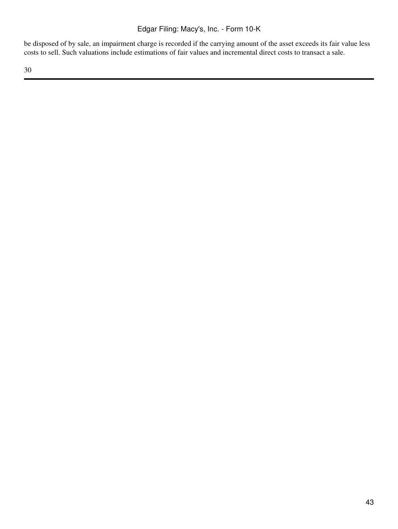be disposed of by sale, an impairment charge is recorded if the carrying amount of the asset exceeds its fair value less costs to sell. Such valuations include estimations of fair values and incremental direct costs to transact a sale.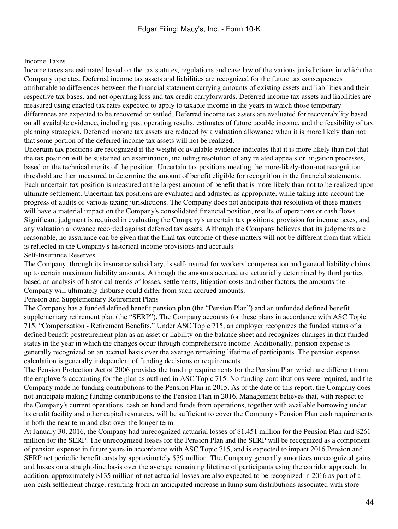#### Income Taxes

Income taxes are estimated based on the tax statutes, regulations and case law of the various jurisdictions in which the Company operates. Deferred income tax assets and liabilities are recognized for the future tax consequences attributable to differences between the financial statement carrying amounts of existing assets and liabilities and their respective tax bases, and net operating loss and tax credit carryforwards. Deferred income tax assets and liabilities are measured using enacted tax rates expected to apply to taxable income in the years in which those temporary differences are expected to be recovered or settled. Deferred income tax assets are evaluated for recoverability based on all available evidence, including past operating results, estimates of future taxable income, and the feasibility of tax planning strategies. Deferred income tax assets are reduced by a valuation allowance when it is more likely than not that some portion of the deferred income tax assets will not be realized.

Uncertain tax positions are recognized if the weight of available evidence indicates that it is more likely than not that the tax position will be sustained on examination, including resolution of any related appeals or litigation processes, based on the technical merits of the position. Uncertain tax positions meeting the more-likely-than-not recognition threshold are then measured to determine the amount of benefit eligible for recognition in the financial statements. Each uncertain tax position is measured at the largest amount of benefit that is more likely than not to be realized upon ultimate settlement. Uncertain tax positions are evaluated and adjusted as appropriate, while taking into account the progress of audits of various taxing jurisdictions. The Company does not anticipate that resolution of these matters will have a material impact on the Company's consolidated financial position, results of operations or cash flows. Significant judgment is required in evaluating the Company's uncertain tax positions, provision for income taxes, and any valuation allowance recorded against deferred tax assets. Although the Company believes that its judgments are reasonable, no assurance can be given that the final tax outcome of these matters will not be different from that which is reflected in the Company's historical income provisions and accruals.

#### Self-Insurance Reserves

The Company, through its insurance subsidiary, is self-insured for workers' compensation and general liability claims up to certain maximum liability amounts. Although the amounts accrued are actuarially determined by third parties based on analysis of historical trends of losses, settlements, litigation costs and other factors, the amounts the Company will ultimately disburse could differ from such accrued amounts.

#### Pension and Supplementary Retirement Plans

The Company has a funded defined benefit pension plan (the "Pension Plan") and an unfunded defined benefit supplementary retirement plan (the "SERP"). The Company accounts for these plans in accordance with ASC Topic 715, "Compensation - Retirement Benefits." Under ASC Topic 715, an employer recognizes the funded status of a defined benefit postretirement plan as an asset or liability on the balance sheet and recognizes changes in that funded status in the year in which the changes occur through comprehensive income. Additionally, pension expense is generally recognized on an accrual basis over the average remaining lifetime of participants. The pension expense calculation is generally independent of funding decisions or requirements.

The Pension Protection Act of 2006 provides the funding requirements for the Pension Plan which are different from the employer's accounting for the plan as outlined in ASC Topic 715. No funding contributions were required, and the Company made no funding contributions to the Pension Plan in 2015. As of the date of this report, the Company does not anticipate making funding contributions to the Pension Plan in 2016. Management believes that, with respect to the Company's current operations, cash on hand and funds from operations, together with available borrowing under its credit facility and other capital resources, will be sufficient to cover the Company's Pension Plan cash requirements in both the near term and also over the longer term.

At January 30, 2016, the Company had unrecognized actuarial losses of \$1,451 million for the Pension Plan and \$261 million for the SERP. The unrecognized losses for the Pension Plan and the SERP will be recognized as a component of pension expense in future years in accordance with ASC Topic 715, and is expected to impact 2016 Pension and SERP net periodic benefit costs by approximately \$39 million. The Company generally amortizes unrecognized gains and losses on a straight-line basis over the average remaining lifetime of participants using the corridor approach. In addition, approximately \$135 million of net actuarial losses are also expected to be recognized in 2016 as part of a non-cash settlement charge, resulting from an anticipated increase in lump sum distributions associated with store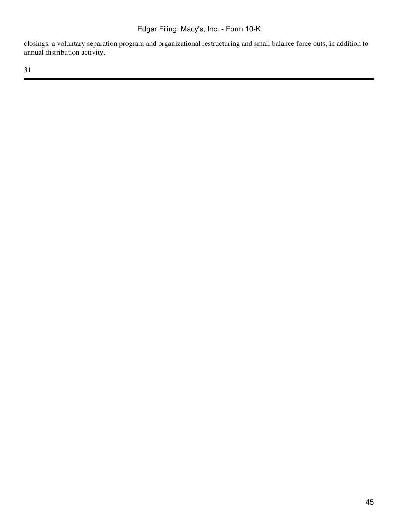closings, a voluntary separation program and organizational restructuring and small balance force outs, in addition to annual distribution activity.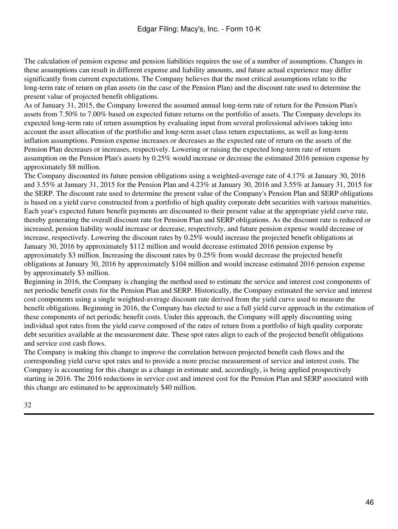The calculation of pension expense and pension liabilities requires the use of a number of assumptions. Changes in these assumptions can result in different expense and liability amounts, and future actual experience may differ significantly from current expectations. The Company believes that the most critical assumptions relate to the long-term rate of return on plan assets (in the case of the Pension Plan) and the discount rate used to determine the present value of projected benefit obligations.

As of January 31, 2015, the Company lowered the assumed annual long-term rate of return for the Pension Plan's assets from 7.50% to 7.00% based on expected future returns on the portfolio of assets. The Company develops its expected long-term rate of return assumption by evaluating input from several professional advisors taking into account the asset allocation of the portfolio and long-term asset class return expectations, as well as long-term inflation assumptions. Pension expense increases or decreases as the expected rate of return on the assets of the Pension Plan decreases or increases, respectively. Lowering or raising the expected long-term rate of return assumption on the Pension Plan's assets by 0.25% would increase or decrease the estimated 2016 pension expense by approximately \$8 million.

The Company discounted its future pension obligations using a weighted-average rate of 4.17% at January 30, 2016 and 3.55% at January 31, 2015 for the Pension Plan and 4.23% at January 30, 2016 and 3.55% at January 31, 2015 for the SERP. The discount rate used to determine the present value of the Company's Pension Plan and SERP obligations is based on a yield curve constructed from a portfolio of high quality corporate debt securities with various maturities. Each year's expected future benefit payments are discounted to their present value at the appropriate yield curve rate, thereby generating the overall discount rate for Pension Plan and SERP obligations. As the discount rate is reduced or increased, pension liability would increase or decrease, respectively, and future pension expense would decrease or increase, respectively. Lowering the discount rates by 0.25% would increase the projected benefit obligations at January 30, 2016 by approximately \$112 million and would decrease estimated 2016 pension expense by approximately \$3 million. Increasing the discount rates by 0.25% from would decrease the projected benefit obligations at January 30, 2016 by approximately \$104 million and would increase estimated 2016 pension expense by approximately \$3 million.

Beginning in 2016, the Company is changing the method used to estimate the service and interest cost components of net periodic benefit costs for the Pension Plan and SERP. Historically, the Company estimated the service and interest cost components using a single weighted-average discount rate derived from the yield curve used to measure the benefit obligations. Beginning in 2016, the Company has elected to use a full yield curve approach in the estimation of these components of net periodic benefit costs. Under this approach, the Company will apply discounting using individual spot rates from the yield curve composed of the rates of return from a portfolio of high quality corporate debt securities available at the measurement date. These spot rates align to each of the projected benefit obligations and service cost cash flows.

The Company is making this change to improve the correlation between projected benefit cash flows and the corresponding yield curve spot rates and to provide a more precise measurement of service and interest costs. The Company is accounting for this change as a change in estimate and, accordingly, is being applied prospectively starting in 2016. The 2016 reductions in service cost and interest cost for the Pension Plan and SERP associated with this change are estimated to be approximately \$40 million.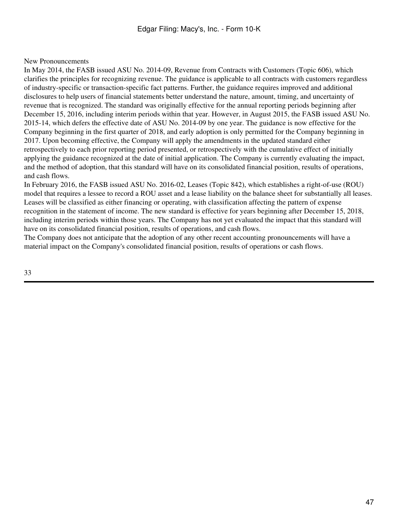### New Pronouncements

In May 2014, the FASB issued ASU No. 2014-09, Revenue from Contracts with Customers (Topic 606), which clarifies the principles for recognizing revenue. The guidance is applicable to all contracts with customers regardless of industry-specific or transaction-specific fact patterns. Further, the guidance requires improved and additional disclosures to help users of financial statements better understand the nature, amount, timing, and uncertainty of revenue that is recognized. The standard was originally effective for the annual reporting periods beginning after December 15, 2016, including interim periods within that year. However, in August 2015, the FASB issued ASU No. 2015-14, which defers the effective date of ASU No. 2014-09 by one year. The guidance is now effective for the Company beginning in the first quarter of 2018, and early adoption is only permitted for the Company beginning in 2017. Upon becoming effective, the Company will apply the amendments in the updated standard either retrospectively to each prior reporting period presented, or retrospectively with the cumulative effect of initially applying the guidance recognized at the date of initial application. The Company is currently evaluating the impact, and the method of adoption, that this standard will have on its consolidated financial position, results of operations, and cash flows.

In February 2016, the FASB issued ASU No. 2016-02, Leases (Topic 842), which establishes a right-of-use (ROU) model that requires a lessee to record a ROU asset and a lease liability on the balance sheet for substantially all leases. Leases will be classified as either financing or operating, with classification affecting the pattern of expense recognition in the statement of income. The new standard is effective for years beginning after December 15, 2018, including interim periods within those years. The Company has not yet evaluated the impact that this standard will have on its consolidated financial position, results of operations, and cash flows.

The Company does not anticipate that the adoption of any other recent accounting pronouncements will have a material impact on the Company's consolidated financial position, results of operations or cash flows.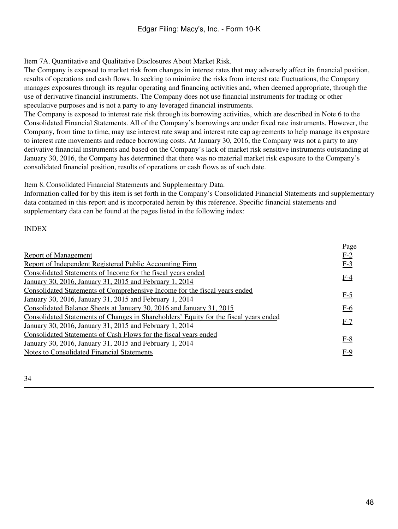Item 7A. Quantitative and Qualitative Disclosures About Market Risk.

The Company is exposed to market risk from changes in interest rates that may adversely affect its financial position, results of operations and cash flows. In seeking to minimize the risks from interest rate fluctuations, the Company manages exposures through its regular operating and financing activities and, when deemed appropriate, through the use of derivative financial instruments. The Company does not use financial instruments for trading or other speculative purposes and is not a party to any leveraged financial instruments.

The Company is exposed to interest rate risk through its borrowing activities, which are described in Note 6 to the Consolidated Financial Statements. All of the Company's borrowings are under fixed rate instruments. However, the Company, from time to time, may use interest rate swap and interest rate cap agreements to help manage its exposure to interest rate movements and reduce borrowing costs. At January 30, 2016, the Company was not a party to any derivative financial instruments and based on the Company's lack of market risk sensitive instruments outstanding at January 30, 2016, the Company has determined that there was no material market risk exposure to the Company's consolidated financial position, results of operations or cash flows as of such date.

Item 8. Consolidated Financial Statements and Supplementary Data.

Information called for by this item is set forth in the Company's Consolidated Financial Statements and supplementary data contained in this report and is incorporated herein by this reference. Specific financial statements and supplementary data can be found at the pages listed in the following index:

# INDEX

|                                                                                       | Page  |
|---------------------------------------------------------------------------------------|-------|
| <b>Report of Management</b>                                                           | $E-2$ |
| Report of Independent Registered Public Accounting Firm                               | $F-3$ |
| Consolidated Statements of Income for the fiscal years ended                          | $F-4$ |
| January 30, 2016, January 31, 2015 and February 1, 2014                               |       |
| Consolidated Statements of Comprehensive Income for the fiscal years ended            | $F-5$ |
| January 30, 2016, January 31, 2015 and February 1, 2014                               |       |
| Consolidated Balance Sheets at January 30, 2016 and January 31, 2015                  | $F-6$ |
| Consolidated Statements of Changes in Shareholders' Equity for the fiscal years ended | $F-7$ |
| January 30, 2016, January 31, 2015 and February 1, 2014                               |       |
| Consolidated Statements of Cash Flows for the fiscal years ended                      | $F-8$ |
| January 30, 2016, January 31, 2015 and February 1, 2014                               |       |
| <b>Notes to Consolidated Financial Statements</b>                                     | $F-9$ |
|                                                                                       |       |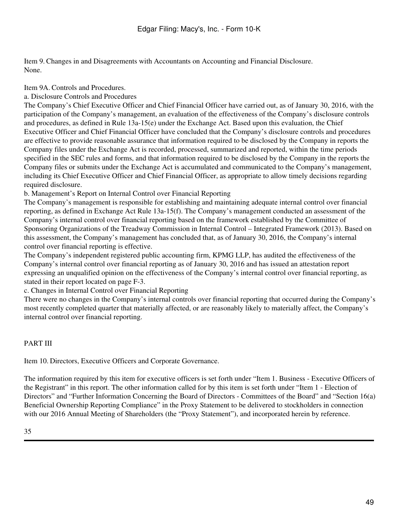Item 9. Changes in and Disagreements with Accountants on Accounting and Financial Disclosure. None.

Item 9A. Controls and Procedures.

# a. Disclosure Controls and Procedures

The Company's Chief Executive Officer and Chief Financial Officer have carried out, as of January 30, 2016, with the participation of the Company's management, an evaluation of the effectiveness of the Company's disclosure controls and procedures, as defined in Rule 13a-15(e) under the Exchange Act. Based upon this evaluation, the Chief Executive Officer and Chief Financial Officer have concluded that the Company's disclosure controls and procedures are effective to provide reasonable assurance that information required to be disclosed by the Company in reports the Company files under the Exchange Act is recorded, processed, summarized and reported, within the time periods specified in the SEC rules and forms, and that information required to be disclosed by the Company in the reports the Company files or submits under the Exchange Act is accumulated and communicated to the Company's management, including its Chief Executive Officer and Chief Financial Officer, as appropriate to allow timely decisions regarding required disclosure.

b. Management's Report on Internal Control over Financial Reporting

The Company's management is responsible for establishing and maintaining adequate internal control over financial reporting, as defined in Exchange Act Rule 13a-15(f). The Company's management conducted an assessment of the Company's internal control over financial reporting based on the framework established by the Committee of Sponsoring Organizations of the Treadway Commission in Internal Control – Integrated Framework (2013). Based on this assessment, the Company's management has concluded that, as of January 30, 2016, the Company's internal control over financial reporting is effective.

The Company's independent registered public accounting firm, KPMG LLP, has audited the effectiveness of the Company's internal control over financial reporting as of January 30, 2016 and has issued an attestation report expressing an unqualified opinion on the effectiveness of the Company's internal control over financial reporting, as stated in their report located on page F-3.

c. Changes in Internal Control over Financial Reporting

There were no changes in the Company's internal controls over financial reporting that occurred during the Company's most recently completed quarter that materially affected, or are reasonably likely to materially affect, the Company's internal control over financial reporting.

# PART III

Item 10. Directors, Executive Officers and Corporate Governance.

The information required by this item for executive officers is set forth under "Item 1. Business - Executive Officers of the Registrant" in this report. The other information called for by this item is set forth under "Item 1 - Election of Directors" and "Further Information Concerning the Board of Directors - Committees of the Board" and "Section 16(a) Beneficial Ownership Reporting Compliance" in the Proxy Statement to be delivered to stockholders in connection with our 2016 Annual Meeting of Shareholders (the "Proxy Statement"), and incorporated herein by reference.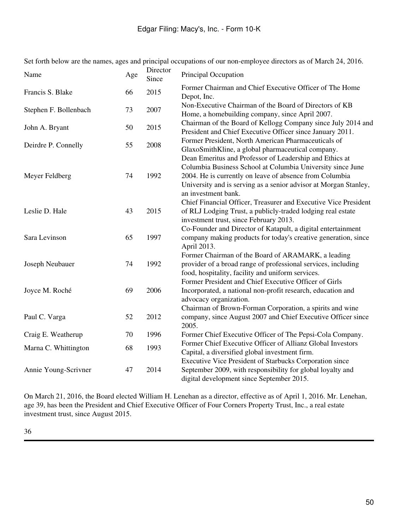| Name                  | Age | Director<br>Since | Principal Occupation                                                                                                                                                                                                                                                        |
|-----------------------|-----|-------------------|-----------------------------------------------------------------------------------------------------------------------------------------------------------------------------------------------------------------------------------------------------------------------------|
| Francis S. Blake      | 66  | 2015              | Former Chairman and Chief Executive Officer of The Home<br>Depot, Inc.                                                                                                                                                                                                      |
| Stephen F. Bollenbach | 73  | 2007              | Non-Executive Chairman of the Board of Directors of KB<br>Home, a homebuilding company, since April 2007.                                                                                                                                                                   |
| John A. Bryant        | 50  | 2015              | Chairman of the Board of Kellogg Company since July 2014 and<br>President and Chief Executive Officer since January 2011.                                                                                                                                                   |
| Deirdre P. Connelly   | 55  | 2008              | Former President, North American Pharmaceuticals of<br>GlaxoSmithKline, a global pharmaceutical company.                                                                                                                                                                    |
| Meyer Feldberg        | 74  | 1992              | Dean Emeritus and Professor of Leadership and Ethics at<br>Columbia Business School at Columbia University since June<br>2004. He is currently on leave of absence from Columbia<br>University and is serving as a senior advisor at Morgan Stanley,<br>an investment bank. |
| Leslie D. Hale        | 43  | 2015              | Chief Financial Officer, Treasurer and Executive Vice President<br>of RLJ Lodging Trust, a publicly-traded lodging real estate<br>investment trust, since February 2013.                                                                                                    |
| Sara Levinson         | 65  | 1997              | Co-Founder and Director of Katapult, a digital entertainment<br>company making products for today's creative generation, since<br>April 2013.                                                                                                                               |
| Joseph Neubauer       | 74  | 1992              | Former Chairman of the Board of ARAMARK, a leading<br>provider of a broad range of professional services, including<br>food, hospitality, facility and uniform services.<br>Former President and Chief Executive Officer of Girls                                           |
| Joyce M. Roché        | 69  | 2006              | Incorporated, a national non-profit research, education and<br>advocacy organization.<br>Chairman of Brown-Forman Corporation, a spirits and wine                                                                                                                           |
| Paul C. Varga         | 52  | 2012              | company, since August 2007 and Chief Executive Officer since<br>2005.                                                                                                                                                                                                       |
| Craig E. Weatherup    | 70  | 1996              | Former Chief Executive Officer of The Pepsi-Cola Company.                                                                                                                                                                                                                   |
| Marna C. Whittington  | 68  | 1993              | Former Chief Executive Officer of Allianz Global Investors<br>Capital, a diversified global investment firm.                                                                                                                                                                |
| Annie Young-Scrivner  | 47  | 2014              | Executive Vice President of Starbucks Corporation since<br>September 2009, with responsibility for global loyalty and<br>digital development since September 2015.                                                                                                          |

Set forth below are the names, ages and principal occupations of our non-employee directors as of March 24, 2016.

On March 21, 2016, the Board elected William H. Lenehan as a director, effective as of April 1, 2016. Mr. Lenehan, age 39, has been the President and Chief Executive Officer of Four Corners Property Trust, Inc., a real estate investment trust, since August 2015.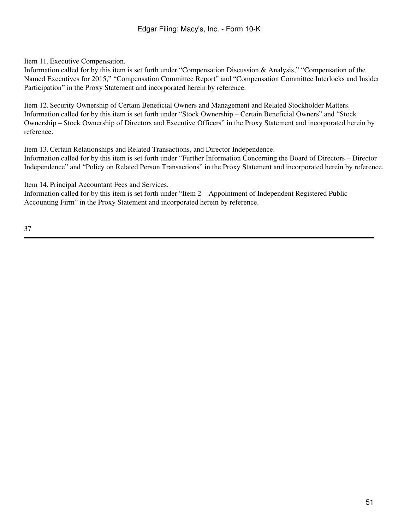Item 11. Executive Compensation.

Information called for by this item is set forth under "Compensation Discussion & Analysis," "Compensation of the Named Executives for 2015," "Compensation Committee Report" and "Compensation Committee Interlocks and Insider Participation" in the Proxy Statement and incorporated herein by reference.

Item 12. Security Ownership of Certain Beneficial Owners and Management and Related Stockholder Matters. Information called for by this item is set forth under "Stock Ownership – Certain Beneficial Owners" and "Stock Ownership – Stock Ownership of Directors and Executive Officers" in the Proxy Statement and incorporated herein by reference.

Item 13. Certain Relationships and Related Transactions, and Director Independence. Information called for by this item is set forth under "Further Information Concerning the Board of Directors – Director Independence" and "Policy on Related Person Transactions" in the Proxy Statement and incorporated herein by reference.

Item 14. Principal Accountant Fees and Services.

Information called for by this item is set forth under "Item 2 – Appointment of Independent Registered Public Accounting Firm" in the Proxy Statement and incorporated herein by reference.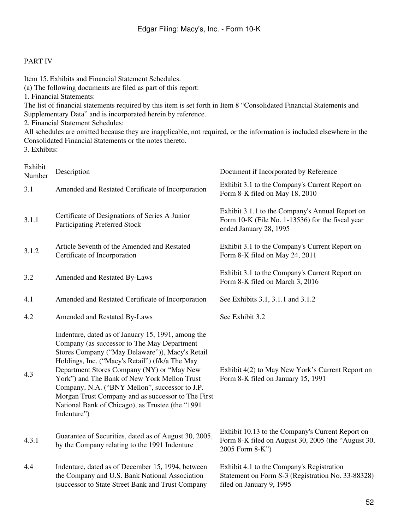### PART IV

Item 15. Exhibits and Financial Statement Schedules. (a) The following documents are filed as part of this report: 1. Financial Statements: The list of financial statements required by this item is set forth in Item 8 "Consolidated Financial Statements and Supplementary Data" and is incorporated herein by reference.

2. Financial Statement Schedules:

All schedules are omitted because they are inapplicable, not required, or the information is included elsewhere in the Consolidated Financial Statements or the notes thereto.

3. Exhibits:

| Exhibit<br>Number | Description                                                                                                                                                                                                                                                                                                                                                                                                                                                                      | Document if Incorporated by Reference                                                                                         |
|-------------------|----------------------------------------------------------------------------------------------------------------------------------------------------------------------------------------------------------------------------------------------------------------------------------------------------------------------------------------------------------------------------------------------------------------------------------------------------------------------------------|-------------------------------------------------------------------------------------------------------------------------------|
| 3.1               | Amended and Restated Certificate of Incorporation                                                                                                                                                                                                                                                                                                                                                                                                                                | Exhibit 3.1 to the Company's Current Report on<br>Form 8-K filed on May 18, 2010                                              |
| 3.1.1             | Certificate of Designations of Series A Junior<br><b>Participating Preferred Stock</b>                                                                                                                                                                                                                                                                                                                                                                                           | Exhibit 3.1.1 to the Company's Annual Report on<br>Form 10-K (File No. 1-13536) for the fiscal year<br>ended January 28, 1995 |
| 3.1.2             | Article Seventh of the Amended and Restated<br>Certificate of Incorporation                                                                                                                                                                                                                                                                                                                                                                                                      | Exhibit 3.1 to the Company's Current Report on<br>Form 8-K filed on May 24, 2011                                              |
| 3.2               | Amended and Restated By-Laws                                                                                                                                                                                                                                                                                                                                                                                                                                                     | Exhibit 3.1 to the Company's Current Report on<br>Form 8-K filed on March 3, 2016                                             |
| 4.1               | Amended and Restated Certificate of Incorporation                                                                                                                                                                                                                                                                                                                                                                                                                                | See Exhibits 3.1, 3.1.1 and 3.1.2                                                                                             |
| 4.2               | Amended and Restated By-Laws                                                                                                                                                                                                                                                                                                                                                                                                                                                     | See Exhibit 3.2                                                                                                               |
| 4.3               | Indenture, dated as of January 15, 1991, among the<br>Company (as successor to The May Department<br>Stores Company ("May Delaware")), Macy's Retail<br>Holdings, Inc. ("Macy's Retail") (f/k/a The May<br>Department Stores Company (NY) or "May New<br>York") and The Bank of New York Mellon Trust<br>Company, N.A. ("BNY Mellon", successor to J.P.<br>Morgan Trust Company and as successor to The First<br>National Bank of Chicago), as Trustee (the "1991<br>Indenture") | Exhibit 4(2) to May New York's Current Report on<br>Form 8-K filed on January 15, 1991                                        |
| 4.3.1             | Guarantee of Securities, dated as of August 30, 2005,<br>by the Company relating to the 1991 Indenture                                                                                                                                                                                                                                                                                                                                                                           | Exhibit 10.13 to the Company's Current Report on<br>Form 8-K filed on August 30, 2005 (the "August 30,<br>2005 Form 8-K")     |
| 4.4               | Indenture, dated as of December 15, 1994, between<br>the Company and U.S. Bank National Association<br>(successor to State Street Bank and Trust Company                                                                                                                                                                                                                                                                                                                         | Exhibit 4.1 to the Company's Registration<br>Statement on Form S-3 (Registration No. 33-88328)<br>filed on January 9, 1995    |
|                   |                                                                                                                                                                                                                                                                                                                                                                                                                                                                                  |                                                                                                                               |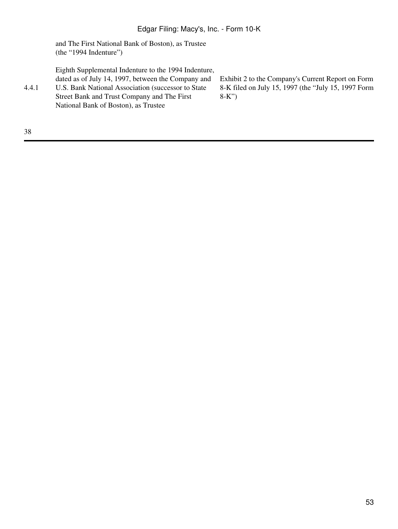and The First National Bank of Boston), as Trustee (the "1994 Indenture")

Eighth Supplemental Indenture to the 1994 Indenture, dated as of July 14, 1997, between the Company and U.S. Bank National Association (successor to State Street Bank and Trust Company and The First National Bank of Boston), as Trustee

Exhibit 2 to the Company's Current Report on Form 8-K filed on July 15, 1997 (the "July 15, 1997 Form 8-K")

38

4.4.1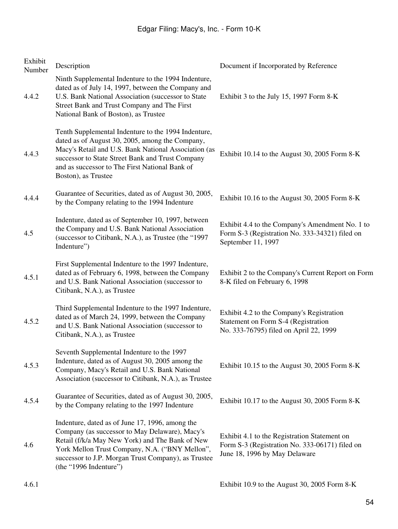| Exhibit<br>Number | Description                                                                                                                                                                                                                                                                                 | Document if Incorporated by Reference                                                                                           |
|-------------------|---------------------------------------------------------------------------------------------------------------------------------------------------------------------------------------------------------------------------------------------------------------------------------------------|---------------------------------------------------------------------------------------------------------------------------------|
| 4.4.2             | Ninth Supplemental Indenture to the 1994 Indenture,<br>dated as of July 14, 1997, between the Company and<br>U.S. Bank National Association (successor to State<br>Street Bank and Trust Company and The First<br>National Bank of Boston), as Trustee                                      | Exhibit 3 to the July 15, 1997 Form 8-K                                                                                         |
| 4.4.3             | Tenth Supplemental Indenture to the 1994 Indenture,<br>dated as of August 30, 2005, among the Company,<br>Macy's Retail and U.S. Bank National Association (as<br>successor to State Street Bank and Trust Company<br>and as successor to The First National Bank of<br>Boston), as Trustee | Exhibit 10.14 to the August 30, 2005 Form 8-K                                                                                   |
| 4.4.4             | Guarantee of Securities, dated as of August 30, 2005,<br>by the Company relating to the 1994 Indenture                                                                                                                                                                                      | Exhibit 10.16 to the August 30, 2005 Form 8-K                                                                                   |
| 4.5               | Indenture, dated as of September 10, 1997, between<br>the Company and U.S. Bank National Association<br>(successor to Citibank, N.A.), as Trustee (the "1997<br>Indenture")                                                                                                                 | Exhibit 4.4 to the Company's Amendment No. 1 to<br>Form S-3 (Registration No. 333-34321) filed on<br>September 11, 1997         |
| 4.5.1             | First Supplemental Indenture to the 1997 Indenture,<br>dated as of February 6, 1998, between the Company<br>and U.S. Bank National Association (successor to<br>Citibank, N.A.), as Trustee                                                                                                 | Exhibit 2 to the Company's Current Report on Form<br>8-K filed on February 6, 1998                                              |
| 4.5.2             | Third Supplemental Indenture to the 1997 Indenture,<br>dated as of March 24, 1999, between the Company<br>and U.S. Bank National Association (successor to<br>Citibank, N.A.), as Trustee                                                                                                   | Exhibit 4.2 to the Company's Registration<br>Statement on Form S-4 (Registration<br>No. 333-76795) filed on April 22, 1999      |
| 4.5.3             | Seventh Supplemental Indenture to the 1997<br>Indenture, dated as of August 30, 2005 among the<br>Company, Macy's Retail and U.S. Bank National<br>Association (successor to Citibank, N.A.), as Trustee                                                                                    | Exhibit 10.15 to the August 30, 2005 Form 8-K                                                                                   |
| 4.5.4             | Guarantee of Securities, dated as of August 30, 2005,<br>by the Company relating to the 1997 Indenture                                                                                                                                                                                      | Exhibit 10.17 to the August 30, 2005 Form 8-K                                                                                   |
| 4.6               | Indenture, dated as of June 17, 1996, among the<br>Company (as successor to May Delaware), Macy's<br>Retail (f/k/a May New York) and The Bank of New<br>York Mellon Trust Company, N.A. ("BNY Mellon",<br>successor to J.P. Morgan Trust Company), as Trustee<br>(the "1996 Indenture")     | Exhibit 4.1 to the Registration Statement on<br>Form S-3 (Registration No. 333-06171) filed on<br>June 18, 1996 by May Delaware |
|                   |                                                                                                                                                                                                                                                                                             |                                                                                                                                 |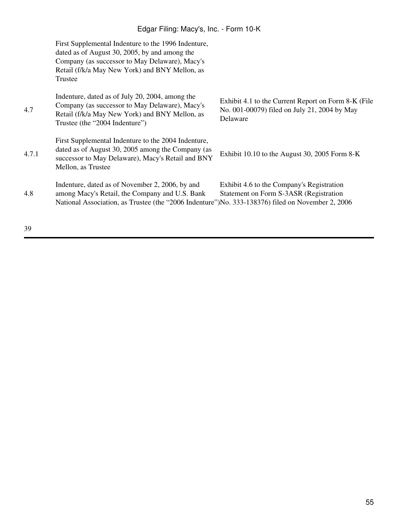|       | First Supplemental Indenture to the 1996 Indenture,<br>dated as of August 30, 2005, by and among the<br>Company (as successor to May Delaware), Macy's<br>Retail (f/k/a May New York) and BNY Mellon, as<br>Trustee |                                                                                                                 |
|-------|---------------------------------------------------------------------------------------------------------------------------------------------------------------------------------------------------------------------|-----------------------------------------------------------------------------------------------------------------|
| 4.7   | Indenture, dated as of July 20, 2004, among the<br>Company (as successor to May Delaware), Macy's<br>Retail (f/k/a May New York) and BNY Mellon, as<br>Trustee (the "2004 Indenture")                               | Exhibit 4.1 to the Current Report on Form 8-K (File<br>No. 001-00079) filed on July 21, 2004 by May<br>Delaware |
| 4.7.1 | First Supplemental Indenture to the 2004 Indenture,<br>dated as of August 30, 2005 among the Company (as<br>successor to May Delaware), Macy's Retail and BNY<br>Mellon, as Trustee                                 | Exhibit 10.10 to the August 30, 2005 Form 8-K                                                                   |
| 4.8   | Indenture, dated as of November 2, 2006, by and<br>among Macy's Retail, the Company and U.S. Bank<br>National Association, as Trustee (the "2006 Indenture") No. 333-138376) filed on November 2, 2006              | Exhibit 4.6 to the Company's Registration<br>Statement on Form S-3ASR (Registration                             |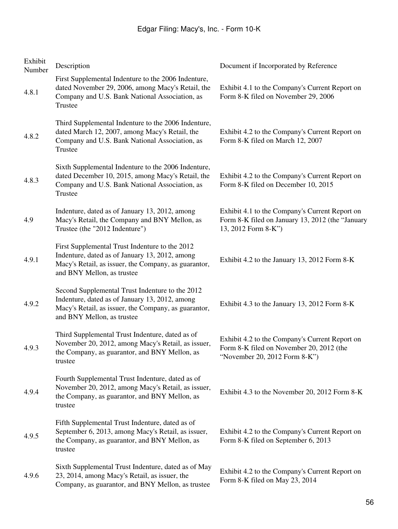| Exhibit<br>Number | Description                                                                                                                                                                             | Document if Incorporated by Reference                                                                                          |
|-------------------|-----------------------------------------------------------------------------------------------------------------------------------------------------------------------------------------|--------------------------------------------------------------------------------------------------------------------------------|
| 4.8.1             | First Supplemental Indenture to the 2006 Indenture,<br>dated November 29, 2006, among Macy's Retail, the<br>Company and U.S. Bank National Association, as<br>Trustee                   | Exhibit 4.1 to the Company's Current Report on<br>Form 8-K filed on November 29, 2006                                          |
| 4.8.2             | Third Supplemental Indenture to the 2006 Indenture,<br>dated March 12, 2007, among Macy's Retail, the<br>Company and U.S. Bank National Association, as<br>Trustee                      | Exhibit 4.2 to the Company's Current Report on<br>Form 8-K filed on March 12, 2007                                             |
| 4.8.3             | Sixth Supplemental Indenture to the 2006 Indenture,<br>dated December 10, 2015, among Macy's Retail, the<br>Company and U.S. Bank National Association, as<br>Trustee                   | Exhibit 4.2 to the Company's Current Report on<br>Form 8-K filed on December 10, 2015                                          |
| 4.9               | Indenture, dated as of January 13, 2012, among<br>Macy's Retail, the Company and BNY Mellon, as<br>Trustee (the "2012 Indenture")                                                       | Exhibit 4.1 to the Company's Current Report on<br>Form 8-K filed on January 13, 2012 (the "January<br>13, 2012 Form 8-K")      |
| 4.9.1             | First Supplemental Trust Indenture to the 2012<br>Indenture, dated as of January 13, 2012, among<br>Macy's Retail, as issuer, the Company, as guarantor,<br>and BNY Mellon, as trustee  | Exhibit 4.2 to the January 13, 2012 Form 8-K                                                                                   |
| 4.9.2             | Second Supplemental Trust Indenture to the 2012<br>Indenture, dated as of January 13, 2012, among<br>Macy's Retail, as issuer, the Company, as guarantor,<br>and BNY Mellon, as trustee | Exhibit 4.3 to the January 13, 2012 Form 8-K                                                                                   |
| 4.9.3             | Third Supplemental Trust Indenture, dated as of<br>November 20, 2012, among Macy's Retail, as issuer,<br>the Company, as guarantor, and BNY Mellon, as<br>trustee                       | Exhibit 4.2 to the Company's Current Report on<br>Form 8-K filed on November 20, 2012 (the<br>"November 20, 2012 Form $8-K$ ") |
| 4.9.4             | Fourth Supplemental Trust Indenture, dated as of<br>November 20, 2012, among Macy's Retail, as issuer,<br>the Company, as guarantor, and BNY Mellon, as<br>trustee                      | Exhibit 4.3 to the November 20, 2012 Form 8-K                                                                                  |
| 4.9.5             | Fifth Supplemental Trust Indenture, dated as of<br>September 6, 2013, among Macy's Retail, as issuer,<br>the Company, as guarantor, and BNY Mellon, as<br>trustee                       | Exhibit 4.2 to the Company's Current Report on<br>Form 8-K filed on September 6, 2013                                          |
| 4.9.6             | Sixth Supplemental Trust Indenture, dated as of May<br>23, 2014, among Macy's Retail, as issuer, the<br>Company, as guarantor, and BNY Mellon, as trustee                               | Exhibit 4.2 to the Company's Current Report on<br>Form 8-K filed on May 23, 2014                                               |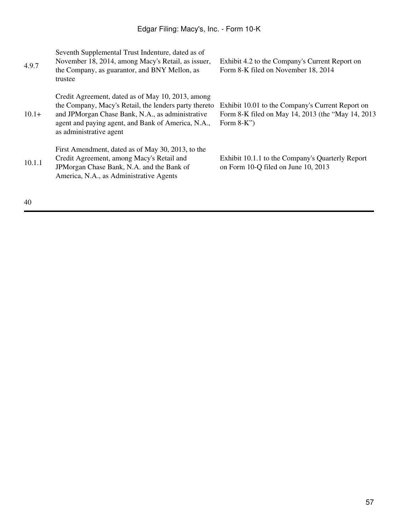| 4.9.7   | Seventh Supplemental Trust Indenture, dated as of<br>November 18, 2014, among Macy's Retail, as issuer,<br>the Company, as guarantor, and BNY Mellon, as<br>trustee                                                                              | Exhibit 4.2 to the Company's Current Report on<br>Form 8-K filed on November 18, 2014                                  |
|---------|--------------------------------------------------------------------------------------------------------------------------------------------------------------------------------------------------------------------------------------------------|------------------------------------------------------------------------------------------------------------------------|
| $10.1+$ | Credit Agreement, dated as of May 10, 2013, among<br>the Company, Macy's Retail, the lenders party thereto<br>and JPM organ Chase Bank, N.A., as administrative<br>agent and paying agent, and Bank of America, N.A.,<br>as administrative agent | Exhibit 10.01 to the Company's Current Report on<br>Form 8-K filed on May 14, 2013 (the "May 14, 2013<br>Form $8-K$ ") |
| 10.1.1  | First Amendment, dated as of May 30, 2013, to the<br>Credit Agreement, among Macy's Retail and<br>JPM organ Chase Bank, N.A. and the Bank of<br>America, N.A., as Administrative Agents                                                          | Exhibit 10.1.1 to the Company's Quarterly Report<br>on Form 10-Q filed on June 10, 2013                                |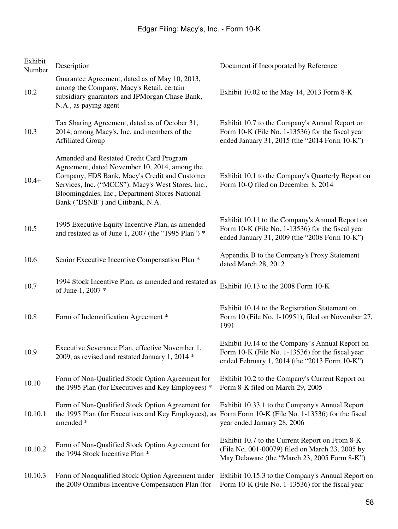| Exhibit<br>Number | Description                                                                                                                                                                                                                                                                             | Document if Incorporated by Reference                                                                                                                |
|-------------------|-----------------------------------------------------------------------------------------------------------------------------------------------------------------------------------------------------------------------------------------------------------------------------------------|------------------------------------------------------------------------------------------------------------------------------------------------------|
| 10.2              | Guarantee Agreement, dated as of May 10, 2013,<br>among the Company, Macy's Retail, certain<br>subsidiary guarantors and JPMorgan Chase Bank,<br>N.A., as paying agent                                                                                                                  | Exhibit 10.02 to the May 14, 2013 Form 8-K                                                                                                           |
| 10.3              | Tax Sharing Agreement, dated as of October 31,<br>2014, among Macy's, Inc. and members of the<br><b>Affiliated Group</b>                                                                                                                                                                | Exhibit 10.7 to the Company's Annual Report on<br>Form 10-K (File No. 1-13536) for the fiscal year<br>ended January 31, 2015 (the "2014 Form 10-K")  |
| $10.4+$           | Amended and Restated Credit Card Program<br>Agreement, dated November 10, 2014, among the<br>Company, FDS Bank, Macy's Credit and Customer<br>Services, Inc. ("MCCS"), Macy's West Stores, Inc.,<br>Bloomingdales, Inc., Department Stores National<br>Bank ("DSNB") and Citibank, N.A. | Exhibit 10.1 to the Company's Quarterly Report on<br>Form 10-Q filed on December 8, 2014                                                             |
| 10.5              | 1995 Executive Equity Incentive Plan, as amended<br>and restated as of June 1, 2007 (the "1995 Plan") *                                                                                                                                                                                 | Exhibit 10.11 to the Company's Annual Report on<br>Form 10-K (File No. 1-13536) for the fiscal year<br>ended January 31, 2009 (the "2008 Form 10-K") |
| 10.6              | Senior Executive Incentive Compensation Plan *                                                                                                                                                                                                                                          | Appendix B to the Company's Proxy Statement<br>dated March 28, 2012                                                                                  |
| 10.7              | 1994 Stock Incentive Plan, as amended and restated as<br>of June 1, 2007 *                                                                                                                                                                                                              | Exhibit 10.13 to the 2008 Form 10-K                                                                                                                  |
| 10.8              | Form of Indemnification Agreement *                                                                                                                                                                                                                                                     | Exhibit 10.14 to the Registration Statement on<br>Form 10 (File No. 1-10951), filed on November 27,<br>1991                                          |
| 10.9              | Executive Severance Plan, effective November 1,<br>2009, as revised and restated January 1, 2014 *                                                                                                                                                                                      | Exhibit 10.14 to the Company's Annual Report on<br>Form 10-K (File No. 1-13536) for the fiscal year<br>ended February 1, 2014 (the "2013 Form 10-K") |
| 10.10             | Form of Non-Qualified Stock Option Agreement for<br>the 1995 Plan (for Executives and Key Employees) *                                                                                                                                                                                  | Exhibit 10.2 to the Company's Current Report on<br>Form 8-K filed on March 29, 2005                                                                  |
| 10.10.1           | Form of Non-Qualified Stock Option Agreement for<br>the 1995 Plan (for Executives and Key Employees), as<br>amended *                                                                                                                                                                   | Exhibit 10.33.1 to the Company's Annual Report<br>Form Form 10-K (File No. 1-13536) for the fiscal<br>year ended January 28, 2006                    |
| 10.10.2           | Form of Non-Qualified Stock Option Agreement for<br>the 1994 Stock Incentive Plan *                                                                                                                                                                                                     | Exhibit 10.7 to the Current Report on From 8-K<br>(File No. 001-00079) filed on March 23, 2005 by<br>May Delaware (the "March 23, 2005 Form 8-K")    |
| 10.10.3           | Form of Nonqualified Stock Option Agreement under<br>the 2009 Omnibus Incentive Compensation Plan (for                                                                                                                                                                                  | Exhibit 10.15.3 to the Company's Annual Report on<br>Form 10-K (File No. 1-13536) for the fiscal year                                                |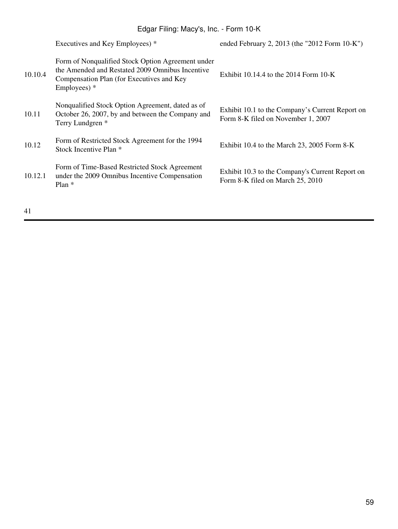# Edgar Filing: Macy's, Inc. - Form 10-K

|         | Executives and Key Employees) *                                                                                                                                     | ended February 2, 2013 (the "2012 Form $10-K$ ")                                      |
|---------|---------------------------------------------------------------------------------------------------------------------------------------------------------------------|---------------------------------------------------------------------------------------|
| 10.10.4 | Form of Nonqualified Stock Option Agreement under<br>the Amended and Restated 2009 Omnibus Incentive<br>Compensation Plan (for Executives and Key<br>Employees) $*$ | Exhibit 10.14.4 to the 2014 Form $10-K$                                               |
| 10.11   | Nonqualified Stock Option Agreement, dated as of<br>October 26, 2007, by and between the Company and<br>Terry Lundgren *                                            | Exhibit 10.1 to the Company's Current Report on<br>Form 8-K filed on November 1, 2007 |
| 10.12   | Form of Restricted Stock Agreement for the 1994<br>Stock Incentive Plan *                                                                                           | Exhibit 10.4 to the March 23, 2005 Form 8-K                                           |
| 10.12.1 | Form of Time-Based Restricted Stock Agreement<br>under the 2009 Omnibus Incentive Compensation<br>Plan $*$                                                          | Exhibit 10.3 to the Company's Current Report on<br>Form 8-K filed on March 25, 2010   |
|         |                                                                                                                                                                     |                                                                                       |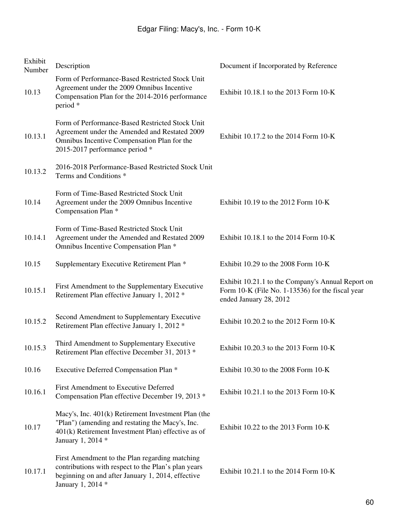| Exhibit<br>Number | Description                                                                                                                                                                          | Document if Incorporated by Reference                                                                                           |
|-------------------|--------------------------------------------------------------------------------------------------------------------------------------------------------------------------------------|---------------------------------------------------------------------------------------------------------------------------------|
| 10.13             | Form of Performance-Based Restricted Stock Unit<br>Agreement under the 2009 Omnibus Incentive<br>Compensation Plan for the 2014-2016 performance<br>period *                         | Exhibit 10.18.1 to the 2013 Form 10-K                                                                                           |
| 10.13.1           | Form of Performance-Based Restricted Stock Unit<br>Agreement under the Amended and Restated 2009<br>Omnibus Incentive Compensation Plan for the<br>2015-2017 performance period *    | Exhibit $10.17.2$ to the 2014 Form $10-K$                                                                                       |
| 10.13.2           | 2016-2018 Performance-Based Restricted Stock Unit<br>Terms and Conditions <sup>*</sup>                                                                                               |                                                                                                                                 |
| 10.14             | Form of Time-Based Restricted Stock Unit<br>Agreement under the 2009 Omnibus Incentive<br>Compensation Plan *                                                                        | Exhibit 10.19 to the 2012 Form 10-K                                                                                             |
| 10.14.1           | Form of Time-Based Restricted Stock Unit<br>Agreement under the Amended and Restated 2009<br>Omnibus Incentive Compensation Plan *                                                   | Exhibit 10.18.1 to the 2014 Form 10-K                                                                                           |
| 10.15             | Supplementary Executive Retirement Plan *                                                                                                                                            | Exhibit 10.29 to the 2008 Form 10-K                                                                                             |
| 10.15.1           | First Amendment to the Supplementary Executive<br>Retirement Plan effective January 1, 2012 *                                                                                        | Exhibit 10.21.1 to the Company's Annual Report on<br>Form 10-K (File No. 1-13536) for the fiscal year<br>ended January 28, 2012 |
| 10.15.2           | Second Amendment to Supplementary Executive<br>Retirement Plan effective January 1, 2012 *                                                                                           | Exhibit 10.20.2 to the 2012 Form 10-K                                                                                           |
| 10.15.3           | Third Amendment to Supplementary Executive<br>Retirement Plan effective December 31, 2013 *                                                                                          | Exhibit 10.20.3 to the 2013 Form 10-K                                                                                           |
| 10.16             | Executive Deferred Compensation Plan *                                                                                                                                               | Exhibit 10.30 to the 2008 Form 10-K                                                                                             |
| 10.16.1           | First Amendment to Executive Deferred<br>Compensation Plan effective December 19, 2013 *                                                                                             | Exhibit $10.21.1$ to the 2013 Form $10-K$                                                                                       |
| 10.17             | Macy's, Inc. 401(k) Retirement Investment Plan (the<br>"Plan") (amending and restating the Macy's, Inc.<br>$401(k)$ Retirement Investment Plan) effective as of<br>January 1, 2014 * | Exhibit 10.22 to the 2013 Form 10-K                                                                                             |
| 10.17.1           | First Amendment to the Plan regarding matching<br>contributions with respect to the Plan's plan years<br>beginning on and after January 1, 2014, effective<br>January 1, 2014 *      | Exhibit $10.21.1$ to the 2014 Form $10-K$                                                                                       |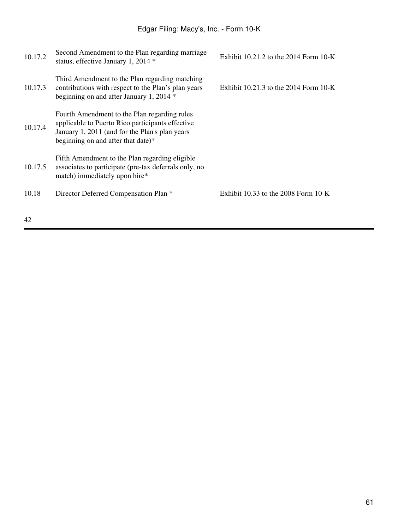| 10.17.2 | Second Amendment to the Plan regarding marriage<br>status, effective January 1, 2014 *                                                                                                   | Exhibit $10.21.2$ to the 2014 Form $10-K$ |
|---------|------------------------------------------------------------------------------------------------------------------------------------------------------------------------------------------|-------------------------------------------|
| 10.17.3 | Third Amendment to the Plan regarding matching<br>contributions with respect to the Plan's plan years<br>beginning on and after January 1, 2014 *                                        | Exhibit $10.21.3$ to the 2014 Form $10-K$ |
| 10.17.4 | Fourth Amendment to the Plan regarding rules<br>applicable to Puerto Rico participants effective<br>January 1, 2011 (and for the Plan's plan years<br>beginning on and after that date)* |                                           |
| 10.17.5 | Fifth Amendment to the Plan regarding eligible<br>associates to participate (pre-tax deferrals only, no<br>match) immediately upon hire*                                                 |                                           |
| 10.18   | Director Deferred Compensation Plan *                                                                                                                                                    | Exhibit 10.33 to the 2008 Form $10-K$     |
|         |                                                                                                                                                                                          |                                           |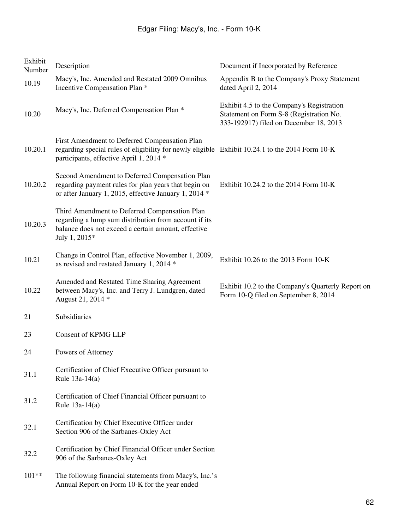| Exhibit<br>Number | Description                                                                                                                                                                                 | Document if Incorporated by Reference                                                                                          |
|-------------------|---------------------------------------------------------------------------------------------------------------------------------------------------------------------------------------------|--------------------------------------------------------------------------------------------------------------------------------|
| 10.19             | Macy's, Inc. Amended and Restated 2009 Omnibus<br>Incentive Compensation Plan *                                                                                                             | Appendix B to the Company's Proxy Statement<br>dated April 2, 2014                                                             |
| 10.20             | Macy's, Inc. Deferred Compensation Plan *                                                                                                                                                   | Exhibit 4.5 to the Company's Registration<br>Statement on Form S-8 (Registration No.<br>333-192917) filed on December 18, 2013 |
| 10.20.1           | First Amendment to Deferred Compensation Plan<br>regarding special rules of eligibility for newly eligible Exhibit 10.24.1 to the 2014 Form 10-K<br>participants, effective April 1, 2014 * |                                                                                                                                |
| 10.20.2           | Second Amendment to Deferred Compensation Plan<br>regarding payment rules for plan years that begin on<br>or after January 1, 2015, effective January 1, 2014 *                             | Exhibit 10.24.2 to the 2014 Form 10-K                                                                                          |
| 10.20.3           | Third Amendment to Deferred Compensation Plan<br>regarding a lump sum distribution from account if its<br>balance does not exceed a certain amount, effective<br>July 1, 2015*              |                                                                                                                                |
| 10.21             | Change in Control Plan, effective November 1, 2009,<br>as revised and restated January 1, 2014 *                                                                                            | Exhibit 10.26 to the 2013 Form 10-K                                                                                            |
| 10.22             | Amended and Restated Time Sharing Agreement<br>between Macy's, Inc. and Terry J. Lundgren, dated<br>August 21, 2014 *                                                                       | Exhibit 10.2 to the Company's Quarterly Report on<br>Form 10-Q filed on September 8, 2014                                      |
| 21                | Subsidiaries                                                                                                                                                                                |                                                                                                                                |
| 23                | <b>Consent of KPMG LLP</b>                                                                                                                                                                  |                                                                                                                                |
| 24                | Powers of Attorney                                                                                                                                                                          |                                                                                                                                |
| 31.1              | Certification of Chief Executive Officer pursuant to<br>Rule $13a-14(a)$                                                                                                                    |                                                                                                                                |
| 31.2              | Certification of Chief Financial Officer pursuant to<br>Rule $13a-14(a)$                                                                                                                    |                                                                                                                                |
| 32.1              | Certification by Chief Executive Officer under<br>Section 906 of the Sarbanes-Oxley Act                                                                                                     |                                                                                                                                |
| 32.2              | Certification by Chief Financial Officer under Section<br>906 of the Sarbanes-Oxley Act                                                                                                     |                                                                                                                                |
| $101**$           | The following financial statements from Macy's, Inc.'s<br>Annual Report on Form 10-K for the year ended                                                                                     |                                                                                                                                |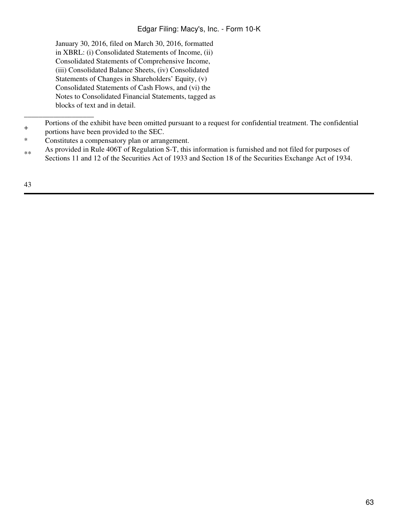# Edgar Filing: Macy's, Inc. - Form 10-K

January 30, 2016, filed on March 30, 2016, formatted in XBRL: (i) Consolidated Statements of Income, (ii) Consolidated Statements of Comprehensive Income, (iii) Consolidated Balance Sheets, (iv) Consolidated Statements of Changes in Shareholders' Equity, (v) Consolidated Statements of Cash Flows, and (vi) the Notes to Consolidated Financial Statements, tagged as blocks of text and in detail.

+ Portions of the exhibit have been omitted pursuant to a request for confidential treatment. The confidential portions have been provided to the SEC.

\_\_\_\_\_\_\_\_\_\_\_\_\_\_\_\_\_\_\_

<sup>\*</sup> Constitutes a compensatory plan or arrangement.

<sup>\*\*</sup> As provided in Rule 406T of Regulation S-T, this information is furnished and not filed for purposes of Sections 11 and 12 of the Securities Act of 1933 and Section 18 of the Securities Exchange Act of 1934.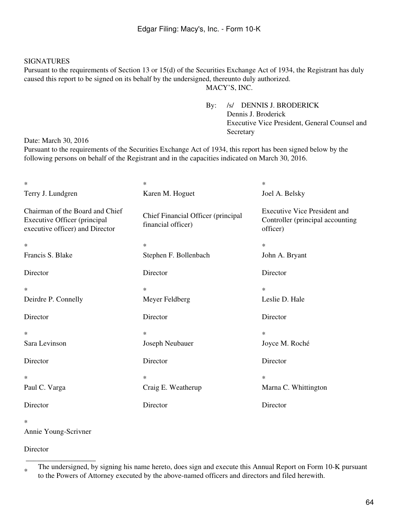#### SIGNATURES

Pursuant to the requirements of Section 13 or 15(d) of the Securities Exchange Act of 1934, the Registrant has duly caused this report to be signed on its behalf by the undersigned, thereunto duly authorized.

MACY'S, INC.

By: /s/ DENNIS J. BRODERICK Dennis J. Broderick Executive Vice President, General Counsel and **Secretary** 

Date: March 30, 2016

Pursuant to the requirements of the Securities Exchange Act of 1934, this report has been signed below by the following persons on behalf of the Registrant and in the capacities indicated on March 30, 2016.

| $\ast$                                                                                                    | $\ast$                                                   | $\ast$                                                                              |
|-----------------------------------------------------------------------------------------------------------|----------------------------------------------------------|-------------------------------------------------------------------------------------|
| Terry J. Lundgren                                                                                         | Karen M. Hoguet                                          | Joel A. Belsky                                                                      |
| Chairman of the Board and Chief<br><b>Executive Officer</b> (principal<br>executive officer) and Director | Chief Financial Officer (principal<br>financial officer) | <b>Executive Vice President and</b><br>Controller (principal accounting<br>officer) |
| ∗                                                                                                         | $\ast$                                                   | $\ast$                                                                              |
| Francis S. Blake                                                                                          | Stephen F. Bollenbach                                    | John A. Bryant                                                                      |
| Director                                                                                                  | Director                                                 | Director                                                                            |
| ∗                                                                                                         | $\ast$                                                   | $\ast$                                                                              |
| Deirdre P. Connelly                                                                                       | Meyer Feldberg                                           | Leslie D. Hale                                                                      |
| Director                                                                                                  | Director                                                 | Director                                                                            |
| $\ast$                                                                                                    | $\ast$                                                   | $\ast$                                                                              |
| Sara Levinson                                                                                             | Joseph Neubauer                                          | Joyce M. Roché                                                                      |
| Director                                                                                                  | Director                                                 | Director                                                                            |
| $\ast$                                                                                                    | $\ast$                                                   | $\ast$                                                                              |
| Paul C. Varga                                                                                             | Craig E. Weatherup                                       | Marna C. Whittington                                                                |
| Director                                                                                                  | Director                                                 | Director                                                                            |

\*

Annie Young-Scrivner

 $\overline{\phantom{a}}$  , where the contract of the contract of the contract of the contract of the contract of the contract of the contract of the contract of the contract of the contract of the contract of the contract of the contr

#### Director

<sup>\*</sup> The undersigned, by signing his name hereto, does sign and execute this Annual Report on Form 10-K pursuant to the Powers of Attorney executed by the above-named officers and directors and filed herewith.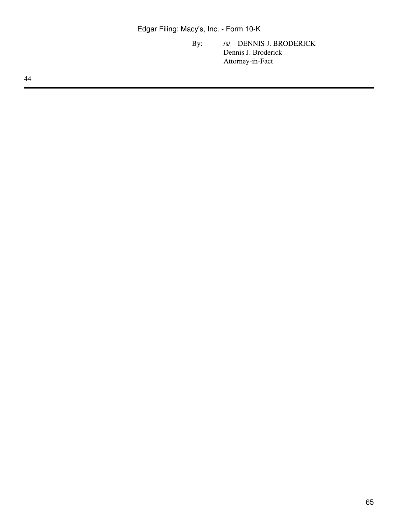By: /s/ DENNIS J. BRODERICK Dennis J. Broderick Attorney-in-Fact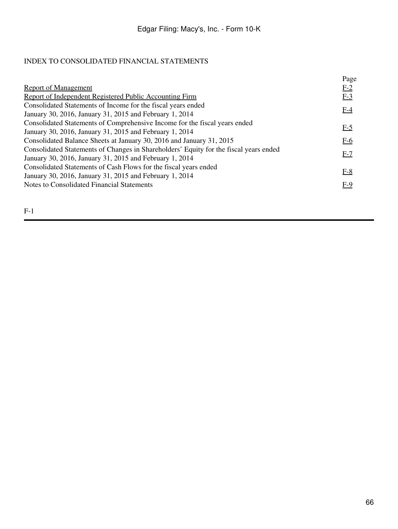# INDEX TO CONSOLIDATED FINANCIAL STATEMENTS

|                                                                                       | Page  |
|---------------------------------------------------------------------------------------|-------|
| <b>Report of Management</b>                                                           | $E-2$ |
| Report of Independent Registered Public Accounting Firm                               | $E-3$ |
| Consolidated Statements of Income for the fiscal years ended                          | $F-4$ |
| January 30, 2016, January 31, 2015 and February 1, 2014                               |       |
| Consolidated Statements of Comprehensive Income for the fiscal years ended            | $F-5$ |
| January 30, 2016, January 31, 2015 and February 1, 2014                               |       |
| Consolidated Balance Sheets at January 30, 2016 and January 31, 2015                  | $F-6$ |
| Consolidated Statements of Changes in Shareholders' Equity for the fiscal years ended |       |
| January 30, 2016, January 31, 2015 and February 1, 2014                               | $E-7$ |
| Consolidated Statements of Cash Flows for the fiscal years ended                      | $F-8$ |
| January 30, 2016, January 31, 2015 and February 1, 2014                               |       |
| Notes to Consolidated Financial Statements                                            | $F-9$ |
|                                                                                       |       |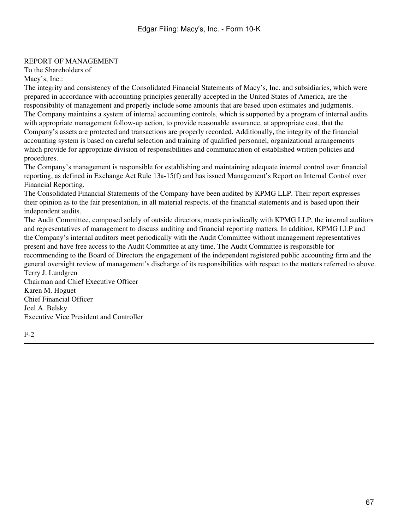# <span id="page-66-0"></span>REPORT OF MANAGEMENT

To the Shareholders of Macy's, Inc.:

The integrity and consistency of the Consolidated Financial Statements of Macy's, Inc. and subsidiaries, which were prepared in accordance with accounting principles generally accepted in the United States of America, are the responsibility of management and properly include some amounts that are based upon estimates and judgments. The Company maintains a system of internal accounting controls, which is supported by a program of internal audits with appropriate management follow-up action, to provide reasonable assurance, at appropriate cost, that the Company's assets are protected and transactions are properly recorded. Additionally, the integrity of the financial accounting system is based on careful selection and training of qualified personnel, organizational arrangements which provide for appropriate division of responsibilities and communication of established written policies and procedures.

The Company's management is responsible for establishing and maintaining adequate internal control over financial reporting, as defined in Exchange Act Rule 13a-15(f) and has issued Management's Report on Internal Control over Financial Reporting.

The Consolidated Financial Statements of the Company have been audited by KPMG LLP. Their report expresses their opinion as to the fair presentation, in all material respects, of the financial statements and is based upon their independent audits.

The Audit Committee, composed solely of outside directors, meets periodically with KPMG LLP, the internal auditors and representatives of management to discuss auditing and financial reporting matters. In addition, KPMG LLP and the Company's internal auditors meet periodically with the Audit Committee without management representatives present and have free access to the Audit Committee at any time. The Audit Committee is responsible for recommending to the Board of Directors the engagement of the independent registered public accounting firm and the general oversight review of management's discharge of its responsibilities with respect to the matters referred to above. Terry J. Lundgren Chairman and Chief Executive Officer

Karen M. Hoguet Chief Financial Officer Joel A. Belsky Executive Vice President and Controller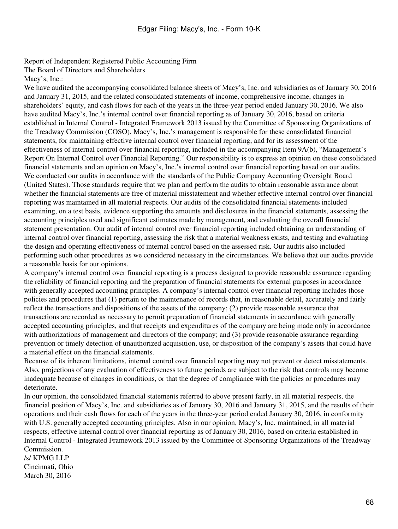<span id="page-67-0"></span>Report of Independent Registered Public Accounting Firm The Board of Directors and Shareholders Macy's, Inc.:

We have audited the accompanying consolidated balance sheets of Macy's, Inc. and subsidiaries as of January 30, 2016 and January 31, 2015, and the related consolidated statements of income, comprehensive income, changes in shareholders' equity, and cash flows for each of the years in the three-year period ended January 30, 2016. We also have audited Macy's, Inc.'s internal control over financial reporting as of January 30, 2016, based on criteria established in Internal Control - Integrated Framework 2013 issued by the Committee of Sponsoring Organizations of the Treadway Commission (COSO). Macy's, Inc.'s management is responsible for these consolidated financial statements, for maintaining effective internal control over financial reporting, and for its assessment of the effectiveness of internal control over financial reporting, included in the accompanying Item 9A(b), "Management's Report On Internal Control over Financial Reporting." Our responsibility is to express an opinion on these consolidated financial statements and an opinion on Macy's, Inc.'s internal control over financial reporting based on our audits. We conducted our audits in accordance with the standards of the Public Company Accounting Oversight Board (United States). Those standards require that we plan and perform the audits to obtain reasonable assurance about whether the financial statements are free of material misstatement and whether effective internal control over financial reporting was maintained in all material respects. Our audits of the consolidated financial statements included examining, on a test basis, evidence supporting the amounts and disclosures in the financial statements, assessing the accounting principles used and significant estimates made by management, and evaluating the overall financial statement presentation. Our audit of internal control over financial reporting included obtaining an understanding of internal control over financial reporting, assessing the risk that a material weakness exists, and testing and evaluating the design and operating effectiveness of internal control based on the assessed risk. Our audits also included performing such other procedures as we considered necessary in the circumstances. We believe that our audits provide a reasonable basis for our opinions.

A company's internal control over financial reporting is a process designed to provide reasonable assurance regarding the reliability of financial reporting and the preparation of financial statements for external purposes in accordance with generally accepted accounting principles. A company's internal control over financial reporting includes those policies and procedures that (1) pertain to the maintenance of records that, in reasonable detail, accurately and fairly reflect the transactions and dispositions of the assets of the company; (2) provide reasonable assurance that transactions are recorded as necessary to permit preparation of financial statements in accordance with generally accepted accounting principles, and that receipts and expenditures of the company are being made only in accordance with authorizations of management and directors of the company; and (3) provide reasonable assurance regarding prevention or timely detection of unauthorized acquisition, use, or disposition of the company's assets that could have a material effect on the financial statements.

Because of its inherent limitations, internal control over financial reporting may not prevent or detect misstatements. Also, projections of any evaluation of effectiveness to future periods are subject to the risk that controls may become inadequate because of changes in conditions, or that the degree of compliance with the policies or procedures may deteriorate.

In our opinion, the consolidated financial statements referred to above present fairly, in all material respects, the financial position of Macy's, Inc. and subsidiaries as of January 30, 2016 and January 31, 2015, and the results of their operations and their cash flows for each of the years in the three-year period ended January 30, 2016, in conformity with U.S. generally accepted accounting principles. Also in our opinion, Macy's, Inc. maintained, in all material respects, effective internal control over financial reporting as of January 30, 2016, based on criteria established in Internal Control - Integrated Framework 2013 issued by the Committee of Sponsoring Organizations of the Treadway Commission.

/s/ KPMG LLP Cincinnati, Ohio March 30, 2016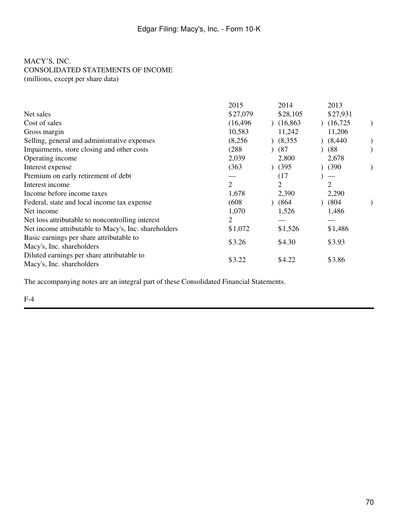## <span id="page-69-0"></span>MACY'S, INC. CONSOLIDATED STATEMENTS OF INCOME (millions, except per share data)

|                                                      | 2015      | 2014      | 2013     |  |
|------------------------------------------------------|-----------|-----------|----------|--|
| Net sales                                            | \$27,079  | \$28,105  | \$27,931 |  |
| Cost of sales                                        | (16, 496) | (16, 863) | (16,725) |  |
| Gross margin                                         | 10,583    | 11,242    | 11,206   |  |
| Selling, general and administrative expenses         | (8,256)   | (8,355)   | (8,440)  |  |
| Impairments, store closing and other costs           | (288)     | (87)      | (88)     |  |
| Operating income                                     | 2,039     | 2,800     | 2,678    |  |
| Interest expense                                     | (363)     | (395)     | (390)    |  |
| Premium on early retirement of debt                  |           | (17)      |          |  |
| Interest income                                      | 2         | 2         | 2        |  |
| Income before income taxes                           | 1,678     | 2,390     | 2,290    |  |
| Federal, state and local income tax expense          | (608)     | (864)     | (804)    |  |
| Net income                                           | 1,070     | 1,526     | 1,486    |  |
| Net loss attributable to noncontrolling interest     | 2         |           |          |  |
| Net income attributable to Macy's, Inc. shareholders | \$1,072   | \$1,526   | \$1,486  |  |
| Basic earnings per share attributable to             |           |           |          |  |
| Macy's, Inc. shareholders                            | \$3.26    | \$4.30    | \$3.93   |  |
| Diluted earnings per share attributable to           |           |           |          |  |
| Macy's, Inc. shareholders                            | \$3.22    | \$4.22    | \$3.86   |  |

The accompanying notes are an integral part of these Consolidated Financial Statements.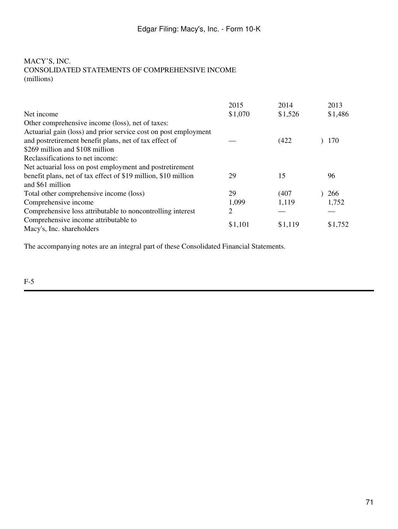# <span id="page-70-0"></span>MACY'S, INC. CONSOLIDATED STATEMENTS OF COMPREHENSIVE INCOME (millions)

|                                                                 | 2015    | 2014    | 2013    |
|-----------------------------------------------------------------|---------|---------|---------|
| Net income                                                      | \$1,070 | \$1,526 | \$1,486 |
| Other comprehensive income (loss), net of taxes:                |         |         |         |
| Actuarial gain (loss) and prior service cost on post employment |         |         |         |
| and postretirement benefit plans, net of tax effect of          |         | (422)   | 170     |
| \$269 million and \$108 million                                 |         |         |         |
| Reclassifications to net income:                                |         |         |         |
| Net actuarial loss on post employment and postretirement        |         |         |         |
| benefit plans, net of tax effect of \$19 million, \$10 million  | 29      | 15      | 96      |
| and \$61 million                                                |         |         |         |
| Total other comprehensive income (loss)                         | 29      | (407    | 266     |
| Comprehensive income                                            | 1,099   | 1,119   | 1,752   |
| Comprehensive loss attributable to noncontrolling interest      | 2       |         |         |
| Comprehensive income attributable to                            | \$1,101 | \$1,119 | \$1,752 |
| Macy's, Inc. shareholders                                       |         |         |         |

The accompanying notes are an integral part of these Consolidated Financial Statements.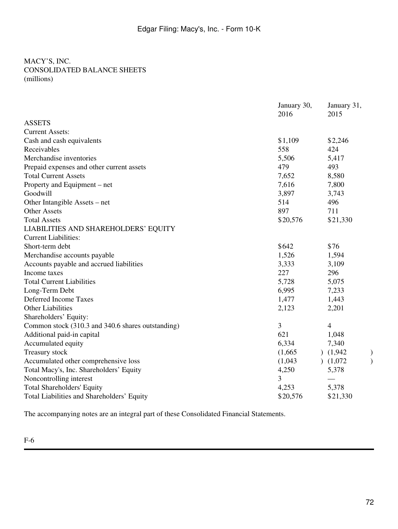# <span id="page-71-0"></span>MACY'S, INC. CONSOLIDATED BALANCE SHEETS (millions)

|                                                   | January 30,<br>2016 | January 31,<br>2015 |
|---------------------------------------------------|---------------------|---------------------|
| <b>ASSETS</b>                                     |                     |                     |
| <b>Current Assets:</b>                            |                     |                     |
| Cash and cash equivalents                         | \$1,109             | \$2,246             |
| Receivables                                       | 558                 | 424                 |
| Merchandise inventories                           | 5,506               | 5,417               |
| Prepaid expenses and other current assets         | 479                 | 493                 |
| <b>Total Current Assets</b>                       | 7,652               | 8,580               |
| Property and Equipment – net                      | 7,616               | 7,800               |
| Goodwill                                          | 3,897               | 3,743               |
| Other Intangible Assets – net                     | 514                 | 496                 |
| <b>Other Assets</b>                               | 897                 | 711                 |
| <b>Total Assets</b>                               | \$20,576            | \$21,330            |
| LIABILITIES AND SHAREHOLDERS' EQUITY              |                     |                     |
| <b>Current Liabilities:</b>                       |                     |                     |
| Short-term debt                                   | \$642               | \$76                |
| Merchandise accounts payable                      | 1,526               | 1,594               |
| Accounts payable and accrued liabilities          | 3,333               | 3,109               |
| Income taxes                                      | 227                 | 296                 |
| <b>Total Current Liabilities</b>                  | 5,728               | 5,075               |
| Long-Term Debt                                    | 6,995               | 7,233               |
| Deferred Income Taxes                             | 1,477               | 1,443               |
| <b>Other Liabilities</b>                          | 2,123               | 2,201               |
| Shareholders' Equity:                             |                     |                     |
| Common stock (310.3 and 340.6 shares outstanding) | 3                   | $\overline{4}$      |
| Additional paid-in capital                        | 621                 | 1,048               |
| Accumulated equity                                | 6,334               | 7,340               |
| Treasury stock                                    | (1,665)             | (1,942)             |
| Accumulated other comprehensive loss              | (1,043)             | (1,072)             |
| Total Macy's, Inc. Shareholders' Equity           | 4,250               | 5,378               |
| Noncontrolling interest                           | 3                   |                     |
| Total Shareholders' Equity                        | 4,253               | 5,378               |
| Total Liabilities and Shareholders' Equity        | \$20,576            | \$21,330            |

The accompanying notes are an integral part of these Consolidated Financial Statements.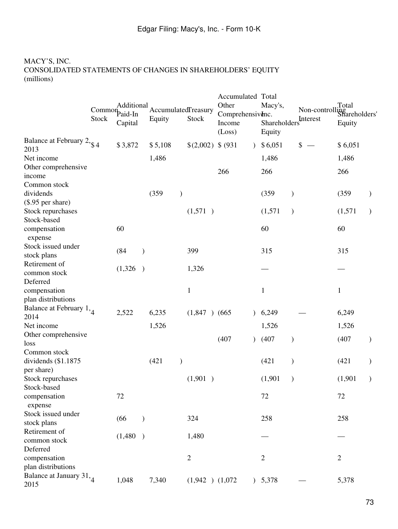# MACY'S, INC. CONSOLIDATED STATEMENTS OF CHANGES IN SHAREHOLDERS' EQUITY (millions)

|                                                | <b>Stock</b> | Additional<br>Common<br>Paid-In<br>Capital |               | AccumulatedTreasury<br>Equity |               | Stock               | Accumulated Total<br>Other<br>Comprehensivenc.<br>Income<br>(Loss) |               | Macy's,<br>Shareholders<br>Equity |               | Non-controlling<br>Shareholders'<br>Interest | Total<br>Equity |               |
|------------------------------------------------|--------------|--------------------------------------------|---------------|-------------------------------|---------------|---------------------|--------------------------------------------------------------------|---------------|-----------------------------------|---------------|----------------------------------------------|-----------------|---------------|
| Balance at February $2, 84$<br>2013            |              | \$3,872                                    |               | \$5,108                       |               | $$(2,002)$ \$ (931) |                                                                    | $\mathcal{L}$ | \$6,051                           |               | \$                                           | \$6,051         |               |
| Net income                                     |              |                                            |               | 1,486                         |               |                     |                                                                    |               | 1,486                             |               |                                              | 1,486           |               |
| Other comprehensive<br>income<br>Common stock  |              |                                            |               |                               |               |                     | 266                                                                |               | 266                               |               |                                              | 266             |               |
| dividends<br>$($.95$ per share)                |              |                                            |               | (359)                         | $\mathcal{E}$ |                     |                                                                    |               | (359)                             | $\mathcal{E}$ |                                              | (359)           | $\mathcal{E}$ |
| Stock repurchases<br>Stock-based               |              |                                            |               |                               |               | (1,571)             |                                                                    |               | (1,571)                           | $\lambda$     |                                              | (1,571)         |               |
| compensation<br>expense                        |              | 60                                         |               |                               |               |                     |                                                                    |               | 60                                |               |                                              | 60              |               |
| Stock issued under<br>stock plans              |              | (84)                                       | $\mathcal{E}$ |                               |               | 399                 |                                                                    |               | 315                               |               |                                              | 315             |               |
| Retirement of<br>common stock<br>Deferred      |              | (1,326)                                    | $\lambda$     |                               |               | 1,326               |                                                                    |               |                                   |               |                                              |                 |               |
| compensation<br>plan distributions             |              |                                            |               |                               |               | 1                   |                                                                    |               | $\mathbf{1}$                      |               |                                              | $\mathbf{1}$    |               |
| Balance at February 1, 4<br>2014               |              | 2,522                                      |               | 6,235                         |               | $(1,847)$ (665)     |                                                                    | $\mathcal{L}$ | 6,249                             |               |                                              | 6,249           |               |
| Net income                                     |              |                                            |               | 1,526                         |               |                     |                                                                    |               | 1,526                             |               |                                              | 1,526           |               |
| Other comprehensive<br>loss<br>Common stock    |              |                                            |               |                               |               |                     | (407)                                                              | $\mathcal{L}$ | (407)                             | $\mathcal{E}$ |                                              | (407)           | $\mathcal{E}$ |
| dividends (\$1.1875<br>per share)              |              |                                            |               | (421)                         | $\mathcal{E}$ |                     |                                                                    |               | (421)                             | $\mathcal{E}$ |                                              | (421)           | $\mathcal{E}$ |
| Stock repurchases<br>Stock-based               |              |                                            |               |                               |               | (1,901)             |                                                                    |               | (1,901)                           | $\lambda$     |                                              | (1,901)         | $\lambda$     |
| compensation<br>expense                        |              | 72                                         |               |                               |               |                     |                                                                    |               | 72                                |               |                                              | 72              |               |
| Stock issued under<br>stock plans              |              | (66)                                       | $\mathcal{E}$ |                               |               | 324                 |                                                                    |               | 258                               |               |                                              | 258             |               |
| Retirement of<br>common stock                  |              | (1,480)                                    | $\mathcal{L}$ |                               |               | 1,480               |                                                                    |               |                                   |               |                                              |                 |               |
| Deferred<br>compensation<br>plan distributions |              |                                            |               |                               |               | $\sqrt{2}$          |                                                                    |               | $\mathfrak{2}$                    |               |                                              | $\mathbf{2}$    |               |
| Balance at January 31, 4<br>2015               |              | 1,048                                      |               | 7,340                         |               | $(1,942)$ $(1,072)$ |                                                                    | $\mathcal{L}$ | 5,378                             |               |                                              | 5,378           |               |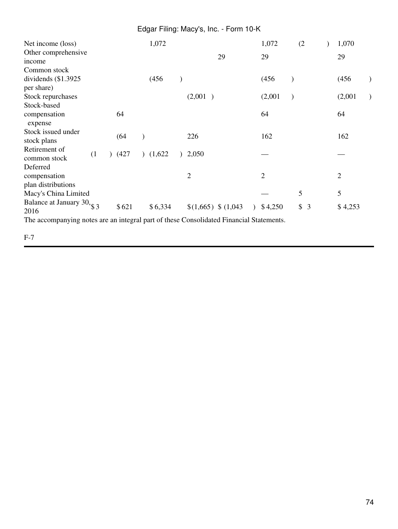|                                                                                         |       |         | Edgar Filing: Macy's, Inc. - Form 10-K |           |                |                                 |                |  |
|-----------------------------------------------------------------------------------------|-------|---------|----------------------------------------|-----------|----------------|---------------------------------|----------------|--|
| Net income (loss)                                                                       |       | 1,072   |                                        |           | 1,072          | (2)                             | 1,070          |  |
| Other comprehensive<br>income                                                           |       |         | 29                                     |           | 29             |                                 | 29             |  |
| Common stock<br>dividends $($1.3925$<br>per share)                                      |       | (456)   |                                        |           | (456)          |                                 | (456)          |  |
| Stock repurchases                                                                       |       |         | (2,001)                                |           | (2,001)        |                                 | (2,001)        |  |
| Stock-based                                                                             |       |         |                                        |           |                |                                 |                |  |
| compensation<br>expense                                                                 | 64    |         |                                        |           | 64             |                                 | 64             |  |
| Stock issued under<br>stock plans                                                       | (64)  |         | 226                                    |           | 162            |                                 | 162            |  |
| Retirement of<br>(1)<br>common stock                                                    | (427) | (1,622) | 2,050                                  |           |                |                                 |                |  |
| Deferred<br>compensation                                                                |       |         | $\overline{2}$                         |           | $\mathfrak{D}$ |                                 | $\overline{2}$ |  |
| plan distributions                                                                      |       |         |                                        |           |                | 5                               | 5              |  |
| Macy's China Limited                                                                    |       |         |                                        |           |                |                                 |                |  |
| Balance at January 30, $\frac{1}{3}$<br>2016                                            | \$621 | \$6,334 | $$(1,665) \$ (1,043)$                  | $\lambda$ | \$4,250        | $\overline{3}$<br>$\frac{1}{2}$ | \$4,253        |  |
| The accompanying notes are an integral part of these Consolidated Financial Statements. |       |         |                                        |           |                |                                 |                |  |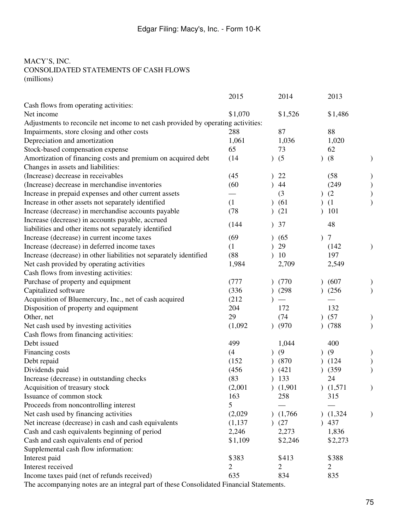# MACY'S, INC. CONSOLIDATED STATEMENTS OF CASH FLOWS (millions)

|                                                                                       | 2015     |               | 2014    | 2013    |               |
|---------------------------------------------------------------------------------------|----------|---------------|---------|---------|---------------|
| Cash flows from operating activities:                                                 |          |               |         |         |               |
| Net income                                                                            | \$1,070  |               | \$1,526 | \$1,486 |               |
| Adjustments to reconcile net income to net cash provided by operating activities:     |          |               |         |         |               |
| Impairments, store closing and other costs                                            | 288      |               | 87      | 88      |               |
| Depreciation and amortization                                                         | 1,061    |               | 1,036   | 1,020   |               |
| Stock-based compensation expense                                                      | 65       |               | 73      | 62      |               |
| Amortization of financing costs and premium on acquired debt                          | (14)     | $\mathcal{F}$ | (5)     | (8)     |               |
| Changes in assets and liabilities:                                                    |          |               |         |         |               |
| (Increase) decrease in receivables                                                    | (45)     |               | 22      | (58)    |               |
| (Increase) decrease in merchandise inventories                                        | (60)     |               | 44      | (249)   |               |
| Increase in prepaid expenses and other current assets                                 |          |               | (3)     | (2)     |               |
| Increase in other assets not separately identified                                    | (1)      |               | (61)    | (1)     |               |
| Increase (decrease) in merchandise accounts payable                                   | (78)     |               | (21)    | 101     |               |
| Increase (decrease) in accounts payable, accrued                                      |          |               |         |         |               |
| liabilities and other items not separately identified                                 | (144)    | $\lambda$     | 37      | 48      |               |
| Increase (decrease) in current income taxes                                           | (69)     |               | (65)    | 7       |               |
| Increase (decrease) in deferred income taxes                                          | (1)      |               | 29      | (142)   |               |
| Increase (decrease) in other liabilities not separately identified                    | (88)     |               | 10      | 197     |               |
| Net cash provided by operating activities                                             | 1,984    |               | 2,709   | 2,549   |               |
| Cash flows from investing activities:                                                 |          |               |         |         |               |
| Purchase of property and equipment                                                    | (777)    |               | (770)   | (607)   |               |
| Capitalized software                                                                  | (336)    |               | (298)   | (256)   |               |
| Acquisition of Bluemercury, Inc., net of cash acquired                                | (212)    |               |         |         |               |
| Disposition of property and equipment                                                 | 204      |               | 172     | 132     |               |
| Other, net                                                                            | 29       |               | (74)    | (57)    | )             |
| Net cash used by investing activities                                                 | (1,092)  |               | (970)   | (788)   |               |
| Cash flows from financing activities:                                                 |          |               |         |         |               |
| Debt issued                                                                           | 499      |               | 1,044   | 400     |               |
| Financing costs                                                                       | (4)      |               | (9)     | (9)     | $\mathcal{)}$ |
| Debt repaid                                                                           | (152)    |               | (870)   | (124)   |               |
| Dividends paid                                                                        | (456)    |               | (421)   | (359)   |               |
| Increase (decrease) in outstanding checks                                             | (83)     |               | 133     | 24      |               |
| Acquisition of treasury stock                                                         | (2,001)  |               | (1,901) | (1,571) |               |
| Issuance of common stock                                                              | 163      |               | 258     | 315     |               |
| Proceeds from noncontrolling interest                                                 | 5        |               |         |         |               |
| Net cash used by financing activities                                                 | (2,029)  |               | (1,766) | (1,324) |               |
| Net increase (decrease) in cash and cash equivalents                                  | (1, 137) |               | (27)    | 437     |               |
| Cash and cash equivalents beginning of period                                         | 2,246    |               | 2,273   | 1,836   |               |
| Cash and cash equivalents end of period                                               | \$1,109  |               | \$2,246 | \$2,273 |               |
| Supplemental cash flow information:                                                   |          |               |         |         |               |
| Interest paid                                                                         | \$383    |               | \$413   | \$388   |               |
| Interest received                                                                     | 2        |               | 2       | 2       |               |
| Income taxes paid (net of refunds received)                                           | 635      |               | 834     | 835     |               |
| The eccomponing notes are an integral part of these Consolidated Einengial Statements |          |               |         |         |               |

The accompanying notes are an integral part of these Consolidated Financial Statements.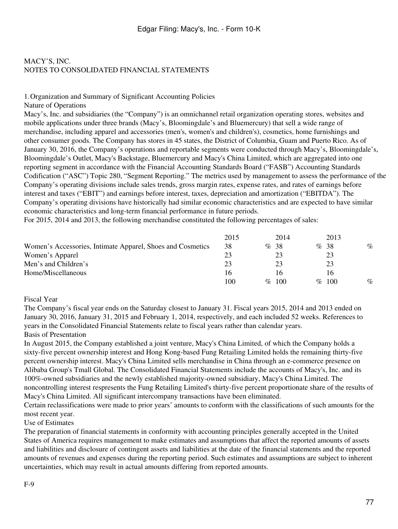# MACY'S, INC. NOTES TO CONSOLIDATED FINANCIAL STATEMENTS

## 1.Organization and Summary of Significant Accounting Policies

#### Nature of Operations

Macy's, Inc. and subsidiaries (the "Company") is an omnichannel retail organization operating stores, websites and mobile applications under three brands (Macy's, Bloomingdale's and Bluemercury) that sell a wide range of merchandise, including apparel and accessories (men's, women's and children's), cosmetics, home furnishings and other consumer goods. The Company has stores in 45 states, the District of Columbia, Guam and Puerto Rico. As of January 30, 2016, the Company's operations and reportable segments were conducted through Macy's, Bloomingdale's, Bloomingdale's Outlet, Macy's Backstage, Bluemercury and Macy's China Limited, which are aggregated into one reporting segment in accordance with the Financial Accounting Standards Board ("FASB") Accounting Standards Codification ("ASC") Topic 280, "Segment Reporting." The metrics used by management to assess the performance of the Company's operating divisions include sales trends, gross margin rates, expense rates, and rates of earnings before interest and taxes ("EBIT") and earnings before interest, taxes, depreciation and amortization ("EBITDA"). The Company's operating divisions have historically had similar economic characteristics and are expected to have similar economic characteristics and long-term financial performance in future periods.

For 2015, 2014 and 2013, the following merchandise constituted the following percentages of sales:

|                                                            | 2015 |      | 2014 | 2013 |      |
|------------------------------------------------------------|------|------|------|------|------|
| Women's Accessories, Intimate Apparel, Shoes and Cosmetics | 38   |      | %38  | %38  | $\%$ |
| Women's Apparel                                            | 23   |      | 23   | 23   |      |
| Men's and Children's                                       | 23   |      | 23   | 23   |      |
| Home/Miscellaneous                                         | 16   |      | 16   | 16   |      |
|                                                            | 100  | $\%$ | 100  | %100 | $\%$ |

## Fiscal Year

The Company's fiscal year ends on the Saturday closest to January 31. Fiscal years 2015, 2014 and 2013 ended on January 30, 2016, January 31, 2015 and February 1, 2014, respectively, and each included 52 weeks. References to years in the Consolidated Financial Statements relate to fiscal years rather than calendar years. Basis of Presentation

In August 2015, the Company established a joint venture, Macy's China Limited, of which the Company holds a sixty-five percent ownership interest and Hong Kong-based Fung Retailing Limited holds the remaining thirty-five percent ownership interest. Macy's China Limited sells merchandise in China through an e-commerce presence on Alibaba Group's Tmall Global. The Consolidated Financial Statements include the accounts of Macy's, Inc. and its 100%-owned subsidiaries and the newly established majority-owned subsidiary, Macy's China Limited. The noncontrolling interest respresents the Fung Retailing Limited's thirty-five percent proportionate share of the results of Macy's China Limited. All significant intercompany transactions have been eliminated.

Certain reclassifications were made to prior years' amounts to conform with the classifications of such amounts for the most recent year.

Use of Estimates

The preparation of financial statements in conformity with accounting principles generally accepted in the United States of America requires management to make estimates and assumptions that affect the reported amounts of assets and liabilities and disclosure of contingent assets and liabilities at the date of the financial statements and the reported amounts of revenues and expenses during the reporting period. Such estimates and assumptions are subject to inherent uncertainties, which may result in actual amounts differing from reported amounts.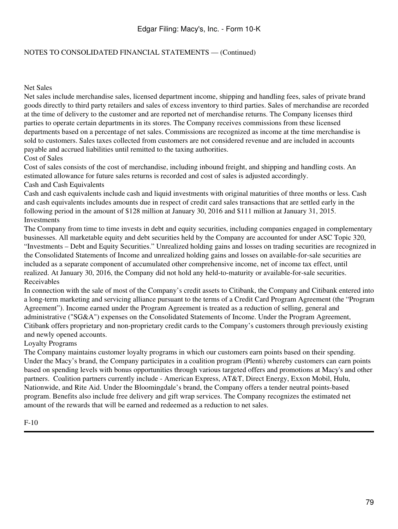Net Sales

Net sales include merchandise sales, licensed department income, shipping and handling fees, sales of private brand goods directly to third party retailers and sales of excess inventory to third parties. Sales of merchandise are recorded at the time of delivery to the customer and are reported net of merchandise returns. The Company licenses third parties to operate certain departments in its stores. The Company receives commissions from these licensed departments based on a percentage of net sales. Commissions are recognized as income at the time merchandise is sold to customers. Sales taxes collected from customers are not considered revenue and are included in accounts payable and accrued liabilities until remitted to the taxing authorities.

Cost of Sales

Cost of sales consists of the cost of merchandise, including inbound freight, and shipping and handling costs. An estimated allowance for future sales returns is recorded and cost of sales is adjusted accordingly. Cash and Cash Equivalents

Cash and cash equivalents include cash and liquid investments with original maturities of three months or less. Cash and cash equivalents includes amounts due in respect of credit card sales transactions that are settled early in the following period in the amount of \$128 million at January 30, 2016 and \$111 million at January 31, 2015. Investments

The Company from time to time invests in debt and equity securities, including companies engaged in complementary businesses. All marketable equity and debt securities held by the Company are accounted for under ASC Topic 320, "Investments – Debt and Equity Securities." Unrealized holding gains and losses on trading securities are recognized in the Consolidated Statements of Income and unrealized holding gains and losses on available-for-sale securities are included as a separate component of accumulated other comprehensive income, net of income tax effect, until realized. At January 30, 2016, the Company did not hold any held-to-maturity or available-for-sale securities. Receivables

In connection with the sale of most of the Company's credit assets to Citibank, the Company and Citibank entered into a long-term marketing and servicing alliance pursuant to the terms of a Credit Card Program Agreement (the "Program Agreement"). Income earned under the Program Agreement is treated as a reduction of selling, general and administrative ("SG&A") expenses on the Consolidated Statements of Income. Under the Program Agreement, Citibank offers proprietary and non-proprietary credit cards to the Company's customers through previously existing and newly opened accounts.

## Loyalty Programs

The Company maintains customer loyalty programs in which our customers earn points based on their spending. Under the Macy's brand, the Company participates in a coalition program (Plenti) whereby customers can earn points based on spending levels with bonus opportunities through various targeted offers and promotions at Macy's and other partners. Coalition partners currently include - American Express, AT&T, Direct Energy, Exxon Mobil, Hulu, Nationwide, and Rite Aid. Under the Bloomingdale's brand, the Company offers a tender neutral points-based program. Benefits also include free delivery and gift wrap services. The Company recognizes the estimated net amount of the rewards that will be earned and redeemed as a reduction to net sales.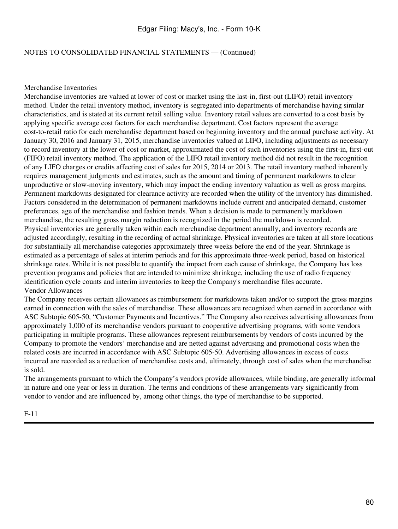#### Merchandise Inventories

Merchandise inventories are valued at lower of cost or market using the last-in, first-out (LIFO) retail inventory method. Under the retail inventory method, inventory is segregated into departments of merchandise having similar characteristics, and is stated at its current retail selling value. Inventory retail values are converted to a cost basis by applying specific average cost factors for each merchandise department. Cost factors represent the average cost-to-retail ratio for each merchandise department based on beginning inventory and the annual purchase activity. At January 30, 2016 and January 31, 2015, merchandise inventories valued at LIFO, including adjustments as necessary to record inventory at the lower of cost or market, approximated the cost of such inventories using the first-in, first-out (FIFO) retail inventory method. The application of the LIFO retail inventory method did not result in the recognition of any LIFO charges or credits affecting cost of sales for 2015, 2014 or 2013. The retail inventory method inherently requires management judgments and estimates, such as the amount and timing of permanent markdowns to clear unproductive or slow-moving inventory, which may impact the ending inventory valuation as well as gross margins. Permanent markdowns designated for clearance activity are recorded when the utility of the inventory has diminished. Factors considered in the determination of permanent markdowns include current and anticipated demand, customer preferences, age of the merchandise and fashion trends. When a decision is made to permanently markdown merchandise, the resulting gross margin reduction is recognized in the period the markdown is recorded. Physical inventories are generally taken within each merchandise department annually, and inventory records are adjusted accordingly, resulting in the recording of actual shrinkage. Physical inventories are taken at all store locations for substantially all merchandise categories approximately three weeks before the end of the year. Shrinkage is estimated as a percentage of sales at interim periods and for this approximate three-week period, based on historical shrinkage rates. While it is not possible to quantify the impact from each cause of shrinkage, the Company has loss prevention programs and policies that are intended to minimize shrinkage, including the use of radio frequency identification cycle counts and interim inventories to keep the Company's merchandise files accurate. Vendor Allowances

The Company receives certain allowances as reimbursement for markdowns taken and/or to support the gross margins earned in connection with the sales of merchandise. These allowances are recognized when earned in accordance with ASC Subtopic 605-50, "Customer Payments and Incentives." The Company also receives advertising allowances from approximately 1,000 of its merchandise vendors pursuant to cooperative advertising programs, with some vendors participating in multiple programs. These allowances represent reimbursements by vendors of costs incurred by the Company to promote the vendors' merchandise and are netted against advertising and promotional costs when the related costs are incurred in accordance with ASC Subtopic 605-50. Advertising allowances in excess of costs incurred are recorded as a reduction of merchandise costs and, ultimately, through cost of sales when the merchandise is sold.

The arrangements pursuant to which the Company's vendors provide allowances, while binding, are generally informal in nature and one year or less in duration. The terms and conditions of these arrangements vary significantly from vendor to vendor and are influenced by, among other things, the type of merchandise to be supported.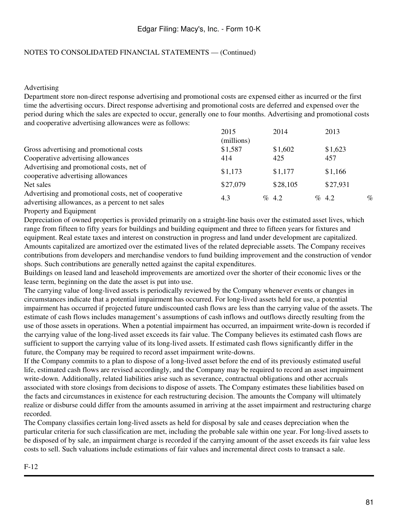#### Advertising

Department store non-direct response advertising and promotional costs are expensed either as incurred or the first time the advertising occurs. Direct response advertising and promotional costs are deferred and expensed over the period during which the sales are expected to occur, generally one to four months. Advertising and promotional costs and cooperative advertising allowances were as follows:

|                                                       | 2015       | 2014     | 2013     |      |
|-------------------------------------------------------|------------|----------|----------|------|
|                                                       | (millions) |          |          |      |
| Gross advertising and promotional costs               | \$1,587    | \$1,602  | \$1,623  |      |
| Cooperative advertising allowances                    | 414        | 425      | 457      |      |
| Advertising and promotional costs, net of             | \$1,173    | \$1,177  | \$1,166  |      |
| cooperative advertising allowances                    |            |          |          |      |
| Net sales                                             | \$27,079   | \$28,105 | \$27,931 |      |
| Advertising and promotional costs, net of cooperative | 4.3        | $\%$ 4.2 | $\%$ 4.2 | $\%$ |
| advertising allowances, as a percent to net sales     |            |          |          |      |
| Dronowly and $\Gamma$ animazant                       |            |          |          |      |

Property and Equipment

Depreciation of owned properties is provided primarily on a straight-line basis over the estimated asset lives, which range from fifteen to fifty years for buildings and building equipment and three to fifteen years for fixtures and equipment. Real estate taxes and interest on construction in progress and land under development are capitalized. Amounts capitalized are amortized over the estimated lives of the related depreciable assets. The Company receives contributions from developers and merchandise vendors to fund building improvement and the construction of vendor shops. Such contributions are generally netted against the capital expenditures.

Buildings on leased land and leasehold improvements are amortized over the shorter of their economic lives or the lease term, beginning on the date the asset is put into use.

The carrying value of long-lived assets is periodically reviewed by the Company whenever events or changes in circumstances indicate that a potential impairment has occurred. For long-lived assets held for use, a potential impairment has occurred if projected future undiscounted cash flows are less than the carrying value of the assets. The estimate of cash flows includes management's assumptions of cash inflows and outflows directly resulting from the use of those assets in operations. When a potential impairment has occurred, an impairment write-down is recorded if the carrying value of the long-lived asset exceeds its fair value. The Company believes its estimated cash flows are sufficient to support the carrying value of its long-lived assets. If estimated cash flows significantly differ in the future, the Company may be required to record asset impairment write-downs.

If the Company commits to a plan to dispose of a long-lived asset before the end of its previously estimated useful life, estimated cash flows are revised accordingly, and the Company may be required to record an asset impairment write-down. Additionally, related liabilities arise such as severance, contractual obligations and other accruals associated with store closings from decisions to dispose of assets. The Company estimates these liabilities based on the facts and circumstances in existence for each restructuring decision. The amounts the Company will ultimately realize or disburse could differ from the amounts assumed in arriving at the asset impairment and restructuring charge recorded.

The Company classifies certain long-lived assets as held for disposal by sale and ceases depreciation when the particular criteria for such classification are met, including the probable sale within one year. For long-lived assets to be disposed of by sale, an impairment charge is recorded if the carrying amount of the asset exceeds its fair value less costs to sell. Such valuations include estimations of fair values and incremental direct costs to transact a sale.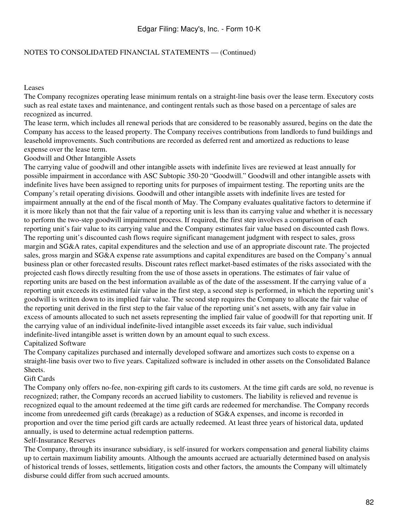Leases

The Company recognizes operating lease minimum rentals on a straight-line basis over the lease term. Executory costs such as real estate taxes and maintenance, and contingent rentals such as those based on a percentage of sales are recognized as incurred.

The lease term, which includes all renewal periods that are considered to be reasonably assured, begins on the date the Company has access to the leased property. The Company receives contributions from landlords to fund buildings and leasehold improvements. Such contributions are recorded as deferred rent and amortized as reductions to lease expense over the lease term.

Goodwill and Other Intangible Assets

The carrying value of goodwill and other intangible assets with indefinite lives are reviewed at least annually for possible impairment in accordance with ASC Subtopic 350-20 "Goodwill." Goodwill and other intangible assets with indefinite lives have been assigned to reporting units for purposes of impairment testing. The reporting units are the Company's retail operating divisions. Goodwill and other intangible assets with indefinite lives are tested for impairment annually at the end of the fiscal month of May. The Company evaluates qualitative factors to determine if it is more likely than not that the fair value of a reporting unit is less than its carrying value and whether it is necessary to perform the two-step goodwill impairment process. If required, the first step involves a comparison of each reporting unit's fair value to its carrying value and the Company estimates fair value based on discounted cash flows. The reporting unit's discounted cash flows require significant management judgment with respect to sales, gross margin and SG&A rates, capital expenditures and the selection and use of an appropriate discount rate. The projected sales, gross margin and SG&A expense rate assumptions and capital expenditures are based on the Company's annual business plan or other forecasted results. Discount rates reflect market-based estimates of the risks associated with the projected cash flows directly resulting from the use of those assets in operations. The estimates of fair value of reporting units are based on the best information available as of the date of the assessment. If the carrying value of a reporting unit exceeds its estimated fair value in the first step, a second step is performed, in which the reporting unit's goodwill is written down to its implied fair value. The second step requires the Company to allocate the fair value of the reporting unit derived in the first step to the fair value of the reporting unit's net assets, with any fair value in excess of amounts allocated to such net assets representing the implied fair value of goodwill for that reporting unit. If the carrying value of an individual indefinite-lived intangible asset exceeds its fair value, such individual indefinite-lived intangible asset is written down by an amount equal to such excess. Capitalized Software

The Company capitalizes purchased and internally developed software and amortizes such costs to expense on a straight-line basis over two to five years. Capitalized software is included in other assets on the Consolidated Balance Sheets.

#### Gift Cards

The Company only offers no-fee, non-expiring gift cards to its customers. At the time gift cards are sold, no revenue is recognized; rather, the Company records an accrued liability to customers. The liability is relieved and revenue is recognized equal to the amount redeemed at the time gift cards are redeemed for merchandise. The Company records income from unredeemed gift cards (breakage) as a reduction of SG&A expenses, and income is recorded in proportion and over the time period gift cards are actually redeemed. At least three years of historical data, updated annually, is used to determine actual redemption patterns.

## Self-Insurance Reserves

The Company, through its insurance subsidiary, is self-insured for workers compensation and general liability claims up to certain maximum liability amounts. Although the amounts accrued are actuarially determined based on analysis of historical trends of losses, settlements, litigation costs and other factors, the amounts the Company will ultimately disburse could differ from such accrued amounts.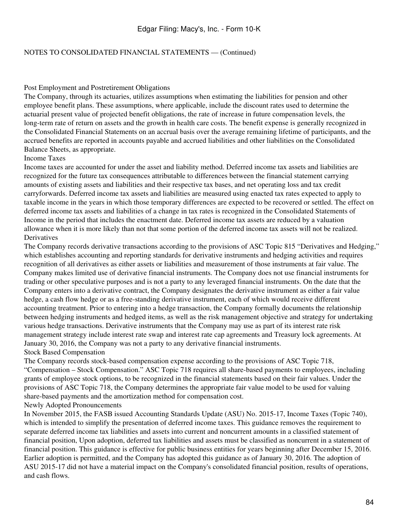#### Post Employment and Postretirement Obligations

The Company, through its actuaries, utilizes assumptions when estimating the liabilities for pension and other employee benefit plans. These assumptions, where applicable, include the discount rates used to determine the actuarial present value of projected benefit obligations, the rate of increase in future compensation levels, the long-term rate of return on assets and the growth in health care costs. The benefit expense is generally recognized in the Consolidated Financial Statements on an accrual basis over the average remaining lifetime of participants, and the accrued benefits are reported in accounts payable and accrued liabilities and other liabilities on the Consolidated Balance Sheets, as appropriate.

#### Income Taxes

Income taxes are accounted for under the asset and liability method. Deferred income tax assets and liabilities are recognized for the future tax consequences attributable to differences between the financial statement carrying amounts of existing assets and liabilities and their respective tax bases, and net operating loss and tax credit carryforwards. Deferred income tax assets and liabilities are measured using enacted tax rates expected to apply to taxable income in the years in which those temporary differences are expected to be recovered or settled. The effect on deferred income tax assets and liabilities of a change in tax rates is recognized in the Consolidated Statements of Income in the period that includes the enactment date. Deferred income tax assets are reduced by a valuation allowance when it is more likely than not that some portion of the deferred income tax assets will not be realized. **Derivatives** 

The Company records derivative transactions according to the provisions of ASC Topic 815 "Derivatives and Hedging," which establishes accounting and reporting standards for derivative instruments and hedging activities and requires recognition of all derivatives as either assets or liabilities and measurement of those instruments at fair value. The Company makes limited use of derivative financial instruments. The Company does not use financial instruments for trading or other speculative purposes and is not a party to any leveraged financial instruments. On the date that the Company enters into a derivative contract, the Company designates the derivative instrument as either a fair value hedge, a cash flow hedge or as a free-standing derivative instrument, each of which would receive different accounting treatment. Prior to entering into a hedge transaction, the Company formally documents the relationship between hedging instruments and hedged items, as well as the risk management objective and strategy for undertaking various hedge transactions. Derivative instruments that the Company may use as part of its interest rate risk management strategy include interest rate swap and interest rate cap agreements and Treasury lock agreements. At January 30, 2016, the Company was not a party to any derivative financial instruments.

# Stock Based Compensation

The Company records stock-based compensation expense according to the provisions of ASC Topic 718, "Compensation – Stock Compensation." ASC Topic 718 requires all share-based payments to employees, including grants of employee stock options, to be recognized in the financial statements based on their fair values. Under the provisions of ASC Topic 718, the Company determines the appropriate fair value model to be used for valuing share-based payments and the amortization method for compensation cost.

## Newly Adopted Pronouncements

In November 2015, the FASB issued Accounting Standards Update (ASU) No. 2015-17, Income Taxes (Topic 740), which is intended to simplify the presentation of deferred income taxes. This guidance removes the requirement to separate deferred income tax liabilities and assets into current and noncurrent amounts in a classified statement of financial position, Upon adoption, deferred tax liabilities and assets must be classified as noncurrent in a statement of financial position. This guidance is effective for public business entities for years beginning after December 15, 2016. Earlier adoption is permitted, and the Company has adopted this guidance as of January 30, 2016. The adoption of ASU 2015-17 did not have a material impact on the Company's consolidated financial position, results of operations, and cash flows.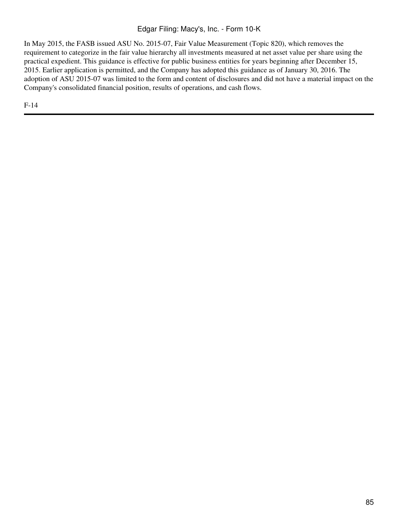# Edgar Filing: Macy's, Inc. - Form 10-K

In May 2015, the FASB issued ASU No. 2015-07, Fair Value Measurement (Topic 820), which removes the requirement to categorize in the fair value hierarchy all investments measured at net asset value per share using the practical expedient. This guidance is effective for public business entities for years beginning after December 15, 2015. Earlier application is permitted, and the Company has adopted this guidance as of January 30, 2016. The adoption of ASU 2015-07 was limited to the form and content of disclosures and did not have a material impact on the Company's consolidated financial position, results of operations, and cash flows.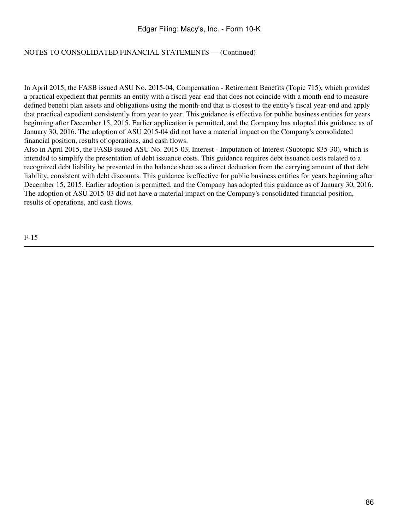## Edgar Filing: Macy's, Inc. - Form 10-K

## NOTES TO CONSOLIDATED FINANCIAL STATEMENTS — (Continued)

In April 2015, the FASB issued ASU No. 2015-04, Compensation - Retirement Benefits (Topic 715), which provides a practical expedient that permits an entity with a fiscal year-end that does not coincide with a month-end to measure defined benefit plan assets and obligations using the month-end that is closest to the entity's fiscal year-end and apply that practical expedient consistently from year to year. This guidance is effective for public business entities for years beginning after December 15, 2015. Earlier application is permitted, and the Company has adopted this guidance as of January 30, 2016. The adoption of ASU 2015-04 did not have a material impact on the Company's consolidated financial position, results of operations, and cash flows.

Also in April 2015, the FASB issued ASU No. 2015-03, Interest - Imputation of Interest (Subtopic 835-30), which is intended to simplify the presentation of debt issuance costs. This guidance requires debt issuance costs related to a recognized debt liability be presented in the balance sheet as a direct deduction from the carrying amount of that debt liability, consistent with debt discounts. This guidance is effective for public business entities for years beginning after December 15, 2015. Earlier adoption is permitted, and the Company has adopted this guidance as of January 30, 2016. The adoption of ASU 2015-03 did not have a material impact on the Company's consolidated financial position, results of operations, and cash flows.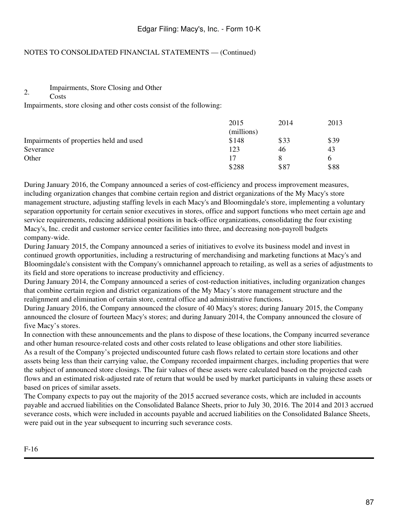# 2. Impairments, Store Closing and Other

Costs

Impairments, store closing and other costs consist of the following:

2015 2014 2013 (millions) Impairments of properties held and used \$148 \$33 \$39 Severance  $123$  46  $43$ Other  $17$  8 6

During January 2016, the Company announced a series of cost-efficiency and process improvement measures, including organization changes that combine certain region and district organizations of the My Macy's store management structure, adjusting staffing levels in each Macy's and Bloomingdale's store, implementing a voluntary separation opportunity for certain senior executives in stores, office and support functions who meet certain age and service requirements, reducing additional positions in back-office organizations, consolidating the four existing Macy's, Inc. credit and customer service center facilities into three, and decreasing non-payroll budgets company-wide.

\$288 \$87 \$88

During January 2015, the Company announced a series of initiatives to evolve its business model and invest in continued growth opportunities, including a restructuring of merchandising and marketing functions at Macy's and Bloomingdale's consistent with the Company's omnichannel approach to retailing, as well as a series of adjustments to its field and store operations to increase productivity and efficiency.

During January 2014, the Company announced a series of cost-reduction initiatives, including organization changes that combine certain region and district organizations of the My Macy's store management structure and the realignment and elimination of certain store, central office and administrative functions.

During January 2016, the Company announced the closure of 40 Macy's stores; during January 2015, the Company announced the closure of fourteen Macy's stores; and during January 2014, the Company announced the closure of five Macy's stores.

In connection with these announcements and the plans to dispose of these locations, the Company incurred severance and other human resource-related costs and other costs related to lease obligations and other store liabilities.

As a result of the Company's projected undiscounted future cash flows related to certain store locations and other assets being less than their carrying value, the Company recorded impairment charges, including properties that were the subject of announced store closings. The fair values of these assets were calculated based on the projected cash flows and an estimated risk-adjusted rate of return that would be used by market participants in valuing these assets or based on prices of similar assets.

The Company expects to pay out the majority of the 2015 accrued severance costs, which are included in accounts payable and accrued liabilities on the Consolidated Balance Sheets, prior to July 30, 2016. The 2014 and 2013 accrued severance costs, which were included in accounts payable and accrued liabilities on the Consolidated Balance Sheets, were paid out in the year subsequent to incurring such severance costs.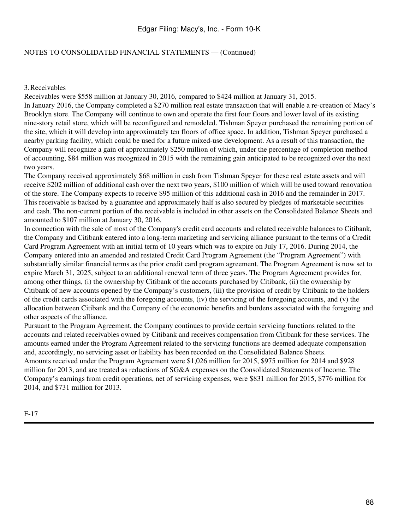#### 3.Receivables

Receivables were \$558 million at January 30, 2016, compared to \$424 million at January 31, 2015.

In January 2016, the Company completed a \$270 million real estate transaction that will enable a re-creation of Macy's Brooklyn store. The Company will continue to own and operate the first four floors and lower level of its existing nine-story retail store, which will be reconfigured and remodeled. Tishman Speyer purchased the remaining portion of the site, which it will develop into approximately ten floors of office space. In addition, Tishman Speyer purchased a nearby parking facility, which could be used for a future mixed-use development. As a result of this transaction, the Company will recognize a gain of approximately \$250 million of which, under the percentage of completion method of accounting, \$84 million was recognized in 2015 with the remaining gain anticipated to be recognized over the next two years.

The Company received approximately \$68 million in cash from Tishman Speyer for these real estate assets and will receive \$202 million of additional cash over the next two years, \$100 million of which will be used toward renovation of the store. The Company expects to receive \$95 million of this additional cash in 2016 and the remainder in 2017. This receivable is backed by a guarantee and approximately half is also secured by pledges of marketable securities and cash. The non-current portion of the receivable is included in other assets on the Consolidated Balance Sheets and amounted to \$107 million at January 30, 2016.

In connection with the sale of most of the Company's credit card accounts and related receivable balances to Citibank, the Company and Citibank entered into a long-term marketing and servicing alliance pursuant to the terms of a Credit Card Program Agreement with an initial term of 10 years which was to expire on July 17, 2016. During 2014, the Company entered into an amended and restated Credit Card Program Agreement (the "Program Agreement") with substantially similar financial terms as the prior credit card program agreement. The Program Agreement is now set to expire March 31, 2025, subject to an additional renewal term of three years. The Program Agreement provides for, among other things, (i) the ownership by Citibank of the accounts purchased by Citibank, (ii) the ownership by Citibank of new accounts opened by the Company's customers, (iii) the provision of credit by Citibank to the holders of the credit cards associated with the foregoing accounts, (iv) the servicing of the foregoing accounts, and (v) the allocation between Citibank and the Company of the economic benefits and burdens associated with the foregoing and other aspects of the alliance.

Pursuant to the Program Agreement, the Company continues to provide certain servicing functions related to the accounts and related receivables owned by Citibank and receives compensation from Citibank for these services. The amounts earned under the Program Agreement related to the servicing functions are deemed adequate compensation and, accordingly, no servicing asset or liability has been recorded on the Consolidated Balance Sheets. Amounts received under the Program Agreement were \$1,026 million for 2015, \$975 million for 2014 and \$928 million for 2013, and are treated as reductions of SG&A expenses on the Consolidated Statements of Income. The Company's earnings from credit operations, net of servicing expenses, were \$831 million for 2015, \$776 million for 2014, and \$731 million for 2013.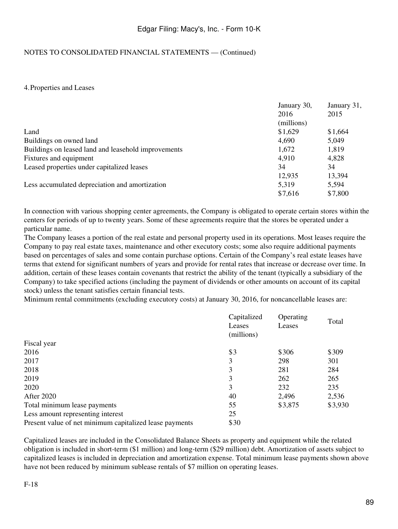#### 4.Properties and Leases

|                                                     | January 30,<br>2016 | January 31,<br>2015 |
|-----------------------------------------------------|---------------------|---------------------|
|                                                     | (millions)          |                     |
| Land                                                | \$1,629             | \$1,664             |
| Buildings on owned land                             | 4,690               | 5,049               |
| Buildings on leased land and leasehold improvements | 1,672               | 1,819               |
| Fixtures and equipment                              | 4,910               | 4,828               |
| Leased properties under capitalized leases          | 34                  | 34                  |
|                                                     | 12,935              | 13,394              |
| Less accumulated depreciation and amortization      | 5,319               | 5,594               |
|                                                     | \$7,616             | \$7,800             |

In connection with various shopping center agreements, the Company is obligated to operate certain stores within the centers for periods of up to twenty years. Some of these agreements require that the stores be operated under a particular name.

The Company leases a portion of the real estate and personal property used in its operations. Most leases require the Company to pay real estate taxes, maintenance and other executory costs; some also require additional payments based on percentages of sales and some contain purchase options. Certain of the Company's real estate leases have terms that extend for significant numbers of years and provide for rental rates that increase or decrease over time. In addition, certain of these leases contain covenants that restrict the ability of the tenant (typically a subsidiary of the Company) to take specified actions (including the payment of dividends or other amounts on account of its capital stock) unless the tenant satisfies certain financial tests.

Minimum rental commitments (excluding executory costs) at January 30, 2016, for noncancellable leases are:

|                                                         | Capitalized<br>Leases<br>(millions) | Operating<br>Leases | Total   |
|---------------------------------------------------------|-------------------------------------|---------------------|---------|
| Fiscal year                                             |                                     |                     |         |
| 2016                                                    | \$3                                 | \$306               | \$309   |
| 2017                                                    | 3                                   | 298                 | 301     |
| 2018                                                    | 3                                   | 281                 | 284     |
| 2019                                                    | 3                                   | 262                 | 265     |
| 2020                                                    | 3                                   | 232                 | 235     |
| <b>After 2020</b>                                       | 40                                  | 2,496               | 2,536   |
| Total minimum lease payments                            | 55                                  | \$3,875             | \$3,930 |
| Less amount representing interest                       | 25                                  |                     |         |
| Present value of net minimum capitalized lease payments | \$30                                |                     |         |

Capitalized leases are included in the Consolidated Balance Sheets as property and equipment while the related obligation is included in short-term (\$1 million) and long-term (\$29 million) debt. Amortization of assets subject to capitalized leases is included in depreciation and amortization expense. Total minimum lease payments shown above have not been reduced by minimum sublease rentals of \$7 million on operating leases.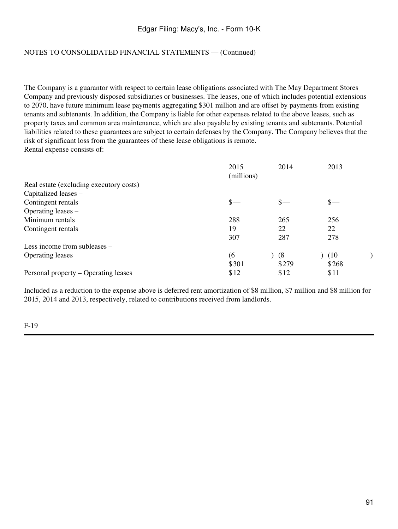The Company is a guarantor with respect to certain lease obligations associated with The May Department Stores Company and previously disposed subsidiaries or businesses. The leases, one of which includes potential extensions to 2070, have future minimum lease payments aggregating \$301 million and are offset by payments from existing tenants and subtenants. In addition, the Company is liable for other expenses related to the above leases, such as property taxes and common area maintenance, which are also payable by existing tenants and subtenants. Potential liabilities related to these guarantees are subject to certain defenses by the Company. The Company believes that the risk of significant loss from the guarantees of these lease obligations is remote. Rental expense consists of:

| 2015<br>(millions) | 2014          | 2013  |
|--------------------|---------------|-------|
|                    |               |       |
|                    |               |       |
| $\frac{\ }{s-}$    | $\frac{1}{2}$ |       |
|                    |               |       |
| 288                | 265           | 256   |
| 19                 | 22            | 22    |
| 307                | 287           | 278   |
|                    |               |       |
| (6)                | (8)           | (10)  |
| \$301              | \$279         | \$268 |
| \$12               | \$12          | \$11  |
|                    |               |       |

Included as a reduction to the expense above is deferred rent amortization of \$8 million, \$7 million and \$8 million for 2015, 2014 and 2013, respectively, related to contributions received from landlords.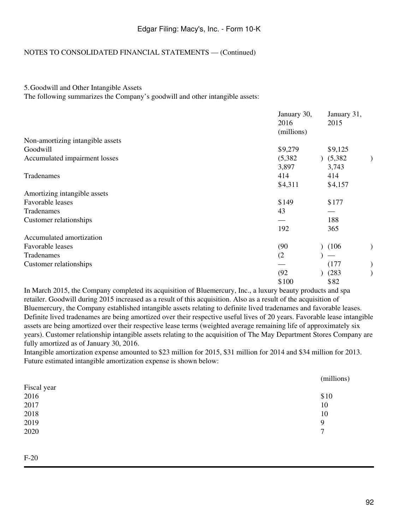#### 5.Goodwill and Other Intangible Assets

The following summarizes the Company's goodwill and other intangible assets:

|                                  | January 30,<br>2016<br>(millions) | January 31,<br>2015 |  |
|----------------------------------|-----------------------------------|---------------------|--|
| Non-amortizing intangible assets |                                   |                     |  |
| Goodwill                         | \$9,279                           | \$9,125             |  |
| Accumulated impairment losses    | (5,382)                           | (5,382)             |  |
|                                  | 3,897                             | 3,743               |  |
| Tradenames                       | 414                               | 414                 |  |
|                                  | \$4,311                           | \$4,157             |  |
| Amortizing intangible assets     |                                   |                     |  |
| Favorable leases                 | \$149                             | \$177               |  |
| Tradenames                       | 43                                |                     |  |
| Customer relationships           |                                   | 188                 |  |
|                                  | 192                               | 365                 |  |
| Accumulated amortization         |                                   |                     |  |
| Favorable leases                 | (90)                              | (106)               |  |
| Tradenames                       | (2)                               |                     |  |
| Customer relationships           |                                   | (177)               |  |
|                                  | (92)                              | (283)               |  |
|                                  | \$100                             | \$82                |  |

In March 2015, the Company completed its acquisition of Bluemercury, Inc., a luxury beauty products and spa retailer. Goodwill during 2015 increased as a result of this acquisition. Also as a result of the acquisition of Bluemercury, the Company established intangible assets relating to definite lived tradenames and favorable leases. Definite lived tradenames are being amortized over their respective useful lives of 20 years. Favorable lease intangible assets are being amortized over their respective lease terms (weighted average remaining life of approximately six years). Customer relationship intangible assets relating to the acquisition of The May Department Stores Company are fully amortized as of January 30, 2016.

Intangible amortization expense amounted to \$23 million for 2015, \$31 million for 2014 and \$34 million for 2013. Future estimated intangible amortization expense is shown below:

|             | (millions)     |
|-------------|----------------|
| Fiscal year |                |
| 2016        | \$10           |
| 2017        | 10             |
| 2018        | 10             |
| 2019        | 9              |
| 2020        | $\overline{7}$ |
|             |                |
|             |                |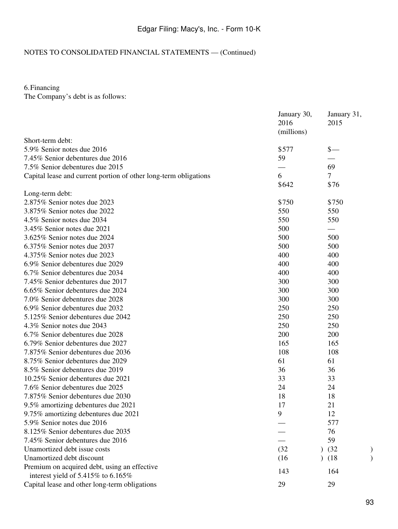6.Financing

The Company's debt is as follows:

|                                                                                    | January 30,<br>2016<br>(millions) | January 31,<br>2015 |  |
|------------------------------------------------------------------------------------|-----------------------------------|---------------------|--|
| Short-term debt:                                                                   |                                   |                     |  |
| 5.9% Senior notes due 2016                                                         | \$577                             | $\frac{\ }{\ }$     |  |
| 7.45% Senior debentures due 2016                                                   | 59                                |                     |  |
| 7.5% Senior debentures due 2015                                                    |                                   | 69                  |  |
| Capital lease and current portion of other long-term obligations                   | 6                                 | 7                   |  |
|                                                                                    | \$642                             | \$76                |  |
| Long-term debt:                                                                    |                                   |                     |  |
| 2.875% Senior notes due 2023                                                       | \$750                             | \$750               |  |
| 3.875% Senior notes due 2022                                                       | 550                               | 550                 |  |
| 4.5% Senior notes due 2034                                                         | 550                               | 550                 |  |
| 3.45% Senior notes due 2021                                                        | 500                               |                     |  |
| 3.625% Senior notes due 2024                                                       | 500                               | 500                 |  |
| 6.375% Senior notes due 2037                                                       | 500                               | 500                 |  |
| 4.375% Senior notes due 2023                                                       | 400                               | 400                 |  |
| 6.9% Senior debentures due 2029                                                    | 400                               | 400                 |  |
| 6.7% Senior debentures due 2034                                                    | 400                               | 400                 |  |
| 7.45% Senior debentures due 2017                                                   | 300                               | 300                 |  |
| 6.65% Senior debentures due 2024                                                   | 300                               | 300                 |  |
| 7.0% Senior debentures due 2028                                                    | 300                               | 300                 |  |
| 6.9% Senior debentures due 2032                                                    | 250                               | 250                 |  |
| 5.125% Senior debentures due 2042                                                  | 250                               | 250                 |  |
| 4.3% Senior notes due 2043                                                         | 250                               | 250                 |  |
| 6.7% Senior debentures due 2028                                                    | 200                               | 200                 |  |
| 6.79% Senior debentures due 2027                                                   | 165                               | 165                 |  |
| 7.875% Senior debentures due 2036                                                  | 108                               | 108                 |  |
| 8.75% Senior debentures due 2029                                                   | 61                                | 61                  |  |
| 8.5% Senior debentures due 2019                                                    | 36                                | 36                  |  |
| 10.25% Senior debentures due 2021                                                  | 33                                | 33                  |  |
| 7.6% Senior debentures due 2025                                                    | 24                                | 24                  |  |
| 7.875% Senior debentures due 2030                                                  | 18                                | 18                  |  |
| 9.5% amortizing debentures due 2021                                                | 17                                | 21                  |  |
| 9.75% amortizing debentures due 2021                                               | 9                                 | 12                  |  |
| 5.9% Senior notes due 2016                                                         |                                   | 577                 |  |
| 8.125% Senior debentures due 2035                                                  |                                   | 76                  |  |
| 7.45% Senior debentures due 2016                                                   |                                   | 59                  |  |
| Unamortized debt issue costs                                                       | (32)                              | $)$ (32)            |  |
| Unamortized debt discount                                                          | (16)                              | (18)                |  |
| Premium on acquired debt, using an effective<br>interest yield of 5.415% to 6.165% | 143                               | 164                 |  |
| Capital lease and other long-term obligations                                      | 29                                | 29                  |  |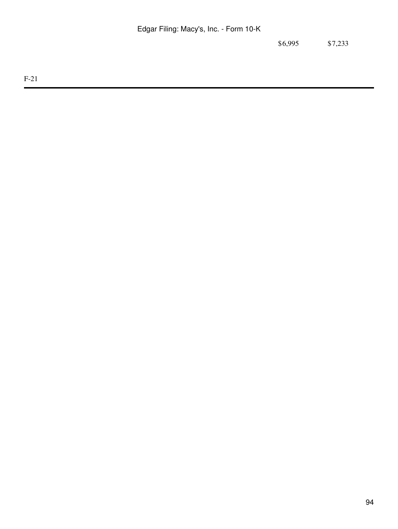\$6,995 \$7,233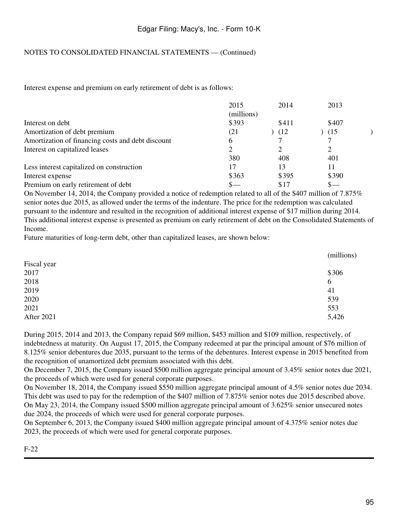Interest expense and premium on early retirement of debt is as follows:

|                                                   | 2015       | 2014  | 2013  |  |
|---------------------------------------------------|------------|-------|-------|--|
|                                                   | (millions) |       |       |  |
| Interest on debt                                  | \$393      | \$411 | \$407 |  |
| Amortization of debt premium                      | (21        | (12)  | (15)  |  |
| Amortization of financing costs and debt discount | 6          |       |       |  |
| Interest on capitalized leases                    | 2          |       |       |  |
|                                                   | 380        | 408   | 401   |  |
| Less interest capitalized on construction         | 17         | 13    | 11    |  |
| Interest expense                                  | \$363      | \$395 | \$390 |  |
| Premium on early retirement of debt               |            | \$17  |       |  |

On November 14, 2014, the Company provided a notice of redemption related to all of the \$407 million of 7.875% senior notes due 2015, as allowed under the terms of the indenture. The price for the redemption was calculated pursuant to the indenture and resulted in the recognition of additional interest expense of \$17 million during 2014. This additional interest expense is presented as premium on early retirement of debt on the Consolidated Statements of Income.

Future maturities of long-term debt, other than capitalized leases, are shown below:

|             | (millions) |
|-------------|------------|
| Fiscal year |            |
| 2017        | \$306      |
| 2018        | 6          |
| 2019        | 41         |
| 2020        | 539        |
| 2021        | 553        |
| After 2021  | 5,426      |

During 2015, 2014 and 2013, the Company repaid \$69 million, \$453 million and \$109 million, respectively, of indebtedness at maturity. On August 17, 2015, the Company redeemed at par the principal amount of \$76 million of 8.125% senior debentures due 2035, pursuant to the terms of the debentures. Interest expense in 2015 benefited from the recognition of unamortized debt premium associated with this debt.

On December 7, 2015, the Company issued \$500 million aggregate principal amount of 3.45% senior notes due 2021, the proceeds of which were used for general corporate purposes.

On November 18, 2014, the Company issued \$550 million aggregate principal amount of 4.5% senior notes due 2034. This debt was used to pay for the redemption of the \$407 million of 7.875% senior notes due 2015 described above. On May 23, 2014, the Company issued \$500 million aggregate principal amount of 3.625% senior unsecured notes due 2024, the proceeds of which were used for general corporate purposes.

On September 6, 2013, the Company issued \$400 million aggregate principal amount of 4.375% senior notes due 2023, the proceeds of which were used for general corporate purposes.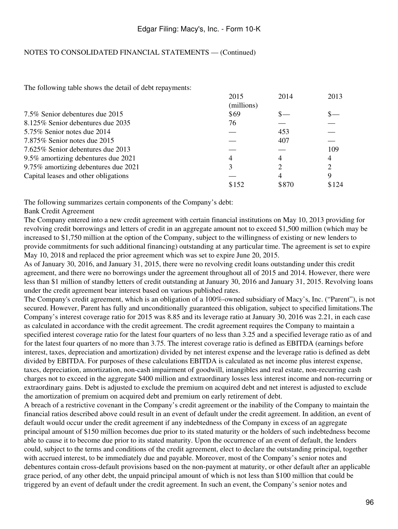The following table shows the detail of debt repayments:

|            |       | 2013  |
|------------|-------|-------|
| (millions) |       |       |
| \$69       |       |       |
| 76         |       |       |
|            | 453   |       |
|            | 407   |       |
|            |       | 109   |
| 4          |       | 4     |
| 3          |       |       |
|            |       |       |
| \$152      | \$870 | \$124 |
|            | 2015  | 2014  |

The following summarizes certain components of the Company's debt:

Bank Credit Agreement

The Company entered into a new credit agreement with certain financial institutions on May 10, 2013 providing for revolving credit borrowings and letters of credit in an aggregate amount not to exceed \$1,500 million (which may be increased to \$1,750 million at the option of the Company, subject to the willingness of existing or new lenders to provide commitments for such additional financing) outstanding at any particular time. The agreement is set to expire May 10, 2018 and replaced the prior agreement which was set to expire June 20, 2015.

As of January 30, 2016, and January 31, 2015, there were no revolving credit loans outstanding under this credit agreement, and there were no borrowings under the agreement throughout all of 2015 and 2014. However, there were less than \$1 million of standby letters of credit outstanding at January 30, 2016 and January 31, 2015. Revolving loans under the credit agreement bear interest based on various published rates.

The Company's credit agreement, which is an obligation of a 100%-owned subsidiary of Macy's, Inc. ("Parent"), is not secured. However, Parent has fully and unconditionally guaranteed this obligation, subject to specified limitations.The Company's interest coverage ratio for 2015 was 8.85 and its leverage ratio at January 30, 2016 was 2.21, in each case as calculated in accordance with the credit agreement. The credit agreement requires the Company to maintain a specified interest coverage ratio for the latest four quarters of no less than 3.25 and a specified leverage ratio as of and for the latest four quarters of no more than 3.75. The interest coverage ratio is defined as EBITDA (earnings before interest, taxes, depreciation and amortization) divided by net interest expense and the leverage ratio is defined as debt divided by EBITDA. For purposes of these calculations EBITDA is calculated as net income plus interest expense, taxes, depreciation, amortization, non-cash impairment of goodwill, intangibles and real estate, non-recurring cash charges not to exceed in the aggregate \$400 million and extraordinary losses less interest income and non-recurring or extraordinary gains. Debt is adjusted to exclude the premium on acquired debt and net interest is adjusted to exclude the amortization of premium on acquired debt and premium on early retirement of debt.

A breach of a restrictive covenant in the Company's credit agreement or the inability of the Company to maintain the financial ratios described above could result in an event of default under the credit agreement. In addition, an event of default would occur under the credit agreement if any indebtedness of the Company in excess of an aggregate principal amount of \$150 million becomes due prior to its stated maturity or the holders of such indebtedness become able to cause it to become due prior to its stated maturity. Upon the occurrence of an event of default, the lenders could, subject to the terms and conditions of the credit agreement, elect to declare the outstanding principal, together with accrued interest, to be immediately due and payable. Moreover, most of the Company's senior notes and debentures contain cross-default provisions based on the non-payment at maturity, or other default after an applicable grace period, of any other debt, the unpaid principal amount of which is not less than \$100 million that could be triggered by an event of default under the credit agreement. In such an event, the Company's senior notes and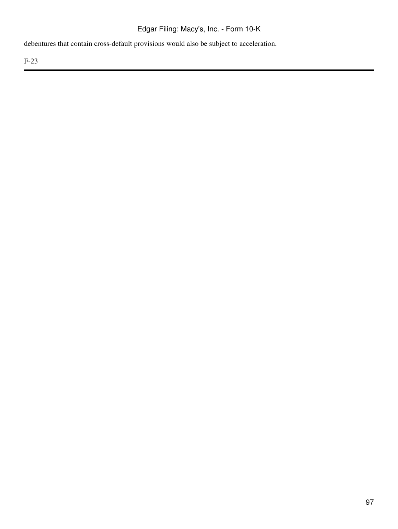# Edgar Filing: Macy's, Inc. - Form 10-K

debentures that contain cross-default provisions would also be subject to acceleration.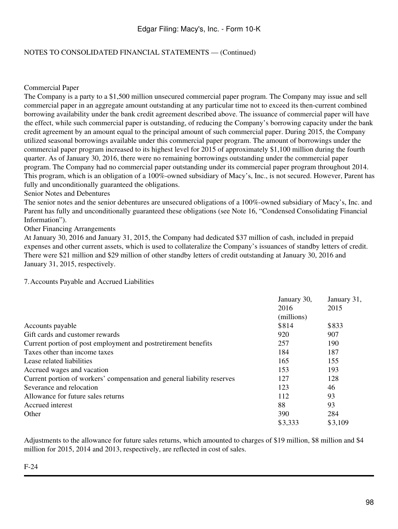#### Commercial Paper

The Company is a party to a \$1,500 million unsecured commercial paper program. The Company may issue and sell commercial paper in an aggregate amount outstanding at any particular time not to exceed its then-current combined borrowing availability under the bank credit agreement described above. The issuance of commercial paper will have the effect, while such commercial paper is outstanding, of reducing the Company's borrowing capacity under the bank credit agreement by an amount equal to the principal amount of such commercial paper. During 2015, the Company utilized seasonal borrowings available under this commercial paper program. The amount of borrowings under the commercial paper program increased to its highest level for 2015 of approximately \$1,100 million during the fourth quarter. As of January 30, 2016, there were no remaining borrowings outstanding under the commercial paper program. The Company had no commercial paper outstanding under its commercial paper program throughout 2014. This program, which is an obligation of a 100%-owned subsidiary of Macy's, Inc., is not secured. However, Parent has fully and unconditionally guaranteed the obligations.

#### Senior Notes and Debentures

The senior notes and the senior debentures are unsecured obligations of a 100%-owned subsidiary of Macy's, Inc. and Parent has fully and unconditionally guaranteed these obligations (see Note 16, "Condensed Consolidating Financial Information").

## Other Financing Arrangements

At January 30, 2016 and January 31, 2015, the Company had dedicated \$37 million of cash, included in prepaid expenses and other current assets, which is used to collateralize the Company's issuances of standby letters of credit. There were \$21 million and \$29 million of other standby letters of credit outstanding at January 30, 2016 and January 31, 2015, respectively.

#### 7.Accounts Payable and Accrued Liabilities

|                                                                         | January 30, | January 31, |
|-------------------------------------------------------------------------|-------------|-------------|
|                                                                         | 2016        | 2015        |
|                                                                         | (millions)  |             |
| Accounts payable                                                        | \$814       | \$833       |
| Gift cards and customer rewards                                         | 920         | 907         |
| Current portion of post employment and postretirement benefits          | 257         | 190         |
| Taxes other than income taxes                                           | 184         | 187         |
| Lease related liabilities                                               | 165         | 155         |
| Accrued wages and vacation                                              | 153         | 193         |
| Current portion of workers' compensation and general liability reserves | 127         | 128         |
| Severance and relocation                                                | 123         | 46          |
| Allowance for future sales returns                                      | 112         | 93          |
| Accrued interest                                                        | 88          | 93          |
| Other                                                                   | 390         | 284         |
|                                                                         | \$3,333     | \$3,109     |

Adjustments to the allowance for future sales returns, which amounted to charges of \$19 million, \$8 million and \$4 million for 2015, 2014 and 2013, respectively, are reflected in cost of sales.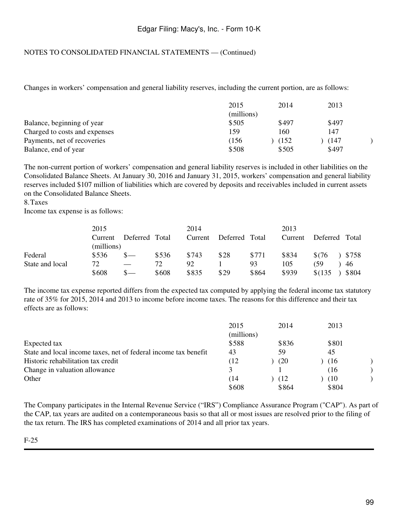Changes in workers' compensation and general liability reserves, including the current portion, are as follows:

|                               | 2015       | 2014  | 2013  |  |
|-------------------------------|------------|-------|-------|--|
|                               | (millions) |       |       |  |
| Balance, beginning of year    | \$505      | \$497 | \$497 |  |
| Charged to costs and expenses | 159        | 160   | 147   |  |
| Payments, net of recoveries   | (156       | (152) | (147) |  |
| Balance, end of year          | \$508      | \$505 | \$497 |  |

The non-current portion of workers' compensation and general liability reserves is included in other liabilities on the Consolidated Balance Sheets. At January 30, 2016 and January 31, 2015, workers' compensation and general liability reserves included \$107 million of liabilities which are covered by deposits and receivables included in current assets on the Consolidated Balance Sheets.

8.Taxes

Income tax expense is as follows:

|                 | 2015                  |                |       | 2014    |                |       | 2013    |                  |
|-----------------|-----------------------|----------------|-------|---------|----------------|-------|---------|------------------|
|                 | Current<br>(millions) | Deferred Total |       | Current | Deferred Total |       | Current | Deferred Total   |
| Federal         | \$536                 |                | \$536 | \$743   | \$28           | \$771 | \$834   | \$758<br>\$(76)  |
| State and local | 72                    |                | 72    | 92      |                | 93    | 105     | (59<br>46        |
|                 | \$608                 |                | \$608 | \$835   | \$29           | \$864 | \$939   | \$804<br>\$(135) |

The income tax expense reported differs from the expected tax computed by applying the federal income tax statutory rate of 35% for 2015, 2014 and 2013 to income before income taxes. The reasons for this difference and their tax effects are as follows:

|                                                                 | 2015       | 2014  | 2013  |  |
|-----------------------------------------------------------------|------------|-------|-------|--|
|                                                                 | (millions) |       |       |  |
| Expected tax                                                    | \$588      | \$836 | \$801 |  |
| State and local income taxes, net of federal income tax benefit | 43         | 59    | 45    |  |
| Historic rehabilitation tax credit                              | (12        | (20)  | (16   |  |
| Change in valuation allowance                                   |            |       | 16    |  |
| Other                                                           | (14        | 12    | (10   |  |
|                                                                 | \$608      | \$864 | \$804 |  |

The Company participates in the Internal Revenue Service ("IRS") Compliance Assurance Program ("CAP"). As part of the CAP, tax years are audited on a contemporaneous basis so that all or most issues are resolved prior to the filing of the tax return. The IRS has completed examinations of 2014 and all prior tax years.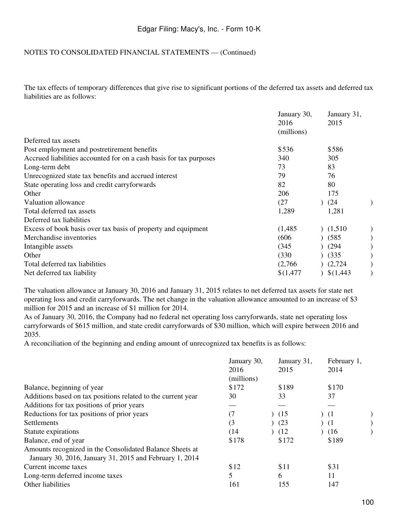The tax effects of temporary differences that give rise to significant portions of the deferred tax assets and deferred tax liabilities are as follows:

|                                                                    | January 30,<br>2016<br>(millions) | January 31,<br>2015 |  |
|--------------------------------------------------------------------|-----------------------------------|---------------------|--|
| Deferred tax assets                                                |                                   |                     |  |
| Post employment and postretirement benefits                        | \$536                             | \$586               |  |
| Accrued liabilities accounted for on a cash basis for tax purposes | 340                               | 305                 |  |
| Long-term debt                                                     | 73                                | 83                  |  |
| Unrecognized state tax benefits and accrued interest               | 79                                | 76                  |  |
| State operating loss and credit carryforwards                      | 82                                | 80                  |  |
| Other                                                              | 206                               | 175                 |  |
| Valuation allowance                                                | (27)                              | (24)                |  |
| Total deferred tax assets                                          | 1,289                             | 1,281               |  |
| Deferred tax liabilities                                           |                                   |                     |  |
| Excess of book basis over tax basis of property and equipment      | (1,485)                           | (1,510)             |  |
| Merchandise inventories                                            | (606)                             | (585)               |  |
| Intangible assets                                                  | (345                              | (294)               |  |
| Other                                                              | (330)                             | (335)               |  |
| Total deferred tax liabilities                                     | (2,766)                           | (2,724)             |  |
| Net deferred tax liability                                         | \$(1,477                          | \$(1,443)           |  |
|                                                                    |                                   |                     |  |

The valuation allowance at January 30, 2016 and January 31, 2015 relates to net deferred tax assets for state net operating loss and credit carryforwards. The net change in the valuation allowance amounted to an increase of \$3 million for 2015 and an increase of \$1 million for 2014.

As of January 30, 2016, the Company had no federal net operating loss carryforwards, state net operating loss carryforwards of \$615 million, and state credit carryforwards of \$30 million, which will expire between 2016 and 2035.

A reconciliation of the beginning and ending amount of unrecognized tax benefits is as follows:

|                                                                                                                     | January 30,<br>2016<br>(millions) | January 31,<br>2015 | February 1,<br>2014 |
|---------------------------------------------------------------------------------------------------------------------|-----------------------------------|---------------------|---------------------|
| Balance, beginning of year                                                                                          | \$172                             | \$189               | \$170               |
| Additions based on tax positions related to the current year                                                        | 30                                | 33                  | 37                  |
| Additions for tax positions of prior years                                                                          |                                   |                     |                     |
| Reductions for tax positions of prior years                                                                         | (7)                               | (15)                | (1)                 |
| Settlements                                                                                                         | (3)                               | (23)                | (1)                 |
| Statute expirations                                                                                                 | (14)                              | (12)                | (16)                |
| Balance, end of year                                                                                                | \$178                             | \$172               | \$189               |
| Amounts recognized in the Consolidated Balance Sheets at<br>January 30, 2016, January 31, 2015 and February 1, 2014 |                                   |                     |                     |
| Current income taxes                                                                                                | \$12                              | \$11                | \$31                |
| Long-term deferred income taxes                                                                                     | 5                                 | 6                   | 11                  |
| Other liabilities                                                                                                   | 161                               | 155                 | 147                 |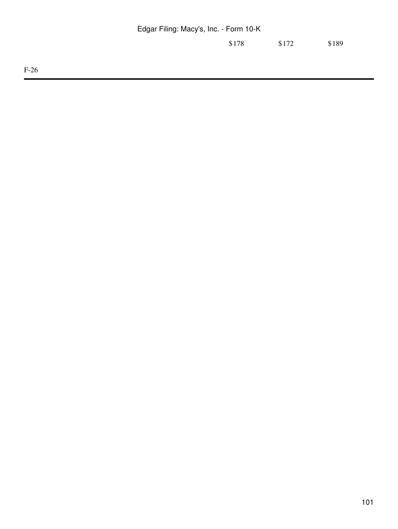| Edgar Filing: Macy's, Inc. - Form 10-K |       |       |       |  |
|----------------------------------------|-------|-------|-------|--|
|                                        | \$178 | \$172 | \$189 |  |
| 26.                                    |       |       |       |  |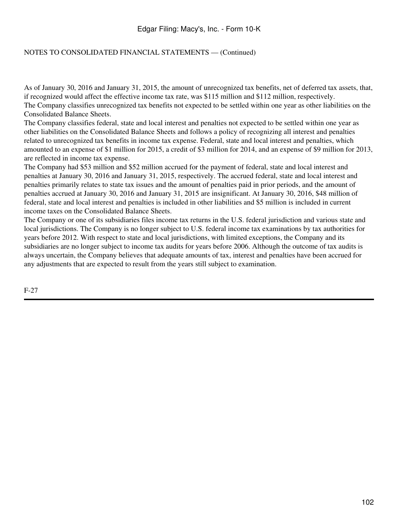As of January 30, 2016 and January 31, 2015, the amount of unrecognized tax benefits, net of deferred tax assets, that, if recognized would affect the effective income tax rate, was \$115 million and \$112 million, respectively. The Company classifies unrecognized tax benefits not expected to be settled within one year as other liabilities on the Consolidated Balance Sheets.

The Company classifies federal, state and local interest and penalties not expected to be settled within one year as other liabilities on the Consolidated Balance Sheets and follows a policy of recognizing all interest and penalties related to unrecognized tax benefits in income tax expense. Federal, state and local interest and penalties, which amounted to an expense of \$1 million for 2015, a credit of \$3 million for 2014, and an expense of \$9 million for 2013, are reflected in income tax expense.

The Company had \$53 million and \$52 million accrued for the payment of federal, state and local interest and penalties at January 30, 2016 and January 31, 2015, respectively. The accrued federal, state and local interest and penalties primarily relates to state tax issues and the amount of penalties paid in prior periods, and the amount of penalties accrued at January 30, 2016 and January 31, 2015 are insignificant. At January 30, 2016, \$48 million of federal, state and local interest and penalties is included in other liabilities and \$5 million is included in current income taxes on the Consolidated Balance Sheets.

The Company or one of its subsidiaries files income tax returns in the U.S. federal jurisdiction and various state and local jurisdictions. The Company is no longer subject to U.S. federal income tax examinations by tax authorities for years before 2012. With respect to state and local jurisdictions, with limited exceptions, the Company and its subsidiaries are no longer subject to income tax audits for years before 2006. Although the outcome of tax audits is always uncertain, the Company believes that adequate amounts of tax, interest and penalties have been accrued for any adjustments that are expected to result from the years still subject to examination.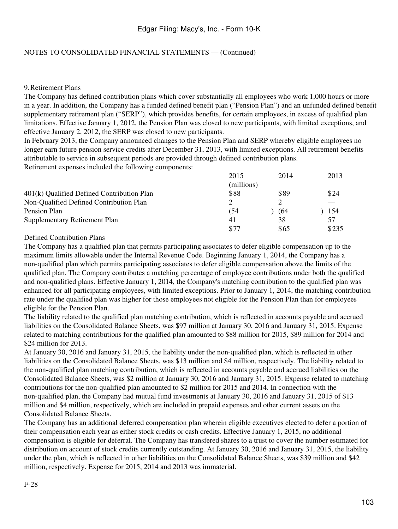#### 9.Retirement Plans

The Company has defined contribution plans which cover substantially all employees who work 1,000 hours or more in a year. In addition, the Company has a funded defined benefit plan ("Pension Plan") and an unfunded defined benefit supplementary retirement plan ("SERP"), which provides benefits, for certain employees, in excess of qualified plan limitations. Effective January 1, 2012, the Pension Plan was closed to new participants, with limited exceptions, and effective January 2, 2012, the SERP was closed to new participants.

In February 2013, the Company announced changes to the Pension Plan and SERP whereby eligible employees no longer earn future pension service credits after December 31, 2013, with limited exceptions. All retirement benefits attributable to service in subsequent periods are provided through defined contribution plans.

Retirement expenses included the following components:

|                                            | 2015       | 2014 | 2013  |
|--------------------------------------------|------------|------|-------|
|                                            | (millions) |      |       |
| 401(k) Qualified Defined Contribution Plan | \$88       | \$89 | \$24  |
| Non-Qualified Defined Contribution Plan    |            |      |       |
| Pension Plan                               | (54        | (64) | 154   |
| <b>Supplementary Retirement Plan</b>       | 41         | 38   | 57    |
|                                            | \$77       | \$65 | \$235 |

#### Defined Contribution Plans

The Company has a qualified plan that permits participating associates to defer eligible compensation up to the maximum limits allowable under the Internal Revenue Code. Beginning January 1, 2014, the Company has a non-qualified plan which permits participating associates to defer eligible compensation above the limits of the qualified plan. The Company contributes a matching percentage of employee contributions under both the qualified and non-qualified plans. Effective January 1, 2014, the Company's matching contribution to the qualified plan was enhanced for all participating employees, with limited exceptions. Prior to January 1, 2014, the matching contribution rate under the qualified plan was higher for those employees not eligible for the Pension Plan than for employees eligible for the Pension Plan.

The liability related to the qualified plan matching contribution, which is reflected in accounts payable and accrued liabilities on the Consolidated Balance Sheets, was \$97 million at January 30, 2016 and January 31, 2015. Expense related to matching contributions for the qualified plan amounted to \$88 million for 2015, \$89 million for 2014 and \$24 million for 2013.

At January 30, 2016 and January 31, 2015, the liability under the non-qualified plan, which is reflected in other liabilities on the Consolidated Balance Sheets, was \$13 million and \$4 million, respectively. The liability related to the non-qualified plan matching contribution, which is reflected in accounts payable and accrued liabilities on the Consolidated Balance Sheets, was \$2 million at January 30, 2016 and January 31, 2015. Expense related to matching contributions for the non-qualified plan amounted to \$2 million for 2015 and 2014. In connection with the non-qualified plan, the Company had mutual fund investments at January 30, 2016 and January 31, 2015 of \$13 million and \$4 million, respectively, which are included in prepaid expenses and other current assets on the Consolidated Balance Sheets.

The Company has an additional deferred compensation plan wherein eligible executives elected to defer a portion of their compensation each year as either stock credits or cash credits. Effective January 1, 2015, no additional compensation is eligible for deferral. The Company has transfered shares to a trust to cover the number estimated for distribution on account of stock credits currently outstanding. At January 30, 2016 and January 31, 2015, the liability under the plan, which is reflected in other liabilities on the Consolidated Balance Sheets, was \$39 million and \$42 million, respectively. Expense for 2015, 2014 and 2013 was immaterial.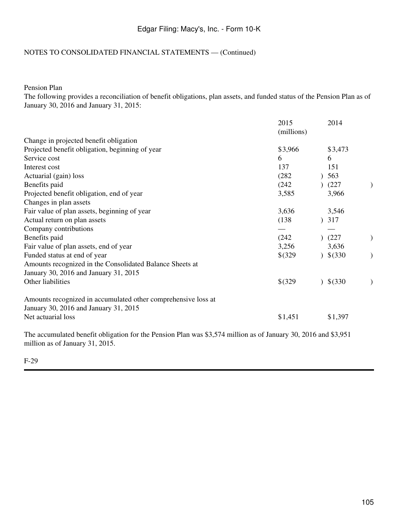## Edgar Filing: Macy's, Inc. - Form 10-K

## NOTES TO CONSOLIDATED FINANCIAL STATEMENTS — (Continued)

Pension Plan

The following provides a reconciliation of benefit obligations, plan assets, and funded status of the Pension Plan as of January 30, 2016 and January 31, 2015:

|                                                               | 2015<br>(millions) | 2014          |               |
|---------------------------------------------------------------|--------------------|---------------|---------------|
| Change in projected benefit obligation                        |                    |               |               |
| Projected benefit obligation, beginning of year               | \$3,966            | \$3,473       |               |
| Service cost                                                  | 6                  | 6             |               |
| Interest cost                                                 | 137                | 151           |               |
| Actuarial (gain) loss                                         | (282)              | ) 563         |               |
| Benefits paid                                                 | (242)              | (227)         | $\mathcal{)}$ |
| Projected benefit obligation, end of year                     | 3,585              | 3,966         |               |
| Changes in plan assets                                        |                    |               |               |
| Fair value of plan assets, beginning of year                  | 3,636              | 3,546         |               |
| Actual return on plan assets                                  | (138)              | 317           |               |
| Company contributions                                         |                    |               |               |
| Benefits paid                                                 | (242)              | (227)         |               |
| Fair value of plan assets, end of year                        | 3,256              | 3,636         |               |
| Funded status at end of year                                  | $$^{(329)}$        | 36(330)       |               |
| Amounts recognized in the Consolidated Balance Sheets at      |                    |               |               |
| January 30, 2016 and January 31, 2015                         |                    |               |               |
| Other liabilities                                             | $$^{(329)}$        | $9\,$ \$(330) |               |
| Amounts recognized in accumulated other comprehensive loss at |                    |               |               |
| January 30, 2016 and January 31, 2015                         |                    |               |               |
| Net actuarial loss                                            | \$1,451            | \$1,397       |               |

The accumulated benefit obligation for the Pension Plan was \$3,574 million as of January 30, 2016 and \$3,951 million as of January 31, 2015.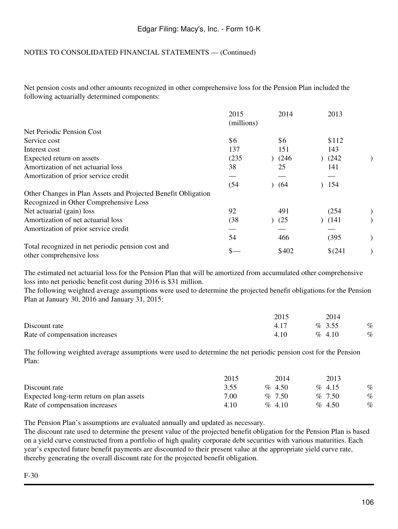## Edgar Filing: Macy's, Inc. - Form 10-K

#### NOTES TO CONSOLIDATED FINANCIAL STATEMENTS — (Continued)

Net pension costs and other amounts recognized in other comprehensive loss for the Pension Plan included the following actuarially determined components:

|                                                                               | 2015<br>(millions) | 2014  | 2013   |  |
|-------------------------------------------------------------------------------|--------------------|-------|--------|--|
| Net Periodic Pension Cost                                                     |                    |       |        |  |
| Service cost                                                                  | \$6                | \$6   | \$112  |  |
| Interest cost                                                                 | 137                | 151   | 143    |  |
| Expected return on assets                                                     | (235)              | (246) | (242)  |  |
| Amortization of net actuarial loss                                            | 38                 | 25    | 141    |  |
| Amortization of prior service credit                                          |                    |       |        |  |
|                                                                               | (54)               | (64)  | 154    |  |
| Other Changes in Plan Assets and Projected Benefit Obligation                 |                    |       |        |  |
| Recognized in Other Comprehensive Loss                                        |                    |       |        |  |
| Net actuarial (gain) loss                                                     | 92                 | 491   | (254)  |  |
| Amortization of net actuarial loss                                            | (38)               | (25)  | (141)  |  |
| Amortization of prior service credit                                          |                    |       |        |  |
|                                                                               | 54                 | 466   | (395)  |  |
| Total recognized in net periodic pension cost and<br>other comprehensive loss | $s-$               | \$402 | \$(241 |  |

The estimated net actuarial loss for the Pension Plan that will be amortized from accumulated other comprehensive loss into net periodic benefit cost during 2016 is \$31 million.

The following weighted average assumptions were used to determine the projected benefit obligations for the Pension Plan at January 30, 2016 and January 31, 2015:

|                                | 2015 | 2014   |      |
|--------------------------------|------|--------|------|
| Discount rate                  | 4.17 | %3.55  | $\%$ |
| Rate of compensation increases | 4.10 | % 4.10 | $\%$ |

The following weighted average assumptions were used to determine the net periodic pension cost for the Pension Plan:

|                                          | 2015 | 2014      | 2013      |      |
|------------------------------------------|------|-----------|-----------|------|
| Discount rate                            | 3.55 | $\%$ 4.50 | $\%$ 4.15 | $\%$ |
| Expected long-term return on plan assets | 7.00 | $\%$ 7.50 | $\%$ 7.50 | $\%$ |
| Rate of compensation increases           | 4.10 | $\%$ 4.10 | $\%$ 4.50 | $\%$ |

The Pension Plan's assumptions are evaluated annually and updated as necessary.

The discount rate used to determine the present value of the projected benefit obligation for the Pension Plan is based on a yield curve constructed from a portfolio of high quality corporate debt securities with various maturities. Each year's expected future benefit payments are discounted to their present value at the appropriate yield curve rate, thereby generating the overall discount rate for the projected benefit obligation.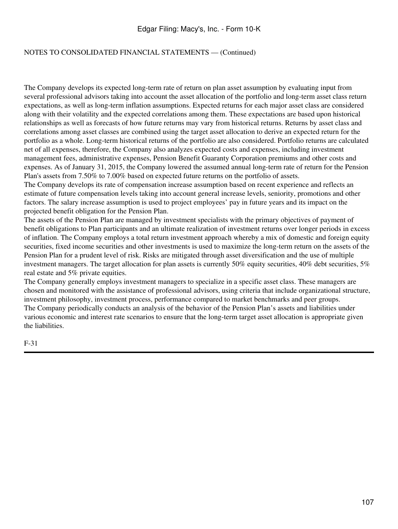The Company develops its expected long-term rate of return on plan asset assumption by evaluating input from several professional advisors taking into account the asset allocation of the portfolio and long-term asset class return expectations, as well as long-term inflation assumptions. Expected returns for each major asset class are considered along with their volatility and the expected correlations among them. These expectations are based upon historical relationships as well as forecasts of how future returns may vary from historical returns. Returns by asset class and correlations among asset classes are combined using the target asset allocation to derive an expected return for the portfolio as a whole. Long-term historical returns of the portfolio are also considered. Portfolio returns are calculated net of all expenses, therefore, the Company also analyzes expected costs and expenses, including investment management fees, administrative expenses, Pension Benefit Guaranty Corporation premiums and other costs and expenses. As of January 31, 2015, the Company lowered the assumed annual long-term rate of return for the Pension Plan's assets from 7.50% to 7.00% based on expected future returns on the portfolio of assets.

The Company develops its rate of compensation increase assumption based on recent experience and reflects an estimate of future compensation levels taking into account general increase levels, seniority, promotions and other factors. The salary increase assumption is used to project employees' pay in future years and its impact on the projected benefit obligation for the Pension Plan.

The assets of the Pension Plan are managed by investment specialists with the primary objectives of payment of benefit obligations to Plan participants and an ultimate realization of investment returns over longer periods in excess of inflation. The Company employs a total return investment approach whereby a mix of domestic and foreign equity securities, fixed income securities and other investments is used to maximize the long-term return on the assets of the Pension Plan for a prudent level of risk. Risks are mitigated through asset diversification and the use of multiple investment managers. The target allocation for plan assets is currently 50% equity securities, 40% debt securities, 5% real estate and 5% private equities.

The Company generally employs investment managers to specialize in a specific asset class. These managers are chosen and monitored with the assistance of professional advisors, using criteria that include organizational structure, investment philosophy, investment process, performance compared to market benchmarks and peer groups. The Company periodically conducts an analysis of the behavior of the Pension Plan's assets and liabilities under various economic and interest rate scenarios to ensure that the long-term target asset allocation is appropriate given the liabilities.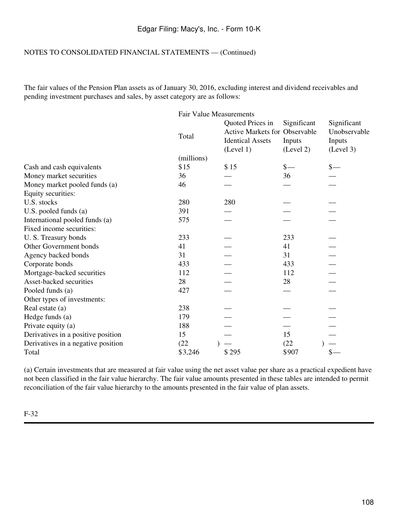The fair values of the Pension Plan assets as of January 30, 2016, excluding interest and dividend receivables and pending investment purchases and sales, by asset category are as follows:

| <b>Fair Value Measurements</b> |                         |                                   |                                      |  |  |
|--------------------------------|-------------------------|-----------------------------------|--------------------------------------|--|--|
|                                | Quoted Prices in        | Significant                       | Significant                          |  |  |
|                                |                         |                                   | Unobservable                         |  |  |
|                                | <b>Identical Assets</b> | Inputs                            | Inputs                               |  |  |
|                                | (Level 1)               | (Level 2)                         | (Level 3)                            |  |  |
| (millions)                     |                         |                                   |                                      |  |  |
| \$15                           | \$15                    | $\frac{\mathcal{S}}{\mathcal{S}}$ | $\frac{\ }{s-}$                      |  |  |
| 36                             |                         | 36                                |                                      |  |  |
| 46                             |                         |                                   |                                      |  |  |
|                                |                         |                                   |                                      |  |  |
| 280                            | 280                     |                                   |                                      |  |  |
| 391                            |                         |                                   |                                      |  |  |
| 575                            |                         |                                   |                                      |  |  |
|                                |                         |                                   |                                      |  |  |
| 233                            |                         | 233                               |                                      |  |  |
| 41                             |                         | 41                                |                                      |  |  |
| 31                             |                         | 31                                |                                      |  |  |
| 433                            |                         | 433                               |                                      |  |  |
| 112                            |                         | 112                               |                                      |  |  |
| 28                             |                         | 28                                |                                      |  |  |
| 427                            |                         |                                   |                                      |  |  |
|                                |                         |                                   |                                      |  |  |
| 238                            |                         |                                   |                                      |  |  |
| 179                            |                         |                                   |                                      |  |  |
| 188                            |                         |                                   |                                      |  |  |
| 15                             |                         | 15                                |                                      |  |  |
| (22)                           |                         | (22)                              |                                      |  |  |
| \$3,246                        | \$295                   | \$907                             |                                      |  |  |
|                                | Total                   |                                   | <b>Active Markets for Observable</b> |  |  |

(a) Certain investments that are measured at fair value using the net asset value per share as a practical expedient have not been classified in the fair value hierarchy. The fair value amounts presented in these tables are intended to permit reconciliation of the fair value hierarchy to the amounts presented in the fair value of plan assets.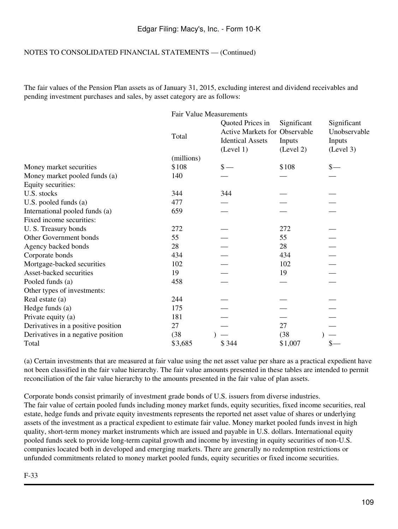The fair values of the Pension Plan assets as of January 31, 2015, excluding interest and dividend receivables and pending investment purchases and sales, by asset category are as follows:

|                                    |            | <b>Fair Value Measurements</b>                                                            |                                    |                                                    |
|------------------------------------|------------|-------------------------------------------------------------------------------------------|------------------------------------|----------------------------------------------------|
|                                    | Total      | Quoted Prices in<br>Active Markets for Observable<br><b>Identical Assets</b><br>(Level 1) | Significant<br>Inputs<br>(Level 2) | Significant<br>Unobservable<br>Inputs<br>(Level 3) |
|                                    | (millions) |                                                                                           |                                    |                                                    |
| Money market securities            | \$108      | $\frac{\ }{s-}$                                                                           | \$108                              | $\mathbb{S}-$                                      |
| Money market pooled funds (a)      | 140        |                                                                                           |                                    |                                                    |
| Equity securities:                 |            |                                                                                           |                                    |                                                    |
| U.S. stocks                        | 344        | 344                                                                                       |                                    |                                                    |
| U.S. pooled funds (a)              | 477        |                                                                                           |                                    |                                                    |
| International pooled funds (a)     | 659        |                                                                                           |                                    |                                                    |
| Fixed income securities:           |            |                                                                                           |                                    |                                                    |
| U.S. Treasury bonds                | 272        |                                                                                           | 272                                |                                                    |
| Other Government bonds             | 55         |                                                                                           | 55                                 |                                                    |
| Agency backed bonds                | 28         |                                                                                           | 28                                 |                                                    |
| Corporate bonds                    | 434        |                                                                                           | 434                                |                                                    |
| Mortgage-backed securities         | 102        |                                                                                           | 102                                |                                                    |
| Asset-backed securities            | 19         |                                                                                           | 19                                 |                                                    |
| Pooled funds (a)                   | 458        |                                                                                           |                                    |                                                    |
| Other types of investments:        |            |                                                                                           |                                    |                                                    |
| Real estate (a)                    | 244        |                                                                                           |                                    |                                                    |
| Hedge funds (a)                    | 175        |                                                                                           |                                    |                                                    |
| Private equity (a)                 | 181        |                                                                                           |                                    |                                                    |
| Derivatives in a positive position | 27         |                                                                                           | 27                                 |                                                    |
| Derivatives in a negative position | (38)       |                                                                                           | (38)                               |                                                    |
| Total                              | \$3,685    | \$344                                                                                     | \$1,007                            |                                                    |

(a) Certain investments that are measured at fair value using the net asset value per share as a practical expedient have not been classified in the fair value hierarchy. The fair value amounts presented in these tables are intended to permit reconciliation of the fair value hierarchy to the amounts presented in the fair value of plan assets.

Corporate bonds consist primarily of investment grade bonds of U.S. issuers from diverse industries. The fair value of certain pooled funds including money market funds, equity securities, fixed income securities, real estate, hedge funds and private equity investments represents the reported net asset value of shares or underlying assets of the investment as a practical expedient to estimate fair value. Money market pooled funds invest in high quality, short-term money market instruments which are issued and payable in U.S. dollars. International equity pooled funds seek to provide long-term capital growth and income by investing in equity securities of non-U.S. companies located both in developed and emerging markets. There are generally no redemption restrictions or unfunded commitments related to money market pooled funds, equity securities or fixed income securities.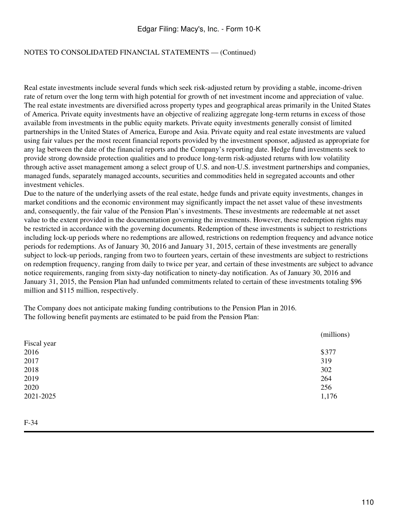Real estate investments include several funds which seek risk-adjusted return by providing a stable, income-driven rate of return over the long term with high potential for growth of net investment income and appreciation of value. The real estate investments are diversified across property types and geographical areas primarily in the United States of America. Private equity investments have an objective of realizing aggregate long-term returns in excess of those available from investments in the public equity markets. Private equity investments generally consist of limited partnerships in the United States of America, Europe and Asia. Private equity and real estate investments are valued using fair values per the most recent financial reports provided by the investment sponsor, adjusted as appropriate for any lag between the date of the financial reports and the Company's reporting date. Hedge fund investments seek to provide strong downside protection qualities and to produce long-term risk-adjusted returns with low volatility through active asset management among a select group of U.S. and non-U.S. investment partnerships and companies, managed funds, separately managed accounts, securities and commodities held in segregated accounts and other investment vehicles.

Due to the nature of the underlying assets of the real estate, hedge funds and private equity investments, changes in market conditions and the economic environment may significantly impact the net asset value of these investments and, consequently, the fair value of the Pension Plan's investments. These investments are redeemable at net asset value to the extent provided in the documentation governing the investments. However, these redemption rights may be restricted in accordance with the governing documents. Redemption of these investments is subject to restrictions including lock-up periods where no redemptions are allowed, restrictions on redemption frequency and advance notice periods for redemptions. As of January 30, 2016 and January 31, 2015, certain of these investments are generally subject to lock-up periods, ranging from two to fourteen years, certain of these investments are subject to restrictions on redemption frequency, ranging from daily to twice per year, and certain of these investments are subject to advance notice requirements, ranging from sixty-day notification to ninety-day notification. As of January 30, 2016 and January 31, 2015, the Pension Plan had unfunded commitments related to certain of these investments totaling \$96 million and \$115 million, respectively.

The Company does not anticipate making funding contributions to the Pension Plan in 2016. The following benefit payments are estimated to be paid from the Pension Plan:

|             | (millions) |
|-------------|------------|
| Fiscal year |            |
| 2016        | \$377      |
| 2017        | 319        |
| 2018        | 302        |
| 2019        | 264        |
| 2020        | 256        |
| 2021-2025   | 1,176      |
|             |            |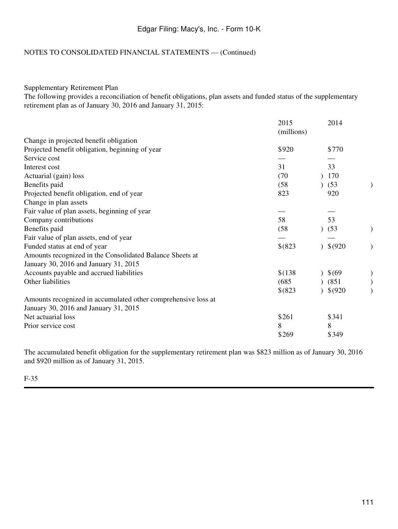#### Supplementary Retirement Plan

The following provides a reconciliation of benefit obligations, plan assets and funded status of the supplementary retirement plan as of January 30, 2016 and January 31, 2015:

|                                                               | 2015<br>(millions) | 2014       |   |
|---------------------------------------------------------------|--------------------|------------|---|
| Change in projected benefit obligation                        |                    |            |   |
| Projected benefit obligation, beginning of year               | \$920              | \$770      |   |
| Service cost                                                  |                    |            |   |
| Interest cost                                                 | 31                 | 33         |   |
| Actuarial (gain) loss                                         | (70)               | 170        |   |
| Benefits paid                                                 | (58)               | (53)       |   |
| Projected benefit obligation, end of year                     | 823                | 920        |   |
| Change in plan assets                                         |                    |            |   |
| Fair value of plan assets, beginning of year                  |                    |            |   |
| Company contributions                                         | 58                 | 53         |   |
| Benefits paid                                                 | (58)               | (53)       | ) |
| Fair value of plan assets, end of year                        |                    |            |   |
| Funded status at end of year                                  | $$^{(823)}$        | 920        |   |
| Amounts recognized in the Consolidated Balance Sheets at      |                    |            |   |
| January 30, 2016 and January 31, 2015                         |                    |            |   |
| Accounts payable and accrued liabilities                      | \$(138)            | $)$ \$(69) | ) |
| Other liabilities                                             | (685)              | (851)      |   |
|                                                               | $$^{(823)}$        | 920        |   |
| Amounts recognized in accumulated other comprehensive loss at |                    |            |   |
| January 30, 2016 and January 31, 2015                         |                    |            |   |
| Net actuarial loss                                            | \$261              | \$341      |   |
| Prior service cost                                            | 8                  | 8          |   |
|                                                               | \$269              | \$349      |   |

The accumulated benefit obligation for the supplementary retirement plan was \$823 million as of January 30, 2016 and \$920 million as of January 31, 2015.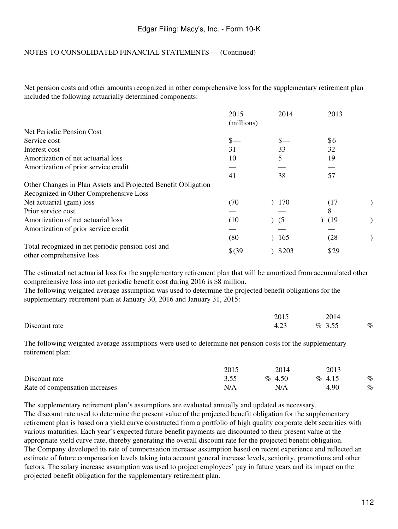Net pension costs and other amounts recognized in other comprehensive loss for the supplementary retirement plan included the following actuarially determined components:

|                                                                               | 2015<br>(millions)                | 2014  | 2013 |  |
|-------------------------------------------------------------------------------|-----------------------------------|-------|------|--|
| Net Periodic Pension Cost                                                     |                                   |       |      |  |
| Service cost                                                                  | $\frac{\mathcal{S}}{\mathcal{S}}$ | $s-$  | \$6  |  |
| Interest cost                                                                 | 31                                | 33    | 32   |  |
| Amortization of net actuarial loss                                            | 10                                | 5     | 19   |  |
| Amortization of prior service credit                                          |                                   |       |      |  |
|                                                                               | 41                                | 38    | 57   |  |
| Other Changes in Plan Assets and Projected Benefit Obligation                 |                                   |       |      |  |
| Recognized in Other Comprehensive Loss                                        |                                   |       |      |  |
| Net actuarial (gain) loss                                                     | (70)                              | 170   | (17) |  |
| Prior service cost                                                            |                                   |       | 8    |  |
| Amortization of net actuarial loss                                            | (10)                              | (5)   | (19) |  |
| Amortization of prior service credit                                          |                                   |       |      |  |
|                                                                               | (80)                              | 165   | (28) |  |
| Total recognized in net periodic pension cost and<br>other comprehensive loss | $$^{(39)}$                        | \$203 | \$29 |  |

The estimated net actuarial loss for the supplementary retirement plan that will be amortized from accumulated other comprehensive loss into net periodic benefit cost during 2016 is \$8 million.

The following weighted average assumption was used to determine the projected benefit obligations for the supplementary retirement plan at January 30, 2016 and January 31, 2015:

|               | 2015 | 2014               |      |
|---------------|------|--------------------|------|
| Discount rate | 4.23 | % 3.55<br><u>.</u> | $\%$ |

The following weighted average assumptions were used to determine net pension costs for the supplementary retirement plan:

|                                | 2015 | 2014   | 2013  |      |
|--------------------------------|------|--------|-------|------|
| Discount rate                  | 3.55 | % 4.50 | %4.15 | $\%$ |
| Rate of compensation increases | N/A  | N/A    | 4.90  | %    |

The supplementary retirement plan's assumptions are evaluated annually and updated as necessary. The discount rate used to determine the present value of the projected benefit obligation for the supplementary retirement plan is based on a yield curve constructed from a portfolio of high quality corporate debt securities with various maturities. Each year's expected future benefit payments are discounted to their present value at the appropriate yield curve rate, thereby generating the overall discount rate for the projected benefit obligation. The Company developed its rate of compensation increase assumption based on recent experience and reflected an estimate of future compensation levels taking into account general increase levels, seniority, promotions and other factors. The salary increase assumption was used to project employees' pay in future years and its impact on the projected benefit obligation for the supplementary retirement plan.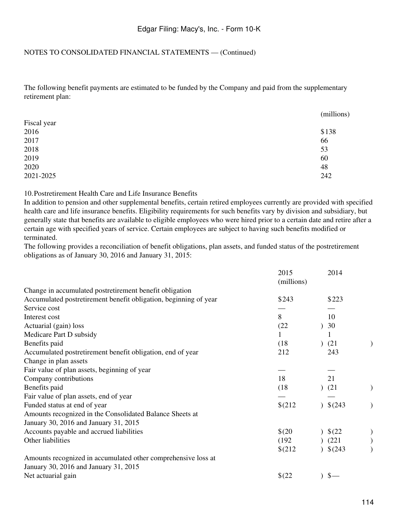The following benefit payments are estimated to be funded by the Company and paid from the supplementary retirement plan:

|             | (millions) |
|-------------|------------|
| Fiscal year |            |
| 2016        | \$138      |
| 2017        | 66         |
| 2018        | 53         |
| 2019        | 60         |
| 2020        | 48         |
| 2021-2025   | 242        |

10.Postretirement Health Care and Life Insurance Benefits

In addition to pension and other supplemental benefits, certain retired employees currently are provided with specified health care and life insurance benefits. Eligibility requirements for such benefits vary by division and subsidiary, but generally state that benefits are available to eligible employees who were hired prior to a certain date and retire after a certain age with specified years of service. Certain employees are subject to having such benefits modified or terminated.

The following provides a reconciliation of benefit obligations, plan assets, and funded status of the postretirement obligations as of January 30, 2016 and January 31, 2015:

|                                                                  | 2015<br>(millions) | 2014          |
|------------------------------------------------------------------|--------------------|---------------|
| Change in accumulated postretirement benefit obligation          |                    |               |
| Accumulated postretirement benefit obligation, beginning of year | \$243              | \$223         |
| Service cost                                                     |                    |               |
| Interest cost                                                    | 8                  | 10            |
| Actuarial (gain) loss                                            | (22)               | 30            |
| Medicare Part D subsidy                                          |                    | 1             |
| Benefits paid                                                    | (18)               | (21)          |
| Accumulated postretirement benefit obligation, end of year       | 212                | 243           |
| Change in plan assets                                            |                    |               |
| Fair value of plan assets, beginning of year                     |                    |               |
| Company contributions                                            | 18                 | 21            |
| Benefits paid                                                    | (18)               | ) (21)        |
| Fair value of plan assets, end of year                           |                    |               |
| Funded status at end of year                                     | $$^{(212)}$        | $9\sqrt{243}$ |
| Amounts recognized in the Consolidated Balance Sheets at         |                    |               |
| January 30, 2016 and January 31, 2015                            |                    |               |
| Accounts payable and accrued liabilities                         | $$^{(20)}$         | 3(22)         |
| Other liabilities                                                | (192)              | (221)         |
|                                                                  | $$^{(212)}$        | $9\sqrt{243}$ |
| Amounts recognized in accumulated other comprehensive loss at    |                    |               |
| January 30, 2016 and January 31, 2015                            |                    |               |
| Net actuarial gain                                               | \$(22)             | $5-$          |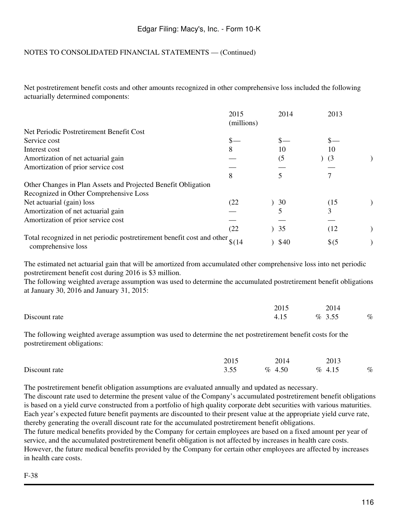Net postretirement benefit costs and other amounts recognized in other comprehensive loss included the following actuarially determined components:

|                                                                                                             | 2015<br>(millions) |      | 2014 | 2013          |  |
|-------------------------------------------------------------------------------------------------------------|--------------------|------|------|---------------|--|
| Net Periodic Postretirement Benefit Cost                                                                    |                    |      |      |               |  |
| Service cost                                                                                                |                    |      |      |               |  |
| Interest cost                                                                                               | 8                  | 10   |      | 10            |  |
| Amortization of net actuarial gain                                                                          |                    | (5)  |      | (3)           |  |
| Amortization of prior service cost                                                                          |                    |      |      |               |  |
|                                                                                                             | 8                  | 5    |      |               |  |
| Other Changes in Plan Assets and Projected Benefit Obligation                                               |                    |      |      |               |  |
| Recognized in Other Comprehensive Loss                                                                      |                    |      |      |               |  |
| Net actuarial (gain) loss                                                                                   | (22)               | ) 30 |      | (15)          |  |
| Amortization of net actuarial gain                                                                          |                    |      |      | 3             |  |
| Amortization of prior service cost                                                                          |                    |      |      |               |  |
|                                                                                                             | (22)               | 35   |      | (12)          |  |
| Total recognized in net periodic postretirement benefit cost and other $\frac{1}{14}$<br>comprehensive loss |                    |      | \$40 | $\frac{6}{5}$ |  |

The estimated net actuarial gain that will be amortized from accumulated other comprehensive loss into net periodic postretirement benefit cost during 2016 is \$3 million.

The following weighted average assumption was used to determine the accumulated postretirement benefit obligations at January 30, 2016 and January 31, 2015:

|               | 2015 | 2014           |      |
|---------------|------|----------------|------|
| Discount rate | 4.1. | %3.55<br>ر. ر. | $\%$ |

The following weighted average assumption was used to determine the net postretirement benefit costs for the postretirement obligations:

|               | 2015 | 2014   | 2013   |      |
|---------------|------|--------|--------|------|
| Discount rate | 3.55 | % 4.50 | % 4.15 | $\%$ |

The postretirement benefit obligation assumptions are evaluated annually and updated as necessary. The discount rate used to determine the present value of the Company's accumulated postretirement benefit obligations is based on a yield curve constructed from a portfolio of high quality corporate debt securities with various maturities.

Each year's expected future benefit payments are discounted to their present value at the appropriate yield curve rate, thereby generating the overall discount rate for the accumulated postretirement benefit obligations.

The future medical benefits provided by the Company for certain employees are based on a fixed amount per year of service, and the accumulated postretirement benefit obligation is not affected by increases in health care costs. However, the future medical benefits provided by the Company for certain other employees are affected by increases in health care costs.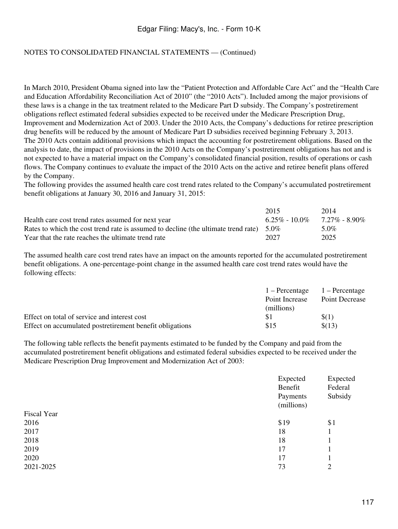In March 2010, President Obama signed into law the "Patient Protection and Affordable Care Act" and the "Health Care and Education Affordability Reconciliation Act of 2010" (the "2010 Acts"). Included among the major provisions of these laws is a change in the tax treatment related to the Medicare Part D subsidy. The Company's postretirement obligations reflect estimated federal subsidies expected to be received under the Medicare Prescription Drug, Improvement and Modernization Act of 2003. Under the 2010 Acts, the Company's deductions for retiree prescription drug benefits will be reduced by the amount of Medicare Part D subsidies received beginning February 3, 2013. The 2010 Acts contain additional provisions which impact the accounting for postretirement obligations. Based on the analysis to date, the impact of provisions in the 2010 Acts on the Company's postretirement obligations has not and is not expected to have a material impact on the Company's consolidated financial position, results of operations or cash flows. The Company continues to evaluate the impact of the 2010 Acts on the active and retiree benefit plans offered by the Company.

The following provides the assumed health care cost trend rates related to the Company's accumulated postretirement benefit obligations at January 30, 2016 and January 31, 2015:

|                                                                                            | 2015              | 2014             |
|--------------------------------------------------------------------------------------------|-------------------|------------------|
| Health care cost trend rates assumed for next year                                         | $6.25\% - 10.0\%$ | $7.27\%$ - 8.90% |
| Rates to which the cost trend rate is assumed to decline (the ultimate trend rate) $5.0\%$ |                   | 5.0%             |
| Year that the rate reaches the ultimate trend rate                                         | 2027              | 2025             |

The assumed health care cost trend rates have an impact on the amounts reported for the accumulated postretirement benefit obligations. A one-percentage-point change in the assumed health care cost trend rates would have the following effects:

|                                                          |                | $1 -$ Percentage $1 -$ Percentage |
|----------------------------------------------------------|----------------|-----------------------------------|
|                                                          | Point Increase | <b>Point Decrease</b>             |
|                                                          | (millions)     |                                   |
| Effect on total of service and interest cost             |                | $\mathcal{S}(1)$                  |
| Effect on accumulated postretirement benefit obligations | \$15           | \$(13)                            |

The following table reflects the benefit payments estimated to be funded by the Company and paid from the accumulated postretirement benefit obligations and estimated federal subsidies expected to be received under the Medicare Prescription Drug Improvement and Modernization Act of 2003:

|             | Expected<br>Benefit<br>Payments<br>(millions) | Expected<br>Federal<br>Subsidy |
|-------------|-----------------------------------------------|--------------------------------|
| Fiscal Year |                                               |                                |
| 2016        | \$19                                          | \$1                            |
| 2017        | 18                                            |                                |
| 2018        | 18                                            |                                |
| 2019        | 17                                            |                                |
| 2020        | 17                                            |                                |
| 2021-2025   | 73                                            | 2                              |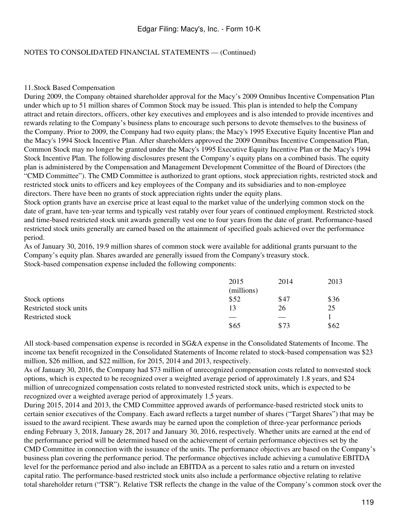#### 11.Stock Based Compensation

During 2009, the Company obtained shareholder approval for the Macy's 2009 Omnibus Incentive Compensation Plan under which up to 51 million shares of Common Stock may be issued. This plan is intended to help the Company attract and retain directors, officers, other key executives and employees and is also intended to provide incentives and rewards relating to the Company's business plans to encourage such persons to devote themselves to the business of the Company. Prior to 2009, the Company had two equity plans; the Macy's 1995 Executive Equity Incentive Plan and the Macy's 1994 Stock Incentive Plan. After shareholders approved the 2009 Omnibus Incentive Compensation Plan, Common Stock may no longer be granted under the Macy's 1995 Executive Equity Incentive Plan or the Macy's 1994 Stock Incentive Plan. The following disclosures present the Company's equity plans on a combined basis. The equity plan is administered by the Compensation and Management Development Committee of the Board of Directors (the "CMD Committee"). The CMD Committee is authorized to grant options, stock appreciation rights, restricted stock and restricted stock units to officers and key employees of the Company and its subsidiaries and to non-employee directors. There have been no grants of stock appreciation rights under the equity plans.

Stock option grants have an exercise price at least equal to the market value of the underlying common stock on the date of grant, have ten-year terms and typically vest ratably over four years of continued employment. Restricted stock and time-based restricted stock unit awards generally vest one to four years from the date of grant. Performance-based restricted stock units generally are earned based on the attainment of specified goals achieved over the performance period.

As of January 30, 2016, 19.9 million shares of common stock were available for additional grants pursuant to the Company's equity plan. Shares awarded are generally issued from the Company's treasury stock. Stock-based compensation expense included the following components:

|                        | 2015       | 2014 | 2013 |
|------------------------|------------|------|------|
|                        | (millions) |      |      |
| Stock options          | \$52       | \$47 | \$36 |
| Restricted stock units | 13         | 26   | 25   |
| Restricted stock       |            |      |      |
|                        | \$65       | \$73 | \$62 |

All stock-based compensation expense is recorded in SG&A expense in the Consolidated Statements of Income. The income tax benefit recognized in the Consolidated Statements of Income related to stock-based compensation was \$23 million, \$26 million, and \$22 million, for 2015, 2014 and 2013, respectively.

As of January 30, 2016, the Company had \$73 million of unrecognized compensation costs related to nonvested stock options, which is expected to be recognized over a weighted average period of approximately 1.8 years, and \$24 million of unrecognized compensation costs related to nonvested restricted stock units, which is expected to be recognized over a weighted average period of approximately 1.5 years.

During 2015, 2014 and 2013, the CMD Committee approved awards of performance-based restricted stock units to certain senior executives of the Company. Each award reflects a target number of shares ("Target Shares") that may be issued to the award recipient. These awards may be earned upon the completion of three-year performance periods ending February 3, 2018, January 28, 2017 and January 30, 2016, respectively. Whether units are earned at the end of the performance period will be determined based on the achievement of certain performance objectives set by the CMD Committee in connection with the issuance of the units. The performance objectives are based on the Company's business plan covering the performance period. The performance objectives include achieving a cumulative EBITDA level for the performance period and also include an EBITDA as a percent to sales ratio and a return on invested capital ratio. The performance-based restricted stock units also include a performance objective relating to relative total shareholder return ("TSR"). Relative TSR reflects the change in the value of the Company's common stock over the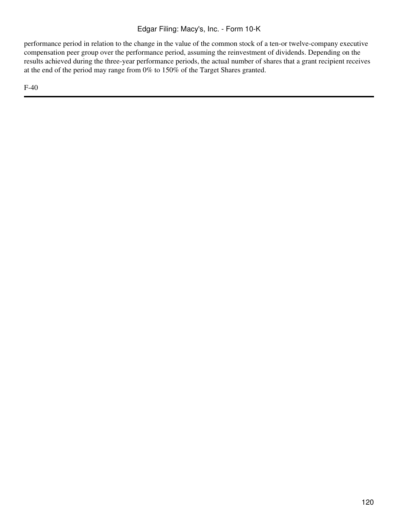performance period in relation to the change in the value of the common stock of a ten-or twelve-company executive compensation peer group over the performance period, assuming the reinvestment of dividends. Depending on the results achieved during the three-year performance periods, the actual number of shares that a grant recipient receives at the end of the period may range from 0% to 150% of the Target Shares granted.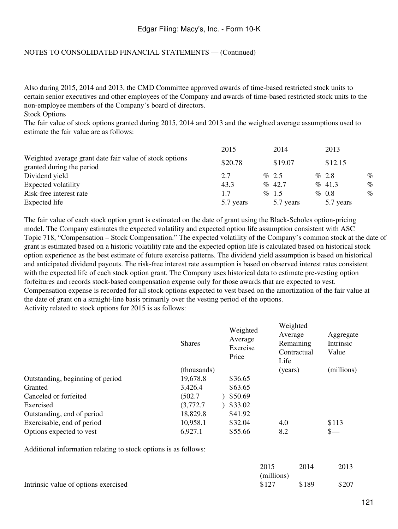Also during 2015, 2014 and 2013, the CMD Committee approved awards of time-based restricted stock units to certain senior executives and other employees of the Company and awards of time-based restricted stock units to the non-employee members of the Company's board of directors.

#### Stock Options

The fair value of stock options granted during 2015, 2014 and 2013 and the weighted average assumptions used to estimate the fair value are as follows:

|                                                                                      | 2015      | 2014      | 2013              |
|--------------------------------------------------------------------------------------|-----------|-----------|-------------------|
| Weighted average grant date fair value of stock options<br>granted during the period | \$20.78   | \$19.07   | \$12.15           |
| Dividend yield                                                                       | 2.7       | $\%$ 2.5  | $\%$<br>$\%$ 2.8  |
| Expected volatility                                                                  | 43.3      | % 42.7    | $\%$<br>$\%$ 41.3 |
| Risk-free interest rate                                                              | 1.7       | %1.5      | $\%$<br>% 0.8     |
| Expected life                                                                        | 5.7 years | 5.7 years | 5.7 years         |

The fair value of each stock option grant is estimated on the date of grant using the Black-Scholes option-pricing model. The Company estimates the expected volatility and expected option life assumption consistent with ASC Topic 718, "Compensation – Stock Compensation." The expected volatility of the Company's common stock at the date of grant is estimated based on a historic volatility rate and the expected option life is calculated based on historical stock option experience as the best estimate of future exercise patterns. The dividend yield assumption is based on historical and anticipated dividend payouts. The risk-free interest rate assumption is based on observed interest rates consistent with the expected life of each stock option grant. The Company uses historical data to estimate pre-vesting option forfeitures and records stock-based compensation expense only for those awards that are expected to vest. Compensation expense is recorded for all stock options expected to vest based on the amortization of the fair value at the date of grant on a straight-line basis primarily over the vesting period of the options. Activity related to stock options for 2015 is as follows:

|                                  | <b>Shares</b> | Weighted<br>Average<br>Exercise<br>Price | Weighted<br>Average<br>Remaining<br>Contractual<br>Life | Aggregate<br>Intrinsic<br>Value |
|----------------------------------|---------------|------------------------------------------|---------------------------------------------------------|---------------------------------|
|                                  | (thousands)   |                                          | (years)                                                 | (millions)                      |
| Outstanding, beginning of period | 19,678.8      | \$36.65                                  |                                                         |                                 |
| Granted                          | 3,426.4       | \$63.65                                  |                                                         |                                 |
| Canceled or forfeited            | (502.7        | \$50.69                                  |                                                         |                                 |
| Exercised                        | (3,772.7)     | \$33.02                                  |                                                         |                                 |
| Outstanding, end of period       | 18,829.8      | \$41.92                                  |                                                         |                                 |
| Exercisable, end of period       | 10,958.1      | \$32.04                                  | 4.0                                                     | \$113                           |
| Options expected to vest         | 6,927.1       | \$55.66                                  | 8.2                                                     | $_{\tiny{\text{S}-}}$           |

Additional information relating to stock options is as follows:

|                                      | 2015       | 2014  | 2013  |
|--------------------------------------|------------|-------|-------|
|                                      | (millions) |       |       |
| Intrinsic value of options exercised | \$127      | \$189 | \$207 |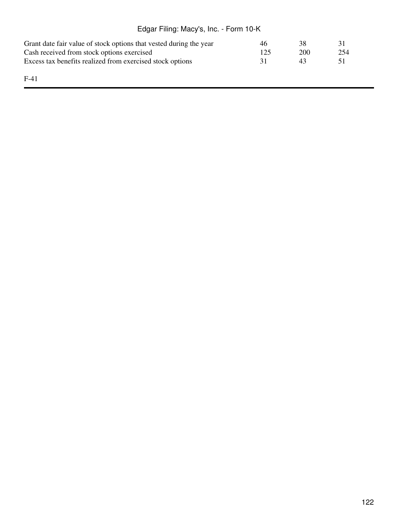| 200 | 254 |
|-----|-----|
| 43  |     |
|     |     |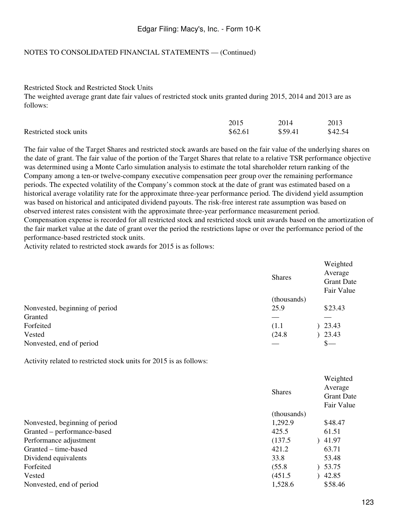#### Restricted Stock and Restricted Stock Units

The weighted average grant date fair values of restricted stock units granted during 2015, 2014 and 2013 are as follows:

|                        | 2015    | 2014    | 2013    |
|------------------------|---------|---------|---------|
| Restricted stock units | \$62.61 | \$59.41 | \$42.54 |

The fair value of the Target Shares and restricted stock awards are based on the fair value of the underlying shares on the date of grant. The fair value of the portion of the Target Shares that relate to a relative TSR performance objective was determined using a Monte Carlo simulation analysis to estimate the total shareholder return ranking of the Company among a ten-or twelve-company executive compensation peer group over the remaining performance periods. The expected volatility of the Company's common stock at the date of grant was estimated based on a historical average volatility rate for the approximate three-year performance period. The dividend yield assumption was based on historical and anticipated dividend payouts. The risk-free interest rate assumption was based on observed interest rates consistent with the approximate three-year performance measurement period. Compensation expense is recorded for all restricted stock and restricted stock unit awards based on the amortization of the fair market value at the date of grant over the period the restrictions lapse or over the performance period of the performance-based restricted stock units.

Activity related to restricted stock awards for 2015 is as follows:

|                                | <b>Shares</b> | Weighted<br>Average<br><b>Grant Date</b><br>Fair Value |
|--------------------------------|---------------|--------------------------------------------------------|
|                                | (thousands)   |                                                        |
| Nonvested, beginning of period | 25.9          | \$23.43                                                |
| Granted                        |               |                                                        |
| Forfeited                      | (1.1)         | 23.43                                                  |
| Vested                         | (24.8)        | 23.43                                                  |
| Nonvested, end of period       |               | $\frac{1}{2}$                                          |

Activity related to restricted stock units for 2015 is as follows:

|                                | <b>Shares</b> | Weighted<br>Average<br><b>Grant Date</b><br>Fair Value |
|--------------------------------|---------------|--------------------------------------------------------|
|                                | (thousands)   |                                                        |
| Nonvested, beginning of period | 1,292.9       | \$48.47                                                |
| Granted – performance-based    | 425.5         | 61.51                                                  |
| Performance adjustment         | (137.5)       | 41.97                                                  |
| Granted – time-based           | 421.2         | 63.71                                                  |
| Dividend equivalents           | 33.8          | 53.48                                                  |
| Forfeited                      | (55.8)        | 53.75                                                  |
| Vested                         | (451.5)       | 42.85                                                  |
| Nonvested, end of period       | 1,528.6       | \$58.46                                                |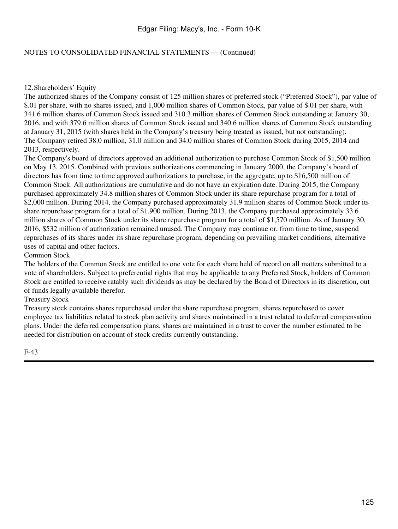### 12.Shareholders' Equity

The authorized shares of the Company consist of 125 million shares of preferred stock ("Preferred Stock"), par value of \$.01 per share, with no shares issued, and 1,000 million shares of Common Stock, par value of \$.01 per share, with 341.6 million shares of Common Stock issued and 310.3 million shares of Common Stock outstanding at January 30, 2016, and with 379.6 million shares of Common Stock issued and 340.6 million shares of Common Stock outstanding at January 31, 2015 (with shares held in the Company's treasury being treated as issued, but not outstanding). The Company retired 38.0 million, 31.0 million and 34.0 million shares of Common Stock during 2015, 2014 and 2013, respectively.

The Company's board of directors approved an additional authorization to purchase Common Stock of \$1,500 million on May 13, 2015. Combined with previous authorizations commencing in January 2000, the Company's board of directors has from time to time approved authorizations to purchase, in the aggregate, up to \$16,500 million of Common Stock. All authorizations are cumulative and do not have an expiration date. During 2015, the Company purchased approximately 34.8 million shares of Common Stock under its share repurchase program for a total of \$2,000 million. During 2014, the Company purchased approximately 31.9 million shares of Common Stock under its share repurchase program for a total of \$1,900 million. During 2013, the Company purchased approximately 33.6 million shares of Common Stock under its share repurchase program for a total of \$1,570 million. As of January 30, 2016, \$532 million of authorization remained unused. The Company may continue or, from time to time, suspend repurchases of its shares under its share repurchase program, depending on prevailing market conditions, alternative uses of capital and other factors.

#### Common Stock

The holders of the Common Stock are entitled to one vote for each share held of record on all matters submitted to a vote of shareholders. Subject to preferential rights that may be applicable to any Preferred Stock, holders of Common Stock are entitled to receive ratably such dividends as may be declared by the Board of Directors in its discretion, out of funds legally available therefor.

### Treasury Stock

Treasury stock contains shares repurchased under the share repurchase program, shares repurchased to cover employee tax liabilities related to stock plan activity and shares maintained in a trust related to deferred compensation plans. Under the deferred compensation plans, shares are maintained in a trust to cover the number estimated to be needed for distribution on account of stock credits currently outstanding.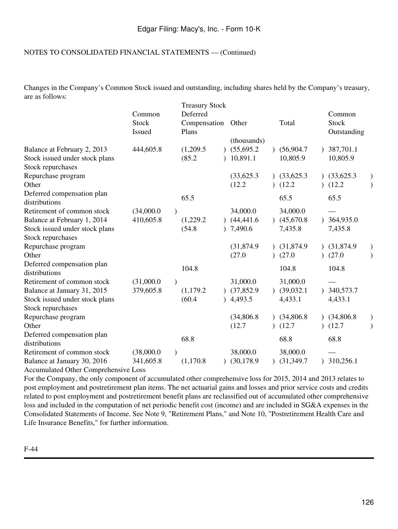Changes in the Company's Common Stock issued and outstanding, including shares held by the Company's treasury, are as follows:

|                                                                                                                  |                         | <b>Treasury Stock</b>                |                                    |                                                |                                       |
|------------------------------------------------------------------------------------------------------------------|-------------------------|--------------------------------------|------------------------------------|------------------------------------------------|---------------------------------------|
|                                                                                                                  | Common                  | Deferred                             |                                    |                                                | Common                                |
|                                                                                                                  | <b>Stock</b><br>Issued  | Plans                                | Compensation Other<br>(thousands)  | Total                                          | <b>Stock</b><br>Outstanding           |
| Balance at February 2, 2013<br>Stock issued under stock plans<br>Stock repurchases                               | 444,605.8               | (1,209.5)<br>(85.2)                  | (55,695.2)<br>10,891.1             | (56,904.7)<br>10,805.9                         | ) 387,701.1<br>10,805.9               |
| Repurchase program<br>Other                                                                                      |                         |                                      | (33,625.3)<br>(12.2)               | (33,625.3)<br>$\lambda$<br>(12.2)<br>$\lambda$ | (33,625.3)<br>$\mathcal{Y}$<br>(12.2) |
| Deferred compensation plan<br>distributions                                                                      |                         | 65.5                                 |                                    | 65.5                                           | 65.5                                  |
| Retirement of common stock<br>Balance at February 1, 2014<br>Stock issued under stock plans<br>Stock repurchases | (34,000.0)<br>410,605.8 | $\mathcal{E}$<br>(1,229.2)<br>(54.8) | 34,000.0<br>(44, 441.6)<br>7,490.6 | 34,000.0<br>(45,670.8)<br>$\lambda$<br>7,435.8 | )364,935.0<br>7,435.8                 |
| Repurchase program<br>Other                                                                                      |                         |                                      | (31,874.9)<br>(27.0)               | (31,874.9)<br>$\lambda$<br>(27.0)<br>$\lambda$ | (31,874.9)<br>⟩<br>(27.0)             |
| Deferred compensation plan<br>distributions                                                                      |                         | 104.8                                |                                    | 104.8                                          | 104.8                                 |
| Retirement of common stock<br>Balance at January 31, 2015<br>Stock issued under stock plans<br>Stock repurchases | (31,000.0)<br>379,605.8 | (1,179.2)<br>(60.4)                  | 31,000.0<br>(37,852.9)<br>4,493.5  | 31,000.0<br>(39,032.1)<br>4,433.1              | ) 340,573.7<br>4,433.1                |
| Repurchase program<br>Other                                                                                      |                         |                                      | (34,806.8)<br>(12.7)               | (34,806.8)<br>(12.7)<br>$\lambda$              | (34,806.8)<br>$\mathcal{)}$<br>(12.7) |
| Deferred compensation plan<br>distributions                                                                      |                         | 68.8                                 |                                    | 68.8                                           | 68.8                                  |
| Retirement of common stock<br>Balance at January 30, 2016<br><b>Accumulated Other Comprehensive Loss</b>         | (38,000.0)<br>341,605.8 | (1,170.8)                            | 38,000.0<br>(30, 178.9)            | 38,000.0<br>(31, 349.7)                        | 310,256.1                             |

For the Company, the only component of accumulated other comprehensive loss for 2015, 2014 and 2013 relates to post employment and postretirement plan items. The net actuarial gains and losses and prior service costs and credits related to post employment and postretirement benefit plans are reclassified out of accumulated other comprehensive loss and included in the computation of net periodic benefit cost (income) and are included in SG&A expenses in the Consolidated Statements of Income. See Note 9, "Retirement Plans," and Note 10, "Postretirement Health Care and Life Insurance Benefits," for further information.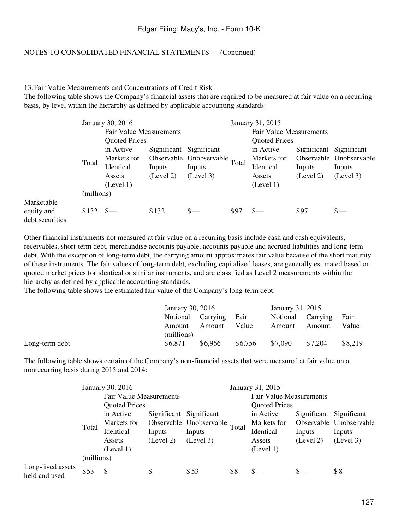#### 13.Fair Value Measurements and Concentrations of Credit Risk

The following table shows the Company's financial assets that are required to be measured at fair value on a recurring basis, by level within the hierarchy as defined by applicable accounting standards:

|                                             | January 30, 2016                                       |                                                              |                     |                                                                                 | January 31, 2015                                       |                                                              |                                                |                                                |
|---------------------------------------------|--------------------------------------------------------|--------------------------------------------------------------|---------------------|---------------------------------------------------------------------------------|--------------------------------------------------------|--------------------------------------------------------------|------------------------------------------------|------------------------------------------------|
|                                             | <b>Fair Value Measurements</b><br><b>Quoted Prices</b> |                                                              |                     |                                                                                 | <b>Fair Value Measurements</b><br><b>Quoted Prices</b> |                                                              |                                                |                                                |
|                                             | Total                                                  | in Active<br>Markets for<br>Identical<br>Assets<br>(Level 1) | Inputs<br>(Level 2) | Significant Significant<br>Observable Unobservable Total<br>Inputs<br>(Level 3) |                                                        | in Active<br>Markets for<br>Identical<br>Assets<br>(Level 1) | Significant Significant<br>Inputs<br>(Level 2) | Observable Unobservable<br>Inputs<br>(Level 3) |
|                                             | (millions)                                             |                                                              |                     |                                                                                 |                                                        |                                                              |                                                |                                                |
| Marketable<br>equity and<br>debt securities | \$132                                                  | $\mathcal{S}-$                                               | \$132               |                                                                                 | \$97                                                   |                                                              | \$97                                           |                                                |

Other financial instruments not measured at fair value on a recurring basis include cash and cash equivalents, receivables, short-term debt, merchandise accounts payable, accounts payable and accrued liabilities and long-term debt. With the exception of long-term debt, the carrying amount approximates fair value because of the short maturity of these instruments. The fair values of long-term debt, excluding capitalized leases, are generally estimated based on quoted market prices for identical or similar instruments, and are classified as Level 2 measurements within the hierarchy as defined by applicable accounting standards.

The following table shows the estimated fair value of the Company's long-term debt:

|                | January 30, 2016          |         |         | January 31, 2015  |         |         |  |  |
|----------------|---------------------------|---------|---------|-------------------|---------|---------|--|--|
|                | Notional Carrying         |         | Fair    | Notional Carrying |         | Fair    |  |  |
|                | Value<br>Amount<br>Amount |         | Amount  | Amount            | Value   |         |  |  |
|                | (millions)                |         |         |                   |         |         |  |  |
| Long-term debt | \$6.871                   | \$6,966 | \$6,756 | \$7,090           | \$7,204 | \$8,219 |  |  |

The following table shows certain of the Company's non-financial assets that were measured at fair value on a nonrecurring basis during 2015 and 2014:

|                                    |            | January 30, 2016               |           |                               | January 31, 2015 |                                |           |                         |  |  |  |  |
|------------------------------------|------------|--------------------------------|-----------|-------------------------------|------------------|--------------------------------|-----------|-------------------------|--|--|--|--|
|                                    |            | <b>Fair Value Measurements</b> |           |                               |                  | <b>Fair Value Measurements</b> |           |                         |  |  |  |  |
|                                    |            | <b>Quoted Prices</b>           |           |                               |                  | <b>Quoted Prices</b>           |           |                         |  |  |  |  |
|                                    |            | in Active                      |           | Significant Significant       |                  | in Active                      |           | Significant Significant |  |  |  |  |
|                                    | Total      | Markets for                    |           | Observable Unobservable Total |                  | Markets for                    |           | Observable Unobservable |  |  |  |  |
|                                    |            | Identical                      | Inputs    | Inputs                        |                  | Identical                      | Inputs    | Inputs                  |  |  |  |  |
|                                    |            | Assets                         | (Level 2) | (Level 3)                     |                  | Assets                         | (Level 2) | (Level 3)               |  |  |  |  |
|                                    |            | (Level 1)                      |           |                               |                  | (Level 1)                      |           |                         |  |  |  |  |
|                                    | (millions) |                                |           |                               |                  |                                |           |                         |  |  |  |  |
| Long-lived assets<br>held and used | \$53       |                                |           | \$53                          | \$8              |                                |           | \$8                     |  |  |  |  |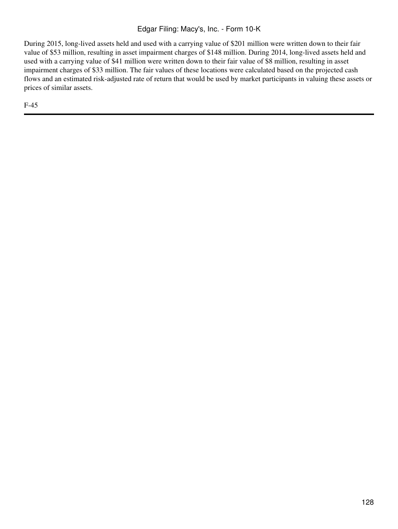During 2015, long-lived assets held and used with a carrying value of \$201 million were written down to their fair value of \$53 million, resulting in asset impairment charges of \$148 million. During 2014, long-lived assets held and used with a carrying value of \$41 million were written down to their fair value of \$8 million, resulting in asset impairment charges of \$33 million. The fair values of these locations were calculated based on the projected cash flows and an estimated risk-adjusted rate of return that would be used by market participants in valuing these assets or prices of similar assets.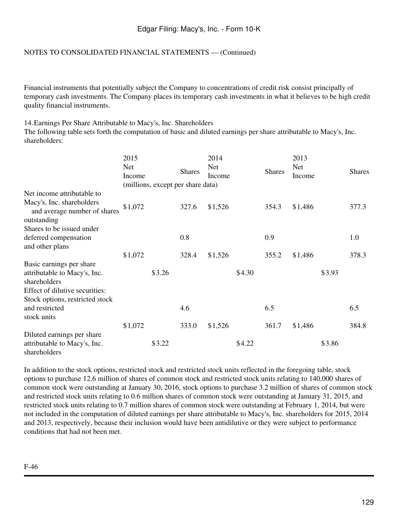Financial instruments that potentially subject the Company to concentrations of credit risk consist principally of temporary cash investments. The Company places its temporary cash investments in what it believes to be high credit quality financial instruments.

14.Earnings Per Share Attributable to Macy's, Inc. Shareholders

The following table sets forth the computation of basic and diluted earnings per share attributable to Macy's, Inc. shareholders:

|                                                                                                            | 2015<br>Net<br>Income |                                   | <b>Shares</b> | 2014<br><b>Net</b><br>Income |        | <b>Shares</b> | 2013<br><b>Net</b><br>Income |        | <b>Shares</b> |
|------------------------------------------------------------------------------------------------------------|-----------------------|-----------------------------------|---------------|------------------------------|--------|---------------|------------------------------|--------|---------------|
|                                                                                                            |                       | (millions, except per share data) |               |                              |        |               |                              |        |               |
| Net income attributable to<br>Macy's, Inc. shareholders<br>and average number of shares<br>outstanding     | \$1,072               |                                   | 327.6         | \$1,526                      |        | 354.3         | \$1,486                      |        | 377.3         |
| Shares to be issued under<br>deferred compensation<br>and other plans                                      |                       |                                   | 0.8           |                              |        | 0.9           |                              |        | 1.0           |
|                                                                                                            | \$1,072               |                                   | 328.4         | \$1,526                      |        | 355.2         | \$1,486                      |        | 378.3         |
| Basic earnings per share<br>attributable to Macy's, Inc.<br>shareholders<br>Effect of dilutive securities: |                       | \$3.26                            |               |                              | \$4.30 |               |                              | \$3.93 |               |
| Stock options, restricted stock<br>and restricted<br>stock units                                           |                       |                                   | 4.6           |                              |        | 6.5           |                              |        | 6.5           |
|                                                                                                            | \$1,072               |                                   | 333.0         | \$1,526                      |        | 361.7         | \$1,486                      |        | 384.8         |
| Diluted earnings per share<br>attributable to Macy's, Inc.<br>shareholders                                 |                       | \$3.22                            |               |                              | \$4.22 |               |                              | \$3.86 |               |

In addition to the stock options, restricted stock and restricted stock units reflected in the foregoing table, stock options to purchase 12.6 million of shares of common stock and restricted stock units relating to 140,000 shares of common stock were outstanding at January 30, 2016, stock options to purchase 3.2 million of shares of common stock and restricted stock units relating to 0.6 million shares of common stock were outstanding at January 31, 2015, and restricted stock units relating to 0.7 million shares of common stock were outstanding at February 1, 2014, but were not included in the computation of diluted earnings per share attributable to Macy's, Inc. shareholders for 2015, 2014 and 2013, respectively, because their inclusion would have been antidilutive or they were subject to performance conditions that had not been met.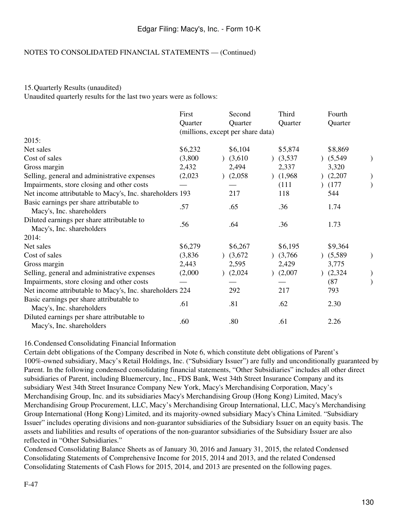#### 15.Quarterly Results (unaudited)

Unaudited quarterly results for the last two years were as follows:

|                                                                         | First   | Second                            |               | Third   | Fourth  |  |
|-------------------------------------------------------------------------|---------|-----------------------------------|---------------|---------|---------|--|
|                                                                         | Quarter | Quarter                           |               | Quarter | Quarter |  |
|                                                                         |         | (millions, except per share data) |               |         |         |  |
| 2015:                                                                   |         |                                   |               |         |         |  |
| Net sales                                                               | \$6,232 | \$6,104                           |               | \$5,874 | \$8,869 |  |
| Cost of sales                                                           | (3,800) | (3,610)                           | $\mathcal{L}$ | (3,537) | (5,549) |  |
| Gross margin                                                            | 2,432   | 2,494                             |               | 2,337   | 3,320   |  |
| Selling, general and administrative expenses                            | (2,023) | (2,058)                           | $\mathcal{L}$ | (1,968) | (2,207) |  |
| Impairments, store closing and other costs                              |         |                                   |               | (111)   | (177)   |  |
| Net income attributable to Macy's, Inc. shareholders 193                |         | 217                               |               | 118     | 544     |  |
| Basic earnings per share attributable to<br>Macy's, Inc. shareholders   | .57     | .65                               |               | .36     | 1.74    |  |
| Diluted earnings per share attributable to<br>Macy's, Inc. shareholders | .56     | .64                               |               | .36     | 1.73    |  |
| 2014:                                                                   |         |                                   |               |         |         |  |
| Net sales                                                               | \$6,279 | \$6,267                           |               | \$6,195 | \$9,364 |  |
| Cost of sales                                                           | (3,836) | (3,672)                           |               | (3,766) | (5,589) |  |
| Gross margin                                                            | 2,443   | 2,595                             |               | 2,429   | 3,775   |  |
| Selling, general and administrative expenses                            | (2,000) | (2,024)                           |               | (2,007) | (2,324) |  |
| Impairments, store closing and other costs                              |         |                                   |               |         | (87)    |  |
| Net income attributable to Macy's, Inc. shareholders 224                |         | 292                               |               | 217     | 793     |  |
| Basic earnings per share attributable to<br>Macy's, Inc. shareholders   | .61     | .81                               |               | .62     | 2.30    |  |
| Diluted earnings per share attributable to<br>Macy's, Inc. shareholders | .60     | .80                               |               | .61     | 2.26    |  |

### 16.Condensed Consolidating Financial Information

Certain debt obligations of the Company described in Note 6, which constitute debt obligations of Parent's 100%-owned subsidiary, Macy's Retail Holdings, Inc. ("Subsidiary Issuer") are fully and unconditionally guaranteed by Parent. In the following condensed consolidating financial statements, "Other Subsidiaries" includes all other direct subsidiaries of Parent, including Bluemercury, Inc., FDS Bank, West 34th Street Insurance Company and its subsidiary West 34th Street Insurance Company New York, Macy's Merchandising Corporation, Macy's Merchandising Group, Inc. and its subsidiaries Macy's Merchandising Group (Hong Kong) Limited, Macy's Merchandising Group Procurement, LLC, Macy's Merchandising Group International, LLC, Macy's Merchandising Group International (Hong Kong) Limited, and its majority-owned subsidiary Macy's China Limited. "Subsidiary Issuer" includes operating divisions and non-guarantor subsidiaries of the Subsidiary Issuer on an equity basis. The assets and liabilities and results of operations of the non-guarantor subsidiaries of the Subsidiary Issuer are also reflected in "Other Subsidiaries."

Condensed Consolidating Balance Sheets as of January 30, 2016 and January 31, 2015, the related Condensed Consolidating Statements of Comprehensive Income for 2015, 2014 and 2013, and the related Condensed Consolidating Statements of Cash Flows for 2015, 2014, and 2013 are presented on the following pages.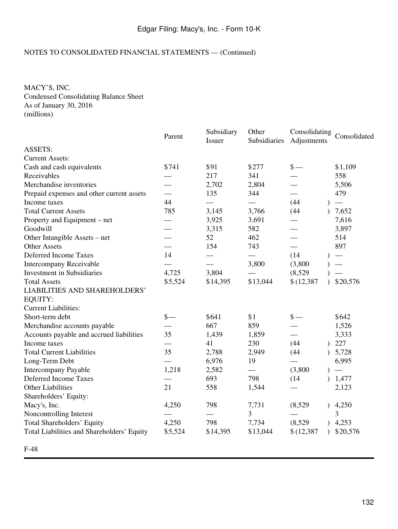MACY'S, INC. Condensed Consolidating Balance Sheet As of January 30, 2016 (millions)

|                                            | Parent          | Subsidiary<br>Issuer | Other<br>Subsidiaries | Consolidating<br>Adjustments | Consolidated |
|--------------------------------------------|-----------------|----------------------|-----------------------|------------------------------|--------------|
| <b>ASSETS:</b>                             |                 |                      |                       |                              |              |
| <b>Current Assets:</b>                     |                 |                      |                       |                              |              |
| Cash and cash equivalents                  | \$741           | \$91                 | \$277                 | $\frac{\ }{s-}$              | \$1,109      |
| Receivables                                |                 | 217                  | 341                   |                              | 558          |
| Merchandise inventories                    |                 | 2,702                | 2,804                 |                              | 5,506        |
| Prepaid expenses and other current assets  |                 | 135                  | 344                   |                              | 479          |
| Income taxes                               | 44              |                      |                       | (44)                         |              |
| <b>Total Current Assets</b>                | 785             | 3,145                | 3,766                 | (44)                         | 7,652        |
| Property and Equipment – net               |                 | 3,925                | 3,691                 |                              | 7,616        |
| Goodwill                                   |                 | 3,315                | 582                   |                              | 3,897        |
| Other Intangible Assets – net              |                 | 52                   | 462                   |                              | 514          |
| <b>Other Assets</b>                        |                 | 154                  | 743                   | $\overline{\phantom{0}}$     | 897          |
| <b>Deferred Income Taxes</b>               | 14              |                      |                       | (14)<br>$\lambda$            |              |
| Intercompany Receivable                    |                 |                      | 3,800                 | (3,800)                      |              |
| <b>Investment</b> in Subsidiaries          | 4,725           | 3,804                |                       | (8,529)                      |              |
| <b>Total Assets</b>                        | \$5,524         | \$14,395             | \$13,044              | \$(12, 387)<br>$\lambda$     | \$20,576     |
| <b>LIABILITIES AND SHAREHOLDERS'</b>       |                 |                      |                       |                              |              |
| <b>EQUITY:</b>                             |                 |                      |                       |                              |              |
| <b>Current Liabilities:</b>                |                 |                      |                       |                              |              |
| Short-term debt                            | $\frac{\S}{\S}$ | \$641                | \$1                   | $\frac{\S}{\S}$              | \$642        |
| Merchandise accounts payable               |                 | 667                  | 859                   |                              | 1,526        |
| Accounts payable and accrued liabilities   | 35              | 1,439                | 1,859                 |                              | 3,333        |
| Income taxes                               |                 | 41                   | 230                   | (44)<br>$\mathcal{L}$        | 227          |
| <b>Total Current Liabilities</b>           | 35              | 2,788                | 2,949                 | (44)<br>$\mathcal{L}$        | 5,728        |
| Long-Term Debt                             |                 | 6,976                | 19                    |                              | 6,995        |
| <b>Intercompany Payable</b>                | 1,218           | 2,582                |                       | (3,800)<br>$\lambda$         |              |
| <b>Deferred Income Taxes</b>               |                 | 693                  | 798                   | (14)<br>$\lambda$            | 1,477        |
| <b>Other Liabilities</b>                   | 21              | 558                  | 1,544                 |                              | 2,123        |
| Shareholders' Equity:                      |                 |                      |                       |                              |              |
| Macy's, Inc.                               | 4,250           | 798                  | 7,731                 | (8,529)<br>$\mathcal{L}$     | 4,250        |
| Noncontrolling Interest                    |                 |                      | 3                     |                              | 3            |
| <b>Total Shareholders' Equity</b>          | 4,250           | 798                  | 7,734                 | (8,529)<br>$\mathcal{L}$     | 4,253        |
| Total Liabilities and Shareholders' Equity | \$5,524         | \$14,395             | \$13,044              | \$(12, 387)<br>$\lambda$     | \$20,576     |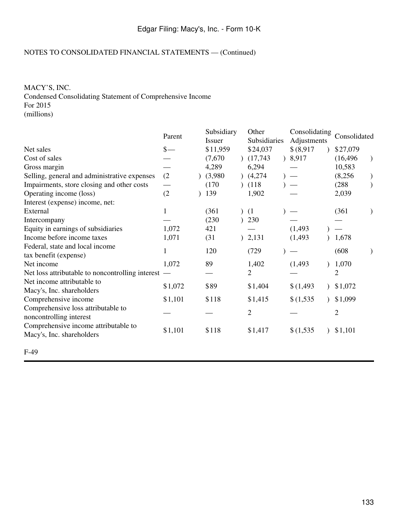# NOTES TO CONSOLIDATED FINANCIAL STATEMENTS — (Continued)

MACY'S, INC. Condensed Consolidating Statement of Comprehensive Income For 2015 (millions)

|                                                                   | Parent        | Subsidiary<br>Issuer | Other<br>Subsidiaries | Consolidating<br>Adjustments | Consolidated |           |
|-------------------------------------------------------------------|---------------|----------------------|-----------------------|------------------------------|--------------|-----------|
| Net sales                                                         | $\frac{1}{2}$ | \$11,959             | \$24,037              | \$ (8,917)                   | \$27,079     |           |
| Cost of sales                                                     |               | (7,670)              | (17,743)              | 9.917                        | (16, 496)    | $\lambda$ |
| Gross margin                                                      |               | 4,289                | 6,294                 |                              | 10,583       |           |
| Selling, general and administrative expenses                      | (2)           | (3,980)              | (4,274)               |                              | (8,256)      |           |
| Impairments, store closing and other costs                        |               | (170)                | (118)                 |                              | (288)        |           |
| Operating income (loss)                                           | (2)           | 139                  | 1,902                 |                              | 2,039        |           |
| Interest (expense) income, net:                                   |               |                      |                       |                              |              |           |
| External                                                          | 1             | (361)                | (1)                   |                              | (361)        |           |
| Intercompany                                                      |               | (230)                | 230                   |                              |              |           |
| Equity in earnings of subsidiaries                                | 1,072         | 421                  |                       | (1, 493)                     |              |           |
| Income before income taxes                                        | 1,071         | (31)                 | 2,131                 | (1, 493)                     | 1,678        |           |
| Federal, state and local income<br>tax benefit (expense)          | 1             | 120                  | (729)                 |                              | (608)        |           |
| Net income                                                        | 1,072         | 89                   | 1,402                 | (1, 493)                     | 1,070        |           |
| Net loss attributable to noncontrolling interest                  |               |                      | $\overline{2}$        |                              | 2            |           |
| Net income attributable to<br>Macy's, Inc. shareholders           | \$1,072       | \$89                 | \$1,404               | \$(1,493)                    | \$1,072      |           |
| Comprehensive income                                              | \$1,101       | \$118                | \$1,415               | $$$ $(1,535)$                | \$1,099      |           |
| Comprehensive loss attributable to<br>noncontrolling interest     |               |                      | 2                     |                              | $\mathbf{2}$ |           |
| Comprehensive income attributable to<br>Macy's, Inc. shareholders | \$1,101       | \$118                | \$1,417               | \$(1,535)                    | \$1,101      |           |
| $F-49$                                                            |               |                      |                       |                              |              |           |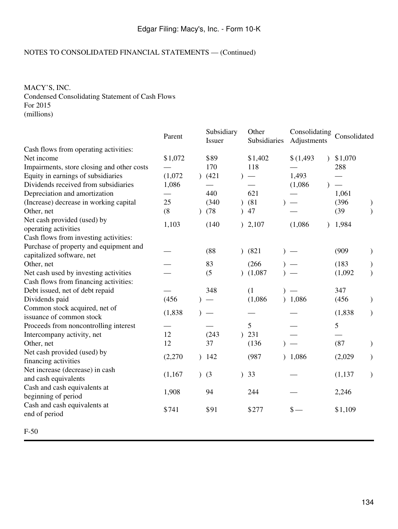# NOTES TO CONSOLIDATED FINANCIAL STATEMENTS — (Continued)

MACY'S, INC. Condensed Consolidating Statement of Cash Flows For 2015 (millions)

|                                            | Parent   | Subsidiary<br>Issuer |               | Other<br>Subsidiaries    |  | Consolidating<br>Adjustments |               | Consolidated             |               |
|--------------------------------------------|----------|----------------------|---------------|--------------------------|--|------------------------------|---------------|--------------------------|---------------|
| Cash flows from operating activities:      |          |                      |               |                          |  |                              |               |                          |               |
| Net income                                 | \$1,072  | \$89                 |               | \$1,402                  |  | \$(1,493)                    | $\mathcal{L}$ | \$1,070                  |               |
| Impairments, store closing and other costs |          | 170                  |               | 118                      |  |                              |               | 288                      |               |
| Equity in earnings of subsidiaries         | (1,072)  | (421)                |               | $\overline{\phantom{0}}$ |  | 1,493                        |               |                          |               |
| Dividends received from subsidiaries       | 1,086    |                      |               |                          |  | (1,086)                      |               | $\overline{\phantom{0}}$ |               |
| Depreciation and amortization              |          | 440                  |               | 621                      |  |                              |               | 1,061                    |               |
| (Increase) decrease in working capital     | 25       | (340)                |               | (81)                     |  | $\overline{\phantom{m}}$     |               | (396)                    |               |
| Other, net                                 | (8)      | (78)                 |               | 47                       |  |                              |               | (39)                     |               |
| Net cash provided (used) by                |          |                      |               |                          |  |                              |               |                          |               |
| operating activities                       | 1,103    | (140)                |               | 2,107                    |  | (1,086)                      |               | ) 1,984                  |               |
| Cash flows from investing activities:      |          |                      |               |                          |  |                              |               |                          |               |
| Purchase of property and equipment and     |          |                      |               |                          |  |                              |               |                          |               |
| capitalized software, net                  |          | (88)                 | $\lambda$     | (821)                    |  |                              |               | (909)                    |               |
| Other, net                                 |          | 83                   |               | (266)                    |  |                              |               | (183)                    |               |
| Net cash used by investing activities      |          | (5)                  |               | (1,087)                  |  |                              |               | (1,092)                  | $\lambda$     |
| Cash flows from financing activities:      |          |                      |               |                          |  |                              |               |                          |               |
| Debt issued, net of debt repaid            |          | 348                  |               | (1)                      |  |                              |               | 347                      |               |
| Dividends paid                             | (456)    |                      |               | (1,086)                  |  | ) 1,086                      |               | (456)                    | $\mathcal{E}$ |
| Common stock acquired, net of              |          |                      |               |                          |  |                              |               |                          |               |
| issuance of common stock                   | (1,838)  |                      |               |                          |  |                              |               | (1,838)                  | $\mathcal{E}$ |
| Proceeds from noncontrolling interest      |          |                      |               | 5                        |  |                              |               | 5                        |               |
| Intercompany activity, net                 | 12       | (243)                |               | 231                      |  |                              |               |                          |               |
| Other, net                                 | 12       | 37                   |               | (136)                    |  |                              |               | (87)                     | $\mathcal{E}$ |
| Net cash provided (used) by                | (2,270)  | 142                  |               | (987)                    |  | 1,086                        |               |                          |               |
| financing activities                       |          |                      |               |                          |  |                              |               | (2,029)                  | $\mathcal{)}$ |
| Net increase (decrease) in cash            | (1, 167) | $)$ (3               | $\mathcal{E}$ | 33                       |  |                              |               | (1, 137)                 |               |
| and cash equivalents                       |          |                      |               |                          |  |                              |               |                          | $\mathcal{E}$ |
| Cash and cash equivalents at               | 1,908    | 94                   |               | 244                      |  |                              |               | 2,246                    |               |
| beginning of period                        |          |                      |               |                          |  |                              |               |                          |               |
| Cash and cash equivalents at               | \$741    | \$91                 |               |                          |  | $\frac{\epsilon}{2}$         |               |                          |               |
| end of period                              |          |                      |               | \$277                    |  |                              |               | \$1,109                  |               |
| $F-50$                                     |          |                      |               |                          |  |                              |               |                          |               |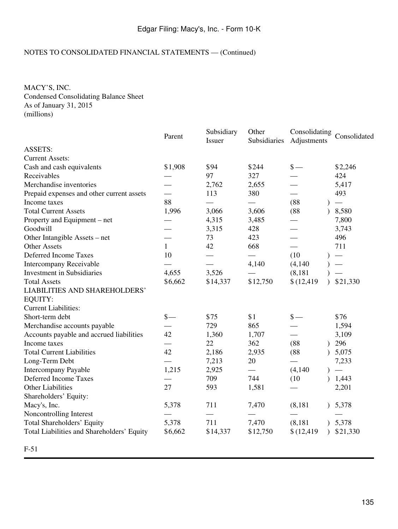MACY'S, INC. Condensed Consolidating Balance Sheet As of January 31, 2015 (millions)

|                                            | Parent          | Subsidiary<br>Issuer | Other<br>Subsidiaries | Consolidating<br>Adjustments      | Consolidated           |
|--------------------------------------------|-----------------|----------------------|-----------------------|-----------------------------------|------------------------|
| <b>ASSETS:</b>                             |                 |                      |                       |                                   |                        |
| <b>Current Assets:</b>                     |                 |                      |                       |                                   |                        |
| Cash and cash equivalents                  | \$1,908         | \$94                 | \$244                 | $\frac{\mathcal{S}}{\mathcal{S}}$ | \$2,246                |
| Receivables                                |                 | 97                   | 327                   |                                   | 424                    |
| Merchandise inventories                    |                 | 2,762                | 2,655                 |                                   | 5,417                  |
| Prepaid expenses and other current assets  |                 | 113                  | 380                   |                                   | 493                    |
| Income taxes                               | 88              |                      |                       | (88)                              | $\mathcal{L}$          |
| <b>Total Current Assets</b>                | 1,996           | 3,066                | 3,606                 | (88)                              | 8,580<br>$\lambda$     |
| Property and Equipment – net               |                 | 4,315                | 3,485                 |                                   | 7,800                  |
| Goodwill                                   |                 | 3,315                | 428                   |                                   | 3,743                  |
| Other Intangible Assets - net              |                 | 73                   | 423                   |                                   | 496                    |
| <b>Other Assets</b>                        | $\mathbf{1}$    | 42                   | 668                   |                                   | 711                    |
| <b>Deferred Income Taxes</b>               | 10              |                      |                       | (10)                              |                        |
| <b>Intercompany Receivable</b>             |                 |                      | 4,140                 | (4,140)                           |                        |
| <b>Investment</b> in Subsidiaries          | 4,655           | 3,526                |                       | (8, 181)                          |                        |
| <b>Total Assets</b>                        | \$6,662         | \$14,337             | \$12,750              | \$(12, 419)                       | \$21,330               |
| <b>LIABILITIES AND SHAREHOLDERS'</b>       |                 |                      |                       |                                   |                        |
| EQUITY:                                    |                 |                      |                       |                                   |                        |
| <b>Current Liabilities:</b>                |                 |                      |                       |                                   |                        |
| Short-term debt                            | $\frac{\ }{s-}$ | \$75                 | \$1                   | $\frac{\S}{\S}$                   | \$76                   |
| Merchandise accounts payable               |                 | 729                  | 865                   |                                   | 1,594                  |
| Accounts payable and accrued liabilities   | 42              | 1,360                | 1,707                 |                                   | 3,109                  |
| Income taxes                               |                 | 22                   | 362                   | (88)                              | 296<br>$\mathcal{L}$   |
| <b>Total Current Liabilities</b>           | 42              | 2,186                | 2,935                 | (88)                              | 5,075<br>$\mathcal{L}$ |
| Long-Term Debt                             |                 | 7,213                | 20                    |                                   | 7,233                  |
| <b>Intercompany Payable</b>                | 1,215           | 2,925                |                       | (4,140)                           | $\mathcal{L}$          |
| <b>Deferred Income Taxes</b>               |                 | 709                  | 744                   | (10)                              | 1,443<br>$\lambda$     |
| <b>Other Liabilities</b>                   | 27              | 593                  | 1,581                 |                                   | 2,201                  |
| Shareholders' Equity:                      |                 |                      |                       |                                   |                        |
| Macy's, Inc.                               | 5,378           | 711                  | 7,470                 | (8, 181)                          | 5,378<br>$\mathcal{L}$ |
| Noncontrolling Interest                    |                 |                      |                       |                                   |                        |
| <b>Total Shareholders' Equity</b>          | 5,378           | 711                  | 7,470                 | (8, 181)                          | ) 5,378                |
| Total Liabilities and Shareholders' Equity | \$6,662         | \$14,337             | \$12,750              | \$(12, 419)                       | \$21,330<br>$\lambda$  |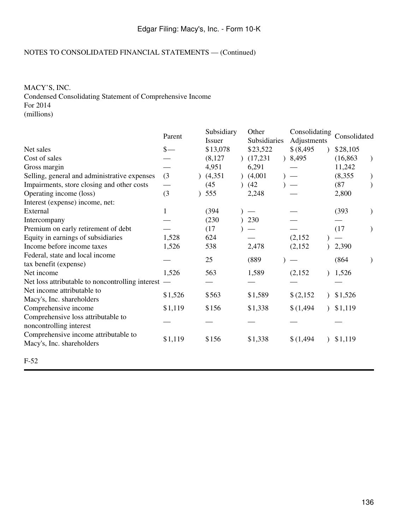# NOTES TO CONSOLIDATED FINANCIAL STATEMENTS — (Continued)

MACY'S, INC. Condensed Consolidating Statement of Comprehensive Income For 2014 (millions)

|                                                                   | Parent          | Subsidiary<br>Issuer | Other<br>Subsidiaries | Consolidating<br>Adjustments | Consolidated |               |
|-------------------------------------------------------------------|-----------------|----------------------|-----------------------|------------------------------|--------------|---------------|
| Net sales                                                         | $\frac{\S}{\S}$ | \$13,078             | \$23,522              | \$ (8,495)                   | \$28,105     |               |
| Cost of sales                                                     |                 | (8,127)              | (17,231)              | 8,495                        | (16, 863)    | $\mathcal{L}$ |
| Gross margin                                                      |                 | 4,951                | 6,291                 |                              | 11,242       |               |
| Selling, general and administrative expenses                      | (3)             | (4,351)              | (4,001)               |                              | (8, 355)     |               |
| Impairments, store closing and other costs                        |                 | (45)                 | (42)                  |                              | (87)         |               |
| Operating income (loss)                                           | (3)             | 555                  | 2,248                 |                              | 2,800        |               |
| Interest (expense) income, net:                                   |                 |                      |                       |                              |              |               |
| External                                                          | 1               | (394)                |                       |                              | (393)        |               |
| Intercompany                                                      |                 | (230)                | 230                   |                              |              |               |
| Premium on early retirement of debt                               |                 | (17)                 |                       |                              | (17)         |               |
| Equity in earnings of subsidiaries                                | 1,528           | 624                  |                       | (2,152)                      |              |               |
| Income before income taxes                                        | 1,526           | 538                  | 2,478                 | (2,152)                      | 2,390        |               |
| Federal, state and local income                                   |                 | 25                   | (889)                 |                              | (864)        |               |
| tax benefit (expense)                                             |                 |                      |                       |                              |              |               |
| Net income                                                        | 1,526           | 563                  | 1,589                 | (2,152)                      | 1,526        |               |
| Net loss attributable to noncontrolling interest $-$              |                 |                      |                       |                              |              |               |
| Net income attributable to                                        | \$1,526         | \$563                | \$1,589               | \$(2,152)                    | \$1,526      |               |
| Macy's, Inc. shareholders                                         |                 |                      |                       |                              |              |               |
| Comprehensive income                                              | \$1,119         | \$156                | \$1,338               | \$(1,494)                    | \$1,119      |               |
| Comprehensive loss attributable to<br>noncontrolling interest     |                 |                      |                       |                              |              |               |
| Comprehensive income attributable to<br>Macy's, Inc. shareholders | \$1,119         | \$156                | \$1,338               | \$(1,494)                    | \$1,119      |               |
|                                                                   |                 |                      |                       |                              |              |               |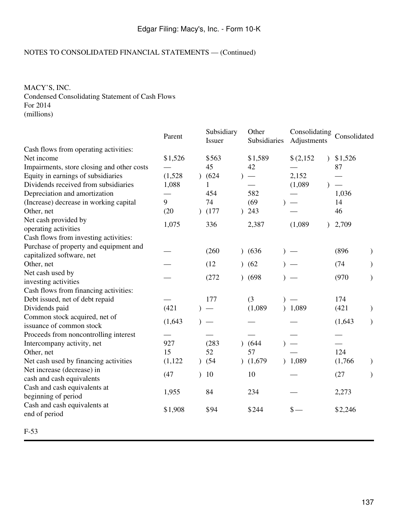# NOTES TO CONSOLIDATED FINANCIAL STATEMENTS — (Continued)

MACY'S, INC. Condensed Consolidating Statement of Cash Flows For 2014 (millions)

|                                            | Parent  |               | Subsidiary<br>Issuer |           | Other<br>Subsidiaries    | Consolidating<br>Adjustments |               | Consolidated |               |
|--------------------------------------------|---------|---------------|----------------------|-----------|--------------------------|------------------------------|---------------|--------------|---------------|
| Cash flows from operating activities:      |         |               |                      |           |                          |                              |               |              |               |
| Net income                                 | \$1,526 |               | \$563                |           | \$1,589                  | \$(2,152)                    | $\mathcal{L}$ | \$1,526      |               |
| Impairments, store closing and other costs |         |               | 45                   |           | 42                       |                              |               | 87           |               |
| Equity in earnings of subsidiaries         | (1,528) |               | (624)                |           | $\overline{\phantom{0}}$ | 2,152                        |               |              |               |
| Dividends received from subsidiaries       | 1,088   |               | $\mathbf{1}$         |           |                          | (1,089)                      |               |              |               |
| Depreciation and amortization              |         |               | 454                  |           | 582                      |                              |               | 1,036        |               |
| (Increase) decrease in working capital     | 9       |               | 74                   |           | (69)                     |                              |               | 14           |               |
| Other, net                                 | (20)    | $\mathcal{L}$ | (177)                | $\lambda$ | 243                      |                              |               | 46           |               |
| Net cash provided by                       |         |               |                      |           |                          |                              |               |              |               |
| operating activities                       | 1,075   |               | 336                  |           | 2,387                    | (1,089)                      |               | 2,709        |               |
| Cash flows from investing activities:      |         |               |                      |           |                          |                              |               |              |               |
| Purchase of property and equipment and     |         |               |                      |           |                          |                              |               |              |               |
| capitalized software, net                  |         |               | (260)                |           | (636)                    |                              |               | (896)        | $\mathcal{E}$ |
| Other, net                                 |         |               | (12)                 |           | (62)                     |                              |               | (74)         |               |
| Net cash used by                           |         |               |                      |           |                          |                              |               |              |               |
| investing activities                       |         |               | (272)                |           | (698)                    |                              |               | (970)        | $\mathcal{E}$ |
| Cash flows from financing activities:      |         |               |                      |           |                          |                              |               |              |               |
| Debt issued, net of debt repaid            |         |               | 177                  |           | (3)                      |                              |               | 174          |               |
| Dividends paid                             | (421)   |               |                      |           | (1,089)                  | 1,089                        |               | (421)        | $\mathcal{E}$ |
| Common stock acquired, net of              |         |               |                      |           |                          |                              |               |              |               |
| issuance of common stock                   | (1,643) |               |                      |           |                          |                              |               | (1,643)      | $\mathcal{E}$ |
| Proceeds from noncontrolling interest      |         |               |                      |           |                          |                              |               |              |               |
| Intercompany activity, net                 | 927     |               | (283)                |           | (644)                    |                              |               |              |               |
| Other, net                                 | 15      |               | 52                   |           | 57                       |                              |               | 124          |               |
| Net cash used by financing activities      | (1,122) |               | ) (54)               |           | (1,679)                  | 1,089                        |               | (1,766)      | $\mathcal{F}$ |
| Net increase (decrease) in                 |         |               |                      |           | 10                       |                              |               |              |               |
| cash and cash equivalents                  | (47)    | $\lambda$     | 10                   |           |                          |                              |               | (27)         | $\mathcal{E}$ |
| Cash and cash equivalents at               |         |               | 84                   |           | 234                      |                              |               |              |               |
| beginning of period                        | 1,955   |               |                      |           |                          |                              |               | 2,273        |               |
| Cash and cash equivalents at               |         |               |                      |           |                          | $\frac{1}{2}$                |               |              |               |
| end of period                              | \$1,908 |               | \$94                 |           | \$244                    |                              |               | \$2,246      |               |
| $F-53$                                     |         |               |                      |           |                          |                              |               |              |               |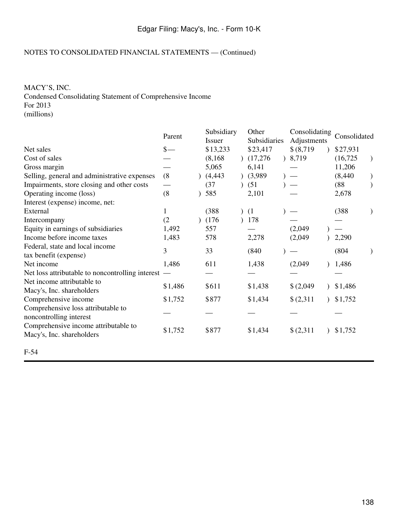# NOTES TO CONSOLIDATED FINANCIAL STATEMENTS — (Continued)

MACY'S, INC. Condensed Consolidating Statement of Comprehensive Income For 2013 (millions)

|                                                                   | Parent        | Subsidiary<br>Issuer | Other<br>Subsidiaries | Consolidating<br>Adjustments | Consolidated |           |
|-------------------------------------------------------------------|---------------|----------------------|-----------------------|------------------------------|--------------|-----------|
| Net sales                                                         | $\frac{1}{2}$ | \$13,233             | \$23,417              | \$ (8, 719)                  | \$27,931     |           |
| Cost of sales                                                     |               | (8, 168)             | (17,276)              | 8,719                        | (16, 725)    | $\lambda$ |
| Gross margin                                                      |               | 5,065                | 6,141                 |                              | 11,206       |           |
| Selling, general and administrative expenses                      | (8)           | (4, 443)             | (3,989)               |                              | (8, 440)     |           |
| Impairments, store closing and other costs                        |               | (37)                 | (51)                  |                              | (88)         |           |
| Operating income (loss)                                           | (8)           | 585                  | 2,101                 |                              | 2,678        |           |
| Interest (expense) income, net:                                   |               |                      |                       |                              |              |           |
| External                                                          |               | (388)                | (1)                   |                              | (388)        |           |
| Intercompany                                                      | (2)           | (176)                | 178                   |                              |              |           |
| Equity in earnings of subsidiaries                                | 1,492         | 557                  |                       | (2,049)                      |              |           |
| Income before income taxes                                        | 1,483         | 578                  | 2,278                 | (2,049)                      | 2,290        |           |
| Federal, state and local income<br>tax benefit (expense)          | 3             | 33                   | (840)                 |                              | (804)        |           |
| Net income                                                        | 1,486         | 611                  | 1,438                 | (2,049)                      | 1,486        |           |
| Net loss attributable to noncontrolling interest                  |               |                      |                       |                              |              |           |
| Net income attributable to<br>Macy's, Inc. shareholders           | \$1,486       | \$611                | \$1,438               | \$(2,049)                    | \$1,486      |           |
| Comprehensive income                                              | \$1,752       | \$877                | \$1,434               | \$(2,311)                    | \$1,752      |           |
| Comprehensive loss attributable to<br>noncontrolling interest     |               |                      |                       |                              |              |           |
| Comprehensive income attributable to<br>Macy's, Inc. shareholders | \$1,752       | \$877                | \$1,434               | \$(2,311)                    | \$1,752      |           |
| $E-54$                                                            |               |                      |                       |                              |              |           |